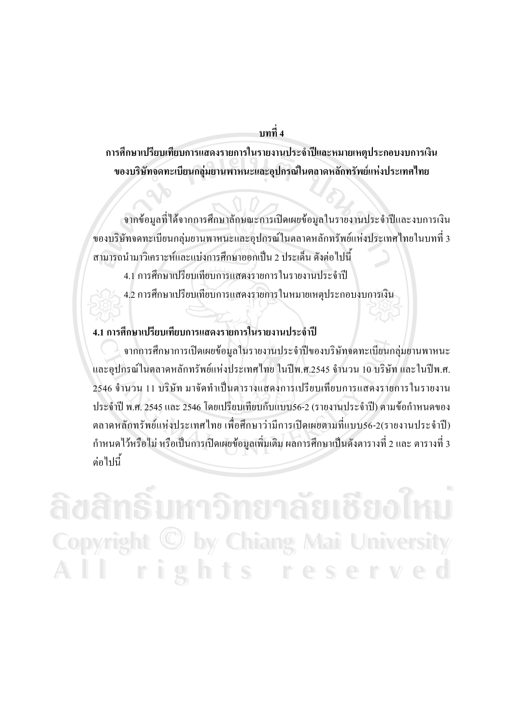**--4**

การศึกษาเปรียบเทียบการแสดงรายการในรายงานประจำปีและหมายเหตุประกอบงบการเงิน ของบริษัทจดทะเบียนกลุ่มยานพาหนะและอุปกรณ์ในตลาดหลักทรัพย์แห่งประเทศไทย

จากข้อมูลที่ได้จากการศึกษาลักษณะการเปิดเผยข้อมูลในรายงานประจำปีและงบการเงิน ของบริษัทจดทะเบียนกลุ่มยานพาหนะและอุปกรณ์ในตลาดหลักทรัพย์แห่งประเทศไทยในบทที่ 3 สามารถนำมาวิเคราะห์และแบ่งการศึกษาออกเป็น 2 ประเด็น ดังต่อไปนี้

- 4.1 การศึกษาเปรียบเทียบการแสดงรายการในรายงานประจำปี
- 4.2 การศึกษาเปรียบเทียบการแสดงรายการในหมายเหตุประกอบงบการเงิน

#### 4.1 การศึกษาเปรียบเทียบการแสดงรายการในรายงานประจำปี

จากการศึกษาการเปิดเผยข้อมูลในรายงานประจำปีของบริษัทจดทะเบียนกลุ่มยานพาหนะ และอุปกรณ์ในตลาดหลักทรัพย์แห่งประเทศไทย ในปีพ.ศ.2545 จำนวน 10 บริษัท และในปีพ.ศ. 2546 จำนวน 11 บริษัท มาจัดทำเป็นตารางแสดงการเปรียบเทียบการแสดงรายการในรายงาน ประจำปี พ.ศ. 2545 และ 2546 โดยเปรียบเทียบกับแบบ56-2 (รายงานประจำปี) ตามข้อกำหนดของ ตลาดหลักทรัพย์แห่งประเทศไทย เพื่อศึกษาว่ามีการเปิดเผยตามที่แบบ56-2(รายงานประจำปี) กำหนดไว้หรือไม่ หรือเป็นการเปิดเผยข้อมูลเพิ่มเติม ผลการศึกษาเป็นดังตารางที่ 2 และ ตารางที่ 3 ้ต่อไปนี้

**ÅÔ¢ÊÔ·¸ÔìÁËÒÇÔ·ÂÒÅÑÂàªÕ§ãËÁè ÅÔ¢ÊÔ·¸ÔìÁËÒÇÔ·ÂÒÅÑÂàªÕ§ãËÁè Copyright by Chiang Mai University Copyright by Chiang Mai University All rights reserved All rights reserved**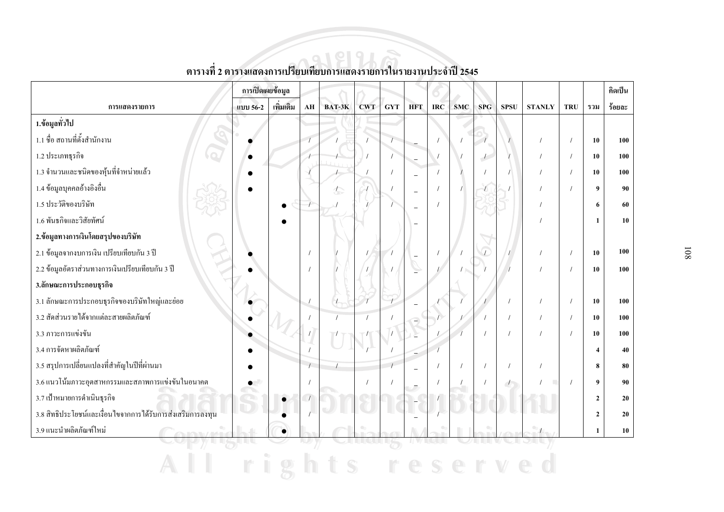|                                                             | การเปิดเผยข้อมูล |           |            |            |            |            |                          |            |            |                |                          |               |            |                | คิดเป็น    |
|-------------------------------------------------------------|------------------|-----------|------------|------------|------------|------------|--------------------------|------------|------------|----------------|--------------------------|---------------|------------|----------------|------------|
| การแสดงรายการ                                               | แบบ 56-2         | เพิ่มเติม | ${\bf AH}$ | BAT-3K     | <b>CWT</b> | <b>GYT</b> | <b>HFT</b>               | IRC        | <b>SMC</b> | <b>SPG</b>     | <b>SPSU</b>              | <b>STANLY</b> | TRU        | รวม            | ร้อยละ     |
| 1.ข้อมูลทั่วไป                                              |                  |           |            |            |            |            |                          |            |            |                |                          |               |            |                |            |
| 1.1 ชื่อ สถานที่ตั้งสำนักงาน                                |                  |           |            |            |            |            |                          |            |            |                |                          |               |            | 10             | 100        |
| $\bigcirc$ .<br>1.2 ประเภทธุรกิจ                            |                  |           |            |            |            |            | $\overline{a}$           | $\sqrt{ }$ |            | $\overline{1}$ |                          |               |            | 10             | 100        |
| 1.3 จำนวนและชนิดของหุ้นที่จำหน่ายแล้ว                       |                  |           |            |            |            |            | $\overline{\phantom{0}}$ | $\prime$   |            |                |                          |               |            | 10             | 100        |
| 1.4 ข้อมูลบุคคลอ้างอิงอื่น                                  |                  |           |            | $\sqrt{2}$ |            |            | $\overline{\phantom{0}}$ | $\prime$   |            |                |                          |               |            | 9              | 90         |
| 1.5 ประวัติของบริษัท                                        |                  | $\bullet$ |            |            |            |            |                          | $\prime$   |            |                |                          |               |            | 6              | 60         |
| 1.6 พันธกิจและวิสัยทัศน์                                    |                  |           |            |            |            |            |                          |            |            |                |                          |               |            | $\mathbf{1}$   | 10         |
| 2.ข้อมูลทางการเงินโดยสรุปของบริษัท                          |                  |           |            |            |            |            |                          |            |            |                |                          |               |            |                |            |
| 2.1 ข้อมูลจากงบการเงิน เปรียบเทียบกัน 3 ปี                  |                  |           |            |            |            |            |                          | $\sqrt{ }$ |            | $\sqrt{ }$     |                          |               |            | 10             | 100        |
| 2.2 ข้อมูลอัตราส่วนทางการเงินเปรียบเทียบกัน 3 ปี            |                  |           |            |            |            |            |                          |            |            |                |                          |               |            | 10             | 100        |
| 3.ลักษณะการประกอบธุรกิจ                                     |                  |           |            |            |            |            |                          |            |            |                |                          |               |            |                |            |
| 3.1 ลักษณะการประกอบธุรกิจของบริษัทใหญ่และย่อย               |                  |           |            |            |            |            |                          |            |            |                |                          |               |            | 10             | 100        |
| 3.2 สัดส่วนรายใด้จากแต่ละสายผลิตภัณฑ์                       |                  |           |            |            |            |            |                          |            |            |                |                          |               |            | 10             | <b>100</b> |
| 3.3 ภาวะการแข่งขัน                                          |                  |           |            |            |            |            |                          |            |            |                |                          |               |            | 10             | 100        |
| 3.4 การจัดหาผลิตภัณฑ์                                       |                  |           |            |            |            |            |                          |            |            |                |                          |               |            | $\overline{4}$ | 40         |
| 3.5 สรุปการเปลี่ยนแปลงที่สำคัญในปีที่ผ่านมา                 |                  |           | $\sqrt{ }$ |            |            |            |                          | $\prime$   | $\prime$   |                |                          |               |            | 8              | 80         |
| 3.6 แนวโน้มภาวะอุตสาหกรรมและสภาพการแข่งขันในอนาคต           |                  |           |            |            | $\prime$   |            |                          | $\sqrt{ }$ |            |                | $\overline{\phantom{a}}$ | п             | $\sqrt{ }$ | 9              | 90         |
| 3.7 เป้าหมายการคำเนินธุรกิจ                                 |                  |           | $\sqrt{ }$ |            |            |            |                          |            |            |                |                          |               |            | $\mathbf{2}$   | 20         |
| 3.8 สิทธิประโยชน์และเงื่อนใขจากการใค้รับการส่งเสริมการลงทุน |                  |           |            |            |            |            |                          |            |            |                |                          |               |            | $\mathbf{2}$   | 20         |
| 3.9 แนะนำผลิตภัณฑ์ใหม่                                      |                  |           |            |            |            |            |                          |            |            |                |                          |               |            | $\mathbf{1}$   | ${\bf 10}$ |
|                                                             |                  |           |            |            |            |            |                          |            |            |                |                          |               |            |                |            |
|                                                             |                  |           |            |            |            |            |                          |            |            |                |                          |               |            |                |            |

### ์<br>ตารางที่ 2 ตารางแสดงการเปรียบเทียบการแสดงรายการในรายงานประจำปี 2545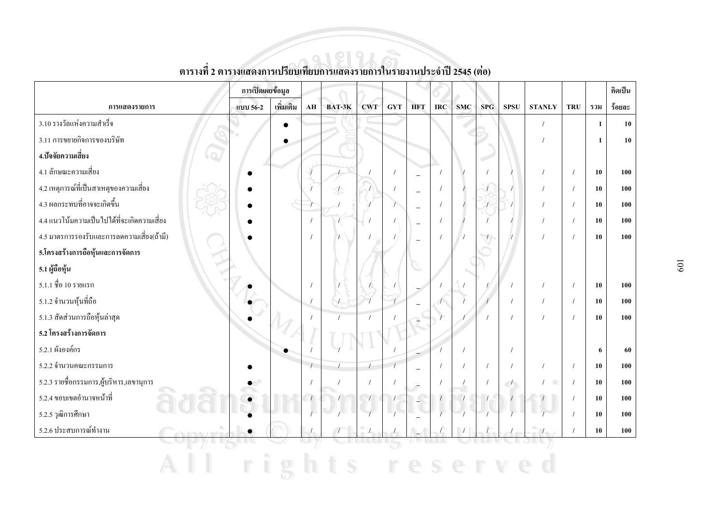|                                             | การเปิดเผยข้อมูล |           |                        |                          |            |            |                          |            |            |            |                          |               |            |              | คิดเป็น |
|---------------------------------------------|------------------|-----------|------------------------|--------------------------|------------|------------|--------------------------|------------|------------|------------|--------------------------|---------------|------------|--------------|---------|
| การแสดงรายการ                               | แบบ 56-2         | เพิ่มเติม | $\mathbf{A}\mathbf{H}$ | BAT-3K                   | <b>CWT</b> | <b>GYT</b> | <b>HFT</b>               | IRC        | <b>SMC</b> | SPG        | <b>SPSU</b>              | <b>STANLY</b> | <b>TRU</b> | รวม          | ร้อยละ  |
| 3.10 รางวัลแห่งความสำเร็จ                   |                  | $\bullet$ |                        |                          |            |            |                          |            |            |            |                          | $\prime$      |            | $\mathbf{1}$ | 10      |
| 3.11 การขยายกิจการของบริษัท                 |                  | $\bullet$ |                        |                          |            |            |                          |            |            |            |                          |               |            | $\mathbf{1}$ | 10      |
| 4.ปัจจัยความเสี่ยง<br>$\bigcirc$            |                  |           |                        |                          |            |            |                          |            |            |            |                          |               |            |              |         |
| 4.1 ลักษณะความเสี่ยง                        |                  |           | $\overline{1}$         |                          |            | $\prime$   | $\overline{\phantom{m}}$ | $\prime$   |            |            |                          | $\prime$      | $\sqrt{ }$ | 10           | 100     |
| 4.2 เหตุการณ์ที่เป็นสาเหตุของความเสี่ยง     |                  |           |                        | $\overline{\mathcal{L}}$ |            |            | $\overline{\phantom{a}}$ | $\prime$   |            | $\sqrt{2}$ |                          |               |            | 10           | 100     |
| 4.3 ผลกระทบที่อาจจะเกิดขึ้น                 |                  |           |                        |                          |            |            | $\overline{\phantom{m}}$ | $\prime$   |            |            |                          |               |            | 10           | 100     |
| 4.4 แนวโน้มความเป็นไปได้ที่จะเกิดความเสี่ยง |                  |           |                        |                          |            |            | $\overline{\phantom{0}}$ | $\prime$   |            |            |                          |               |            | 10           | 100     |
| 4.5 มาตรการรองรับและการลดความเสี่ยง(ถ้ามี)  |                  |           |                        |                          |            |            |                          | $\sqrt{2}$ |            | $\sqrt{ }$ |                          |               |            | 10           | 100     |
| 5.โครงสร้างการถือหุ้นและการจัดการ           |                  |           |                        |                          |            |            |                          |            |            |            |                          |               |            |              |         |
| 5.1 ผู้ถือหุ้น                              |                  |           |                        |                          |            |            |                          |            |            |            |                          |               |            |              |         |
| $5.1.1 \overline{30}$ $10$ รายแรก           |                  |           |                        |                          |            |            |                          |            |            |            |                          |               | $\prime$   | 10           | 100     |
| 5.1.2 จำนวนหุ้นที่ถือ                       |                  |           | $\sqrt{ }$             |                          |            |            |                          |            |            |            | $\prime$                 |               | $\prime$   | 10           | 100     |
| 5.1.3 สัดส่วนการถือหุ้นล่าสุด               |                  |           |                        |                          | $\prime$   |            |                          |            |            |            | $\prime$                 |               |            | 10           | 100     |
| 5.2 โครงสร้างการจัดการ                      |                  |           |                        |                          |            |            |                          |            |            |            |                          |               |            |              |         |
| 5.2.1 ผังองค์กร                             |                  |           |                        |                          |            |            |                          |            | $\prime$   |            | $\prime$                 |               |            | 6            | 60      |
| 5.2.2 จำนวนคณะกรรมการ                       |                  |           | $\overline{1}$         |                          |            |            |                          | $\sqrt{ }$ | $\prime$   | $\prime$   |                          |               | $\prime$   | 10           | 100     |
| 5.2.3 รายชื่อกรรมการ,ผู้บริหาร,เลขานุการ    |                  |           | $\prime$               |                          | $\prime$   |            |                          | $\sqrt{ }$ |            | $\sqrt{ }$ | $\overline{\phantom{a}}$ | $\sqrt{2}$    | $\prime$   | 10           | 100     |
| 5.2.4 ขอบเขตอำนาจหน้าที่                    |                  |           |                        |                          |            |            | $\Box$                   |            |            |            |                          |               |            | 10           | 100     |
| 5.2.5 วุฒิการศึกษา                          |                  |           |                        |                          |            |            |                          |            |            |            |                          |               |            | 10           | 100     |
| 5.2.6 ประสบการณ์ทำงาน                       |                  |           |                        |                          |            |            |                          |            |            |            |                          |               |            | ${\bf 10}$   | 100     |
|                                             |                  |           |                        |                          |            |            |                          |            |            |            |                          |               |            |              |         |
|                                             |                  |           |                        | S                        |            |            |                          |            |            |            |                          |               |            |              |         |

# ี<br>ตารางที่ 2 ตารางแสดงการเปรียบเทียบการแสดงรายการในรายงานประจำปี 2545 (ต่อ)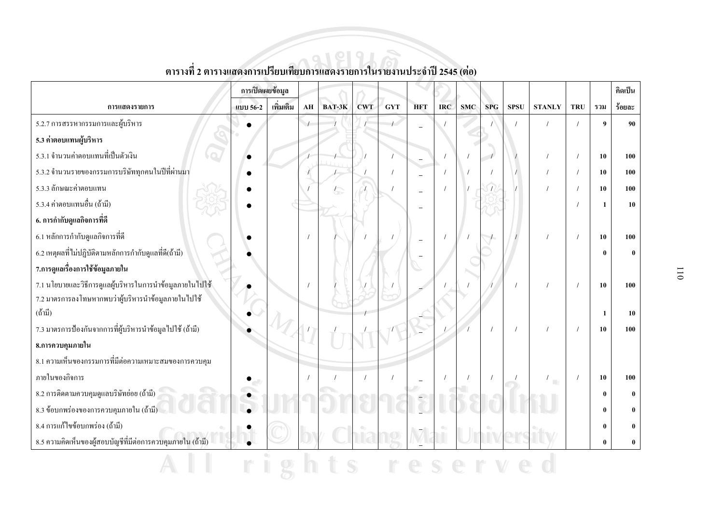|                                                                     | การเปิดเผยข้อมูล |           |    |        |            |            |                |            |            |            |             |               |            |                  | <b>คิดเป็น</b> |
|---------------------------------------------------------------------|------------------|-----------|----|--------|------------|------------|----------------|------------|------------|------------|-------------|---------------|------------|------------------|----------------|
| การแสดงรายการ                                                       | แบบ 56-2         | เพิ่มเติม | AH | BAT-3K | <b>CWT</b> | <b>GYT</b> | <b>HFT</b>     | <b>IRC</b> | <b>SMC</b> | <b>SPG</b> | <b>SPSU</b> | <b>STANLY</b> | <b>TRU</b> | รวม              | ร้อยละ         |
| 5.2.7 การสรรหากรรมการและผู้บริหาร                                   |                  |           |    |        |            |            | $\overline{a}$ |            |            |            |             |               |            | $\boldsymbol{9}$ | 90             |
| 5.3 ค่ำตอบแทนผู้บริหาร                                              |                  |           |    |        |            |            |                |            |            |            |             |               |            |                  |                |
| 5.3.1 จำนวนค่าตอบแทนที่เป็นตัวเงิน                                  |                  |           |    |        |            |            |                |            |            |            |             |               |            | 10               | 100            |
| 5.3.2 จำนวนรายของกรรมการบริษัททุกคนในปีที่ผ่านมา                    |                  |           |    |        |            |            |                |            |            |            |             |               |            | 10               | 100            |
| 5.3.3 ลักษณะค่าตอบแทน                                               |                  |           |    | 尓      |            |            |                |            |            |            |             |               |            | 10               | 100            |
| 5.3.4 ค่าตอบแทนอื่น (ถ้ามี)                                         |                  |           |    |        |            |            |                |            |            |            |             |               |            | 1                | 10             |
| 6. การกำกับดูแลกิจการที่ดี                                          |                  |           |    |        |            |            |                |            |            |            |             |               |            |                  |                |
| 6.1 หลักการกำกับดูแลกิจการที่ดี                                     |                  |           |    |        |            |            |                |            |            |            |             |               |            | 10               | 100            |
| 6.2 เหตุผลที่ไม่ปฏิบัติตามหลักการกำกับดูแลที่ดี(ถ้ามี)              |                  |           |    |        |            |            |                |            |            |            |             |               |            | $\theta$         |                |
| 7.การดูแลเรื่องการใช้ข้อมูลภายใน                                    |                  |           |    |        |            |            |                |            |            |            |             |               |            |                  |                |
| 7.1 นโยบายและวิธีการดูแลผู้บริหารในการนำข้อมูลภายในไปใช้            |                  |           |    |        |            |            |                |            |            |            |             |               |            | 10               | 100            |
| 7.2 มาตรการลงโทษหากพบว่าผู้บริหารนำข้อมูลภายในไปใช้                 |                  |           |    |        |            |            |                |            |            |            |             |               |            |                  |                |
| $(\stackrel{\circ}{\mathfrak{h}} 1 \stackrel{\circ}{\mathfrak{N}})$ |                  |           |    |        |            |            |                |            |            |            |             |               |            | -1               | 10             |
| 7.3 มาตรการป้องกันจากการที่ผู้บริหารนำข้อมูลไปใช้ (ถ้ามี)           |                  |           |    |        |            |            |                |            |            |            |             |               |            | 10               | 100            |
| 8.การควบคุมภายใน                                                    |                  |           |    |        |            |            |                |            |            |            |             |               |            |                  |                |
| 8.1 ความเห็นของกรรมการที่มีต่อความเหมาะสมของการควบคุม               |                  |           |    |        |            |            |                |            |            |            |             |               |            |                  |                |
| ภายในของกิจการ                                                      |                  |           |    |        |            |            |                |            |            |            |             | m.            |            | 10               | 100            |
| 8.2 การติดตามกวบกุมดูแลบริษัทย่อย (ถ้ามี)                           |                  |           |    |        |            |            |                |            |            |            |             |               |            | $\mathbf{0}$     |                |
| 8.3 ข้อบกพร่องของการควบคุมภายใน (ถ้ามี)                             |                  |           |    |        |            |            |                |            |            |            |             |               |            | 0                |                |
| 8.4 การแก้ไขข้อบกพร่อง (ถ้ามี)                                      |                  |           |    |        |            |            |                |            |            |            |             |               |            | 0                |                |
| 8.5 ความคิดเห็นของผู้สอบบัญชีที่มีต่อการควบคุมภายใน (ถ้ามี)         |                  |           |    |        |            |            |                |            |            |            |             |               |            | $\mathbf{0}$     |                |

### ์<br>ตารางที่ 2 ตารางแสดงการเปรียบเทียบการแสดงรายการในรายงานประจำปี 2545 (ต่อ)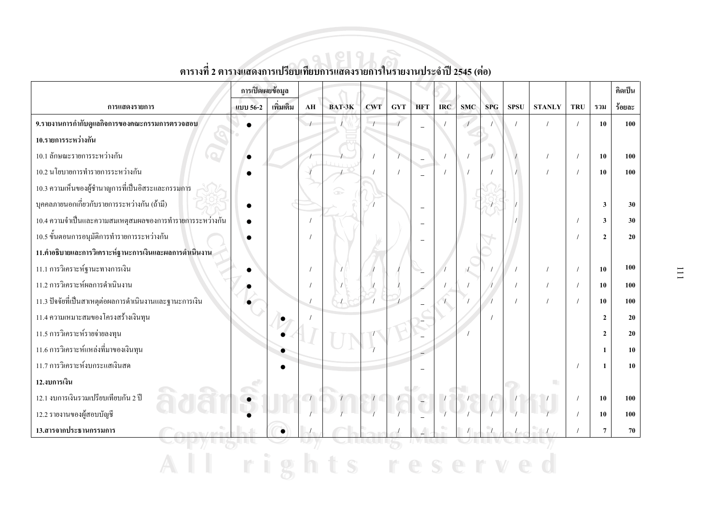|                                                          | การเปิดเผยข้อมูล |           |            |        |            |     |                          |            |            |                          |             |               |            |                | คิดเป็น |
|----------------------------------------------------------|------------------|-----------|------------|--------|------------|-----|--------------------------|------------|------------|--------------------------|-------------|---------------|------------|----------------|---------|
| การแสดงรายการ                                            | แบบ 56-2         | เพิ่มเติม | ${\bf AH}$ | BAT-3K | <b>CWT</b> | GYT | <b>HFT</b>               | <b>IRC</b> | <b>SMC</b> | <b>SPG</b>               | <b>SPSU</b> | <b>STANLY</b> | <b>TRU</b> | รวม            | ร้อยละ  |
| 9.รายงานการกำกับดูแลกิจการของคณะกรรมการตรวจสอบ           |                  |           | $\sqrt{ }$ |        |            |     | $\equiv$                 |            | $\sqrt{ }$ |                          |             |               |            | 10             | 100     |
| 10.รายการระหว่างกัน                                      |                  |           |            |        |            |     |                          |            |            |                          |             |               |            |                |         |
| 10.1 ลักษณะรายการระหว่างกัน                              |                  |           |            |        |            |     | $\overline{\phantom{a}}$ |            |            | $\overline{\phantom{a}}$ |             |               |            | 10             | 100     |
| 10.2 นโยบายการทำรายการระหว่างกัน                         |                  |           |            |        |            |     |                          |            |            |                          |             | $\prime$      |            | 10             | 100     |
| 10.3 ความเห็นของผู้ชำนาญการที่เป็นอิสระและกรรมการ        |                  |           |            |        |            |     |                          |            |            |                          |             |               |            |                |         |
| บุคคลภายนอกเกี่ยวกับรายการระหว่างกัน (ถ้ามี)             |                  |           |            |        |            |     | $\sim$                   |            |            |                          |             |               |            | $\mathbf{3}$   | 30      |
| 10.4 ความจำเป็นและความสมเหตุสมผลของการทำรายการระหว่างกัน |                  |           | $\prime$   |        |            |     |                          |            |            |                          |             |               |            | $\mathbf{3}$   | 30      |
| 10.5 ขั้นตอนการอนุมัติการทำรายการระหว่างกัน              |                  |           |            |        |            |     |                          |            |            |                          |             |               |            | $\mathbf{2}$   | 20      |
| 11.คำอธิบายและการวิเคราะห์ฐานะการเงินและผลการดำเนินงาน   |                  |           |            |        |            |     |                          |            |            |                          |             |               |            |                |         |
| 11.1 การวิเคราะห์ฐานะทางการเงิน                          |                  |           | $\prime$   |        |            |     |                          |            |            |                          |             | $\prime$      |            | 10             | 100     |
| 11.2 การวิเคราะห์ผลการคำเนินงาน                          |                  |           |            |        |            |     |                          |            |            |                          |             | $\prime$      |            | 10             | 100     |
| 11.3 ปัจจัยที่เป็นสาเหตุต่อผลการคำเนินงานและฐานะการเงิน  |                  |           |            |        |            |     |                          |            |            |                          |             |               |            | 10             | 100     |
| 11.4 ความเหมาะสมของโครงสร้างเงินทุน                      |                  |           |            |        |            |     |                          |            |            |                          |             |               |            | $\overline{2}$ | 20      |
| 11.5 การวิเคราะห์รายจ่ายลงทุน                            |                  |           |            |        |            |     |                          |            |            |                          |             |               |            | $\overline{2}$ | 20      |
| 11.6 การวิเคราะห์แหล่งที่มาของเงินทุน                    |                  |           |            |        |            |     |                          |            |            |                          |             |               |            | $\mathbf{1}$   | 10      |
| 11.7 การวิเคราะห์งบกระแสเงินสด                           |                  |           |            |        |            |     |                          |            |            |                          |             |               |            | $\mathbf{1}$   | 10      |
| 12.งบการเงิน                                             |                  |           |            |        |            |     |                          |            |            |                          |             | m.            |            |                |         |
| 12.1 งบการเงินรวมเปรียบเทียบกัน 2 ปี                     |                  |           |            |        |            |     |                          |            |            |                          |             |               |            | 10             | 100     |
| 12.2 รายงานของผู้สอบบัญชี                                |                  |           |            |        |            |     |                          |            |            |                          |             |               |            | 10             | 100     |
| 13.สารจากประธานกรรมการ                                   |                  | $\bullet$ |            |        |            |     |                          |            |            |                          |             |               |            | $\overline{7}$ | 70      |
|                                                          |                  |           |            |        |            |     |                          |            |            |                          |             |               |            |                |         |
|                                                          |                  |           |            |        |            |     |                          |            |            |                          |             |               |            |                |         |

### ตารางที่ 2 ตารางแสดงการเปรียบเทียบการแสดงรายการในรายงานประจำปี 2545 (ต่อ)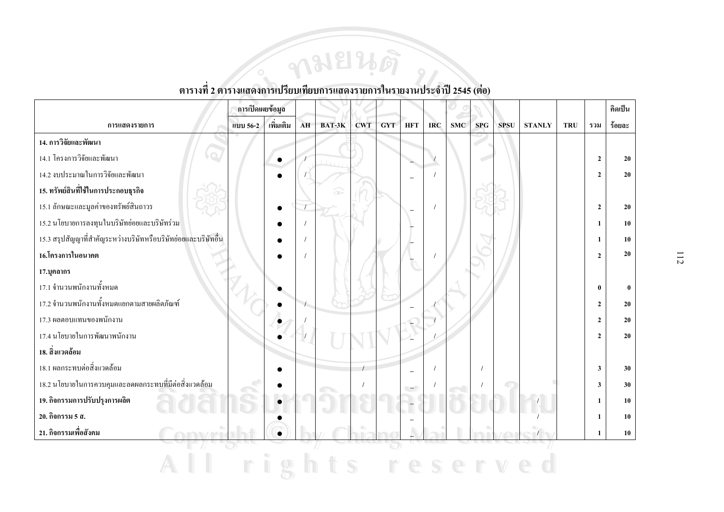#### การเปิดเผยข้อมูล ดิดเป็น ้เพิ่มเติม ร้อยละ การแสดงรายการ แบบ 56-2  $AH$ BAT-3K **CWT GYT HFT**  $\overline{\text{R}}$ C **SMC**  $SPG$ **SPSU STANLY** TRU รวม 14. การวิจัยและพัฒนา 14.1 โครงการวิจัยและพัฒนา 20  $\overline{2}$  $\bullet$ 14.2 งาเประมาณในการวิจัยและพัฒนา  $\overline{2}$ 20  $\overline{\phantom{a}}$ 15. ทรัพย์สินที่ใช้ในการประกอบธุรกิจ 15.1 ลักษณะและมูลค่าของทรัพย์สินถาวร  $\overline{2}$ 20  $\sqrt{ }$ 15.2 นโยบายการลงทุนในบริษัทย่อยและบริษัทร่วม 10  $\mathbf{1}$ 15.3 สรุปสัญญาที่สำคัญระหว่างบริษัทหรือบริษัทย่อยและบริษัทอื่น  $\mathbf{1}$ 10 16.โครงการในอนาคต 20  $\overline{2}$ 17.บุคลากร 17.1 จำนวนพนักงานทั้งหมด  $\mathbf{0}$  $\mathbf{0}$ 17.2 จำนวนพนักงานทั้งหมดแยกตามสายผลิตภัณฑ์  $\overline{2}$ 20  $\left| \right|$ 17.3 ผลตอบแทนของพนักงาน  $\overline{2}$  $20$ 17.4 นโยบายในการพัฒนาพนักงาน  $\overline{2}$ 20 18. สิ่งแวดล้อม 18.1 ผลกระทบต่อสิ่งแวดล้อม  $\overline{\mathbf{3}}$ 30  $\sqrt{ }$  $\overline{\phantom{a}}$ 18.2 นโยบายในการควบคุมและลดผลกระทบที่มีต่อสิ่งแวดล้อม  $30$  $\overline{3}$ 19. กิจกรรมการปรับปรุงการผลิต  $\mathbf{1}$  $10$ ŀ. 20. กิจกรรม 5 ส.  $\mathbf{1}$ 10 21. กิจกรรมเพื่อสังคม  $\mathbf{1}$ 10  $\bullet$ Î  $S$  $\phi$ r  $\mathbf{r}$ ese  $\mathbb{R}^n$ W

#### ี ตารางที่ 2 ตารางแสดงการเปรียบเทียบการแสดงรายการในรายงานประจำปี 2545 (ต่อ)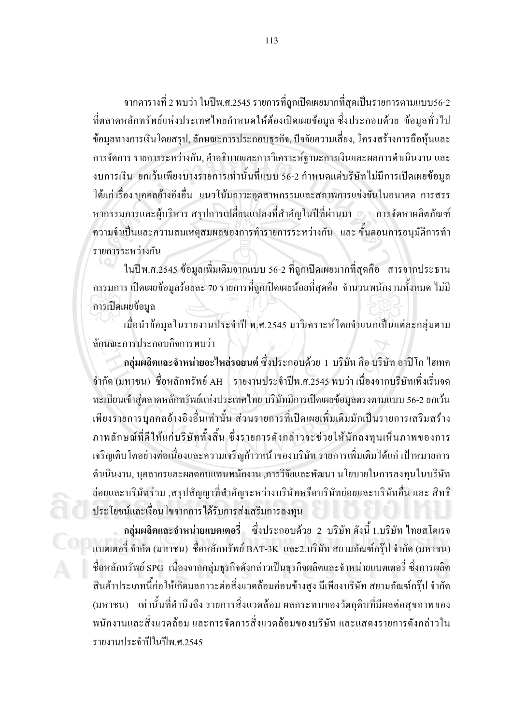ี จากตารางที่ 2 พบว่า ในปีพ.ศ.2545 รายการที่ถูกเปิดเผยมากที่สุดเป็นรายการตามแบบ56-2 ที่ตลาดหลักทรัพย์แห่งประเทศใทยกำหนดให้ต้องเปิดเผยข้อมูล ซึ่งประกอบด้วย ข้อมูลทั่วไป ข้อมูลทางการเงินโดยสรุป, ลักษณะการประกอบธุรกิจ, ปัจจัยความเสี่ยง, โครงสร้างการถือหุ้นและ ึการจัดการ รายการระหว่างกัน, คำอธิบายและการวิเคราะห์ฐานะการเงินและผลการดำเนินงาน และ ึ่งบการเงิน ยกเว้นเพียงบางรายการเท่านั้นที่แบบ 56-2 กำหนดแต่บริษัทไม่มีการเปิดเผยข้อมูล ใด้แก่ เรื่อง บุคคลอ้างอิงอื่น แนวโน้มภาวะอุตสาหกรรมและสภาพการแข่งขันในอนาคต การสรร หากรรมการและผู้บริหาร สรุปการเปลี่ยนแปลงที่สำคัญในปีที่ผ่านมา ๑ การจัดหาผลิตภัณฑ์ ี ความจำเป็นและความสมเหตุสมผลของการทำรายการระหว่างกัน และ ขั้นตอนการอนุมัติการทำ รายการระหว่างกัน

ในปีพ.ศ.2545 ข้อมูลเพิ่มเติมจากแบบ 56-2 ที่ถูกเปิดเผยมากที่สุดคือ สารจากประธาน ี กรรมการ เปิดเผยข้อมูลร้อยละ 70 รายการที่ถูกเปิดเผยน้อยที่สุดกือ จำนวนพนักงานทั้งหมด ไม่มี การเปิดเผยข้อมล

้เมื่อนำข้อมูลในรายงานประจำปี พ.ศ.2545 มาวิเคราะห์โดยจำแนกเป็นแต่ละกลุ่มตาม ลักษณะการประกอบกิจการพบว่า

ึกลุ่มผลิตและจำหน่ายอะไหล่รถยนต์ ซึ่งประกอบด้วย 1 บริษัท คือ บริษัท อาปิโก ไฮเทค ี จำกัด (มหาชน) ชื่อหลักทรัพย์ AH รายงานประจำปีพ.ศ.2545 พบว่า เนื่องจากบริษัทเพิ่งเริ่มจด ทะเบียนเข้าส่ตลาดหลักทรัพย์แห่งประเทศไทย บริษัทมีการเปิดเผยข้อมลตรงตามแบบ 56-2 ยกเว้น ้เพียงรายการบุคคลอ้างอิงอื่นเท่านั้น ส่วนรายการที่เปิดเผยเพิ่มเติมมักเป็นรายการเสริมสร้าง ภาพลักษณ์ที่ดีให้แก่บริษัททั้งสิ้น ซึ่งรายการดังกล่าวจะช่วยให้นักลงทุนเห็นภาพของการ ้ เจริญเติบโตอย่างต่อเนื่องและความเจริญก้าวหน้าของบริษัท รายการเพิ่มเติมใด้แก่ เป้าหมายการ ้ดำเนินงาน, บุคลากรและผลตอบแทนพนักงาน ,การวิจัยและพัฒนา นโยบายในการลงทุนในบริษัท ย่อยและบริษัทร่วม ,สรุปสัญญาที่สำคัญระหว่างบริษัทหรือบริษัทย่อยและบริษัทอื่น และ สิทธิ ประโยชน์และเงื่อนไขจากการได้รับการส่งเสริมการลงทุน

ึกลุ่มผลิตและจำหน่ายแบตเตอรี่ ซึ่งประกอบด้วย 2 บริษัท ดังนี้ 1.บริษัท ไทยสโตเรจ แบตเตอรี่ จำกัด (มหาชน) ชื่อหลักทรัพย์ BAT-3K และ2.บริษัท สยามภัณฑ์กรุ๊ป จำกัด (มหาชน) ี่ ชื่อหลักทรัพย์ SPG เนื่องจากกลุ่มธุรกิจคังกล่าวเป็นธุรกิจผลิตและจำหน่ายแบตเตอรี่ ซึ่งการผลิต ้สินค้าประเภทนี้ก่อให้เกิดมลภาวะต่อสิ่งแวดล้อมก่อนข้างสูง มีเพียงบริษัท สยามภัณฑ์กรุ๊ป จำกัด (มหาชน) เท่านั้นที่คำนึงถึง รายการสิ่งแวดล้อม ผลกระทบของวัตถุดิบที่มีผลต่อสุขภาพของ พนักงานและสิ่งแวดล้อม และการจัดการสิ่งแวดล้อมของบริษัท และแสคงรายการคังกล่าวใน รายงานประจำปีในปีพ ศ 2545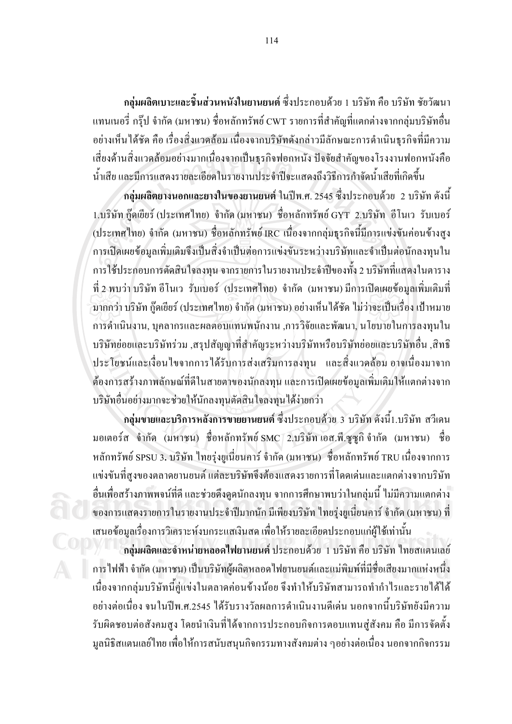ึ กลุ่มผลิตเบาะและชิ้นส่วนหนังในยานยนต์ ซึ่งประกอบด้วย 1 บริษัท คือ บริษัท ชัยวัฒนา แทนเนอรี่ กรุ๊ป จำกัด (มหาชน) ชื่อหลักทรัพย์ CWT รายการที่สำคัญที่แตกต่างจากกลุ่มบริษัทอื่น ้อย่างเห็นได้ชัด คือ เรื่องสิ่งแวดล้อม เนื่องจากบริษัทดังกล่าวมีลักษณะการดำเนินธุรกิจที่มีความ ้เสี่ยงค้านสิ่งแวคล้อมอย่างมากเนื่องจากเป็นธุรกิจฟอกหนัง ปัจจัยสำคัญของโรงงานฟอกหนังคือ น้ำเสีย และมีการแสดงรายละเอียดในรายงานประจำปีจะแสดงถึงวิธีการกำจัดน้ำเสียที่เกิดขึ้น

ึกลุ่มผลิตยางนอกและยางในของยานยนต์ ในปีพ.ศ. 2545 ซึ่งประกอบด้วย 2 บริษัท ดังนี้ 1.บริษัท ก๊คเยียร์ (ประเทศไทย) จำกัด (มหาชน) ชื่อหลักทรัพย์ GYT 2.บริษัท อีโนเว รับเบอร์ (ประเทศไทย) จำกัด (มหาชน) ชื่อหลักทรัพย์ IRC เนื่องจากกลุ่มธุรกิจนี้มีการแข่งขันค่อนข้างสูง การเปิดเผยข้อมลเพิ่มเติมจึงเป็นสิ่งจำเป็นต่อการแข่งขันระหว่างบริษัทและจำเป็นต่อนักลงทนใน ึการใช้ประกอบการตัดสินใจลงทน จากรายการในรายงานประจำปีของทั้ง 2 บริษัทที่แสดงในตาราง ี ที่ 2 พบว่า บริษัท อีโนเว รับเบอร์ (ประเทศไทย) จำกัด (มหาชน) มีการเปิดเผยข้อมูลเพิ่มเติมที่ ้มากกว่า บริษัท กู๊ดเขียร์ (ประเทศไทย) จำกัด (มหาชน) อย่างเห็นได้ชัด ไม่ว่าจะเป็นเรื่อง เป้าหมาย ึการคำเนินงาน, บุคลากรและผลตอบแทนพนักงาน ,การวิจัยและพัฒนา, นโยบายในการลงทุนใน ึบริษัทย่อยและบริษัทร่วม ,สรุปสัญญาที่สำคัญระหว่างบริษัทหรือบริษัทย่อยและบริษัทอื่น ,สิทธิ ี ประโยชน์และเงื่อนใขจากการใค้รับการส่งเสริมการลงทุน และสิ่งแวดล้อม อาจเนื่องมาจาก ี ต้องการสร้างภาพลักษณ์ที่ดีในสายตาของนักลงทุน และการเปิดเผยข้อมูลเพิ่มเติมให้แตกต่างจาก บริษัทอื่นอย่างมากจะช่วยให้นักลงทุนตัดสินใจลงทุนได้ง่ายกว่า

ึกล่มขายและบริการหลังการขายยานยนต์ ซึ่งประกอบด้วย 3 บริษัท ดังนี้1.บริษัท สวีเดน มอเตอร์ส จำกัด (มหาชน) ชื่อหลักทรัพย์*SMC 2.บริษัท เอส.พี.ซูซูกิ* จำกัด (มหาชน) ชื่อ หลักทรัพย์ SPSU 3. บริษัท ไทยร่งยเนี่ยนคาร์ จำกัด (มหาชน) ชื่อหลักทรัพย์ TRU เนื่องจากการ แข่งขันที่สงของตลาดยานยนต์ แต่ละบริษัทจึงต้องแสดงรายการที่โดดเด่นและแตกต่างจากบริษัท ้อื่นเพื่อสร้างภาพพจน์ที่ดี และช่วยดึงดูดนักลงทุน จากการศึกษาพบว่าในกลุ่มนี้ ไม่มีความแตกต่าง ี ของการแสดงรายการในรายงานประจำปีมากนัก มีเพียงบริษัท ไทยรุ่งยูเนี่ยนคาร์ จำกัด (มหาชน) ที่ ้เสนอข้อมูลเรื่องการวิเคราะห์งบกระแสเงินสด เพื่อให้รายละเอียดประกอบแก่ผู้ใช้เท่านั้น

ี กลุ่มผลิตและจำหน่ายหลอดไฟยานยนต์ ประกอบด้วย 1 บริษัท คือ บริษัท ไทยสแตนเลย์ การไฟฟ้า จำกัด (มหาชน) เป็นบริษัทผู้ผลิตหลอดไฟยานยนต์และแม่พิมพ์ที่มีชื่อเสียงมากแห่งหนึ่ง เนื่องจากกลุ่มบริษัทนี้คู่แข่งในตลาดค่อนข้างน้อย จึงทำให้บริษัทสามารถทำกำไรและรายได้ได้ ้อย่างต่อเนื่อง จนในปีพ.ศ.2545 ได้รับรางวัลผลการดำเนินงานดีเด่น นอกจากนี้บริษัทยังมีความ รับผิดชอบต่อสังคมสูง โดยนำเงินที่ได้จากการประกอบกิจการตอบแทนสู่สังคม คือ มีการจัดตั้ง ้มูลนิธิสแตนเลย์ไทย เพื่อให้การสนับสนุนกิจกรรมทางสังคมต่าง ๆอย่างต่อเนื่อง นอกจากกิจกรรม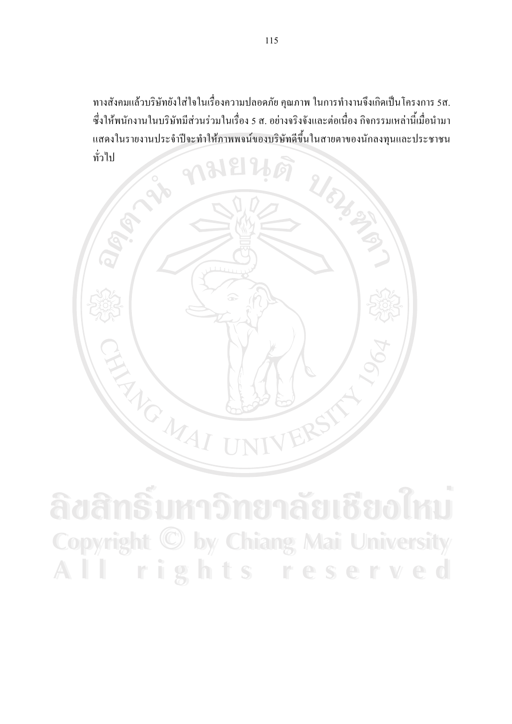ทางสังคมแล้วบริษัทยังใส่ใจในเรื่องความปลอดภัย คุณภาพ ในการทำงานจึงเกิดเป็นโครงการ 5ส. ซึ่งให้พนักงานในบริษัทมีส่วนร่วมในเรื่อง 5 ส. อย่างจริงจังและต่อเนื่อง กิจกรรมเหล่านี้เมื่อนำมา แสดงในรายงานประจำปีจะทำให้ภาพพจน์ของบริษัทดีขึ้นในสายตาของนักลงทุนและประชาชน ทั่วไป



ลิขสิทธิ์มหาวิทยาลัยเชียงไหม Copyright © by Chiang Mai University rights reserved AII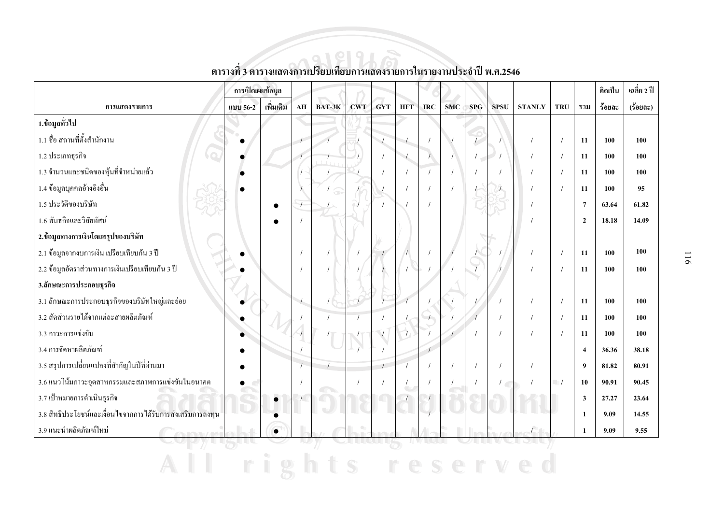|                                                             | การเปิดเผยข้อมูล |           |               |        |            |            |                          |     |            |            |               |               |                          |                  | คิดเป็น | เฉลี่ย 2 ปี |
|-------------------------------------------------------------|------------------|-----------|---------------|--------|------------|------------|--------------------------|-----|------------|------------|---------------|---------------|--------------------------|------------------|---------|-------------|
| การแสดงรายการ                                               | แบบ 56-2         | เพิ่มเติม | AH            | BAT-3K | <b>CWT</b> | <b>GYT</b> | <b>HFT</b>               | IRC | <b>SMC</b> | <b>SPG</b> | <b>SPSU</b>   | <b>STANLY</b> | <b>TRU</b>               | รวม              | ร้อยละ  | (ร้อยละ)    |
| 1.ข้อมูลทั่วไป                                              |                  |           |               |        |            |            |                          |     |            |            |               |               |                          |                  |         |             |
| 1.1 ชื่อ สถานที่ตั้งสำนักงาน                                |                  |           |               |        |            |            |                          |     |            |            |               |               |                          | 11               | 100     | 100         |
| 1.2 ประเภทธุรกิจ                                            |                  |           |               |        |            | $\sqrt{ }$ | $\mathcal{L}$            |     |            | $\prime$   |               | $\prime$      |                          | 11               | 100     | 100         |
| 1.3 จำนวนและชนิดของหุ้นที่จำหน่ายแล้ว                       |                  |           |               |        |            |            |                          |     |            |            |               |               |                          | 11               | 100     | 100         |
| 1.4 ข้อมูลบุคคลอ้างอิงอื่น                                  |                  |           |               | Ob     |            |            |                          |     |            |            |               |               |                          | 11               | 100     | 95          |
| 1.5 ประวัติของบริษัท                                        |                  |           |               |        |            |            |                          |     |            |            |               |               |                          | $7\phantom{.0}$  | 63.64   | 61.82       |
| 1.6 พันธกิจและวิสัยทัศน์                                    |                  |           |               |        |            |            |                          |     |            |            |               |               |                          | $\overline{2}$   | 18.18   | 14.09       |
| 2.ข้อมูลทางการเงินโดยสรุปของบริษัท                          |                  |           |               |        |            |            |                          |     |            |            |               |               |                          |                  |         |             |
| 2.1 ข้อมูลจากงบการเงิน เปรียบเทียบกัน 3 ปี                  |                  |           |               |        |            |            |                          |     |            |            |               |               |                          | 11               | 100     | 100         |
| 2.2 ข้อมูลอัตราส่วนทางการเงินเปรียบเทียบกัน 3 ปี            |                  |           |               |        |            |            |                          |     |            |            |               |               |                          | 11               | 100     | 100         |
| 3.ลักษณะการประกอบฐรกิจ                                      |                  |           |               |        |            |            |                          |     |            |            |               |               |                          |                  |         |             |
| 3.1 ลักษณะการประกอบธุรกิจของบริษัทใหญ่และย่อย               |                  |           | $\frac{1}{2}$ |        |            |            |                          |     |            |            |               |               |                          | 11               | 100     | 100         |
| 3.2 สัดส่วนรายใด้จากแต่ละสายผลิตภัณฑ์                       |                  |           |               |        |            |            |                          |     |            |            |               | $\prime$      |                          | 11               | 100     | 100         |
| 3.3 ภาวะการแข่งขัน                                          |                  |           |               |        |            |            |                          |     |            |            |               |               |                          | 11               | 100     | 100         |
| 3.4 การจัดหาผลิตภัณฑ์                                       |                  |           |               |        |            |            |                          |     |            |            |               |               |                          | $\boldsymbol{4}$ | 36.36   | 38.18       |
| 3.5 สรุปการเปลี่ยนแปลงที่สำคัญในปีที่ผ่านมา                 |                  |           |               |        |            |            |                          |     |            |            |               |               |                          | $\boldsymbol{9}$ | 81.82   | 80.91       |
| 3.6 แนวโน้มภาวะอุตสาหกรรมและสภาพการแข่งขันในอนาคต           |                  |           |               |        |            |            | $\overline{\phantom{a}}$ |     |            |            | $\frac{1}{2}$ | $\prime$      | $\overline{\phantom{a}}$ | 10               | 90.91   | 90.45       |
| 3.7 เป้าหมายการคำเนินธุรกิจ                                 |                  |           |               |        |            |            |                          |     |            |            |               |               |                          | $\mathbf{3}$     | 27.27   | 23.64       |
| 3.8 สิทธิประโยชน์และเงื่อนใบจากการได้รับการส่งเสริมการลงทุน |                  |           |               |        |            |            |                          |     |            |            |               |               |                          | $\mathbf{1}$     | 9.09    | 14.55       |
| 3.9 แนะนำผลิตภัณฑ์ใหม่                                      |                  | $\bullet$ |               |        |            |            |                          |     |            |            |               |               |                          | $\mathbf{1}$     | 9.09    | 9.55        |
|                                                             |                  |           |               |        |            |            |                          |     |            |            |               |               |                          |                  |         |             |

### ตารางที่ 3 ตารางแสดงการเปรียบเทียบการแสดงรายการในรายงานประจำปี พ.ศ.2546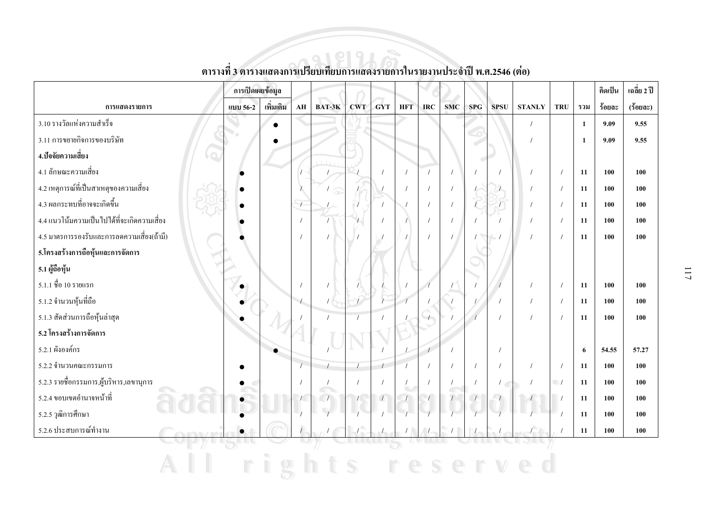|                                             | การเปิดเผยข้อมูล |           |                  |        |            |            |                                      |               |            |     |               |               |            |              | คิดเป็น | เฉลี่ย 2 ปี |
|---------------------------------------------|------------------|-----------|------------------|--------|------------|------------|--------------------------------------|---------------|------------|-----|---------------|---------------|------------|--------------|---------|-------------|
| การแสดงรายการ                               | แบบ 56-2         | เพิ่มเติม | AH               | BAT-3K | <b>CWT</b> | <b>GYT</b> | <b>HFT</b>                           | <b>IRC</b>    | <b>SMC</b> | SPG | <b>SPSU</b>   | <b>STANLY</b> | <b>TRU</b> | รวม          | ร้อยละ  | (ร้อยละ)    |
| 3.10 รางวัลแห่งความสำเร็จ                   |                  |           |                  |        |            |            |                                      |               |            |     |               | $\prime$      |            | $\mathbf{1}$ | 9.09    | 9.55        |
| 3.11 การขยายกิจการของบริษัท                 |                  |           |                  |        |            |            |                                      |               |            |     |               |               |            | $\mathbf{1}$ | 9.09    | 9.55        |
| 4.ปัจจัยความเสี่ยง                          |                  |           |                  |        |            |            |                                      |               |            |     |               |               |            |              |         |             |
| 4.1 ลักษณะความเสี่ยง                        |                  |           |                  |        |            |            | $\prime$                             | $\prime$      |            |     |               |               |            | 11           | 100     | 100         |
| 4.2 เหตุการณ์ที่เป็นสาเหตุของความเสี่ยง     |                  |           |                  | ös     |            |            |                                      | $\prime$      |            |     |               |               |            | 11           | 100     | 100         |
| 4.3 ผลกระทบที่อาจจะเกิดขึ้น                 |                  |           | $\overline{1}$   |        |            |            |                                      |               |            |     | 7             |               |            | 11           | 100     | 100         |
| 4.4 แนวโน้มความเป็นไปได้ที่จะเกิดความเสี่ยง |                  |           | $\sqrt{ }$       |        |            |            |                                      |               |            |     |               |               |            | 11           | 100     | 100         |
| 4.5 มาตรการรองรับและการลดความเสี่ยง(ถ้ามี)  |                  |           |                  |        |            |            |                                      |               |            |     |               |               |            | 11           | 100     | 100         |
| 5.โครงสร้างการถือหุ้นและการจัดการ           |                  |           |                  |        |            |            |                                      |               |            |     |               |               |            |              |         |             |
| 5.1 ผู้ถือหุ้น                              |                  |           |                  |        |            |            |                                      |               |            |     |               |               |            |              |         |             |
| 5.1.1 ชื่อ 10 รายแรก                        |                  |           |                  |        |            |            |                                      |               |            |     |               |               | $\prime$   | 11           | 100     | 100         |
| 5.1.2 จำนวนหุ้นที่ถือ                       |                  |           | $\left  \right $ |        |            |            |                                      |               |            |     |               |               | $\prime$   | 11           | 100     | 100         |
| 5.1.3 สัดส่วนการถือหุ้นล่าสุด               |                  |           |                  |        |            |            |                                      |               |            |     |               |               |            | 11           | 100     | 100         |
| 5.2 โครงสร้างการจัดการ                      |                  |           |                  |        |            |            |                                      |               |            |     |               |               |            |              |         |             |
| 5.2.1 ผังองค์กร                             |                  |           |                  |        |            |            |                                      | $\mathcal{P}$ |            |     |               |               |            | 6            | 54.55   | 57.27       |
| 5.2.2 จำนวนคณะกรรมการ                       |                  |           |                  |        |            |            |                                      |               |            |     |               |               | $\prime$   | 11           | 100     | 100         |
| 5.2.3 รายชื่อกรรมการ,ผู้บริหาร,เลขานุการ    |                  |           |                  |        |            |            | $\prime$<br>$\overline{\phantom{a}}$ |               |            |     | $\frac{1}{2}$ |               | $\Box$     | 11           | 100     | 100         |
| $\sqrt{2}$<br>5.2.4 ขอบเขตอำนาจหน้าที่      |                  |           |                  | Œ      |            |            |                                      |               |            |     |               |               |            | 11           | 100     | 100         |
| 5.2.5 วุฒิการศึกษา                          |                  |           |                  |        |            |            |                                      |               |            |     |               |               |            | 11           | 100     | 100         |
| 5.2.6 ประสบการณ์ทำงาน                       |                  |           |                  |        |            |            |                                      |               |            |     |               |               |            | 11           | 100     | 100         |
|                                             |                  |           |                  |        |            |            |                                      |               |            |     |               |               |            |              |         |             |
|                                             |                  |           |                  |        |            |            |                                      |               |            |     |               |               |            |              |         |             |

# ี<br>ตารางที่ 3 ตารางแสดงการเปรียบเทียบการแสดงรายการในรายงานประจำปี พ.ศ.2546 (ต่อ)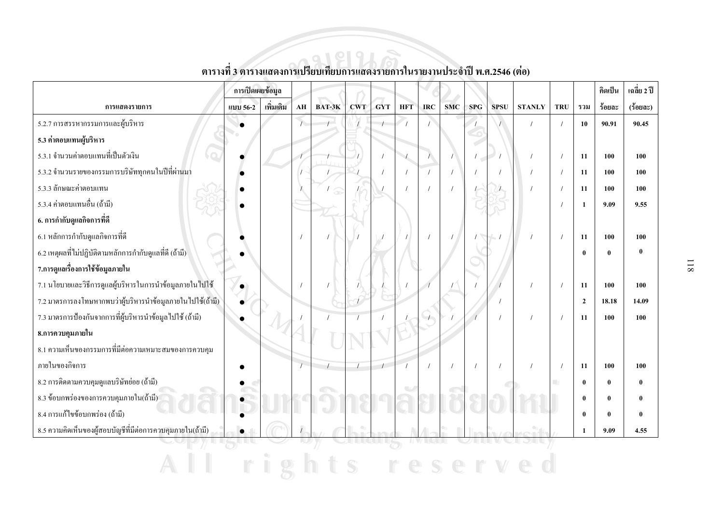|                                                            | การเปิดเผยข้อมูล |           |            |        |            |            |            |            |            |            |             |               |                  |                | คิดเป็น  | เฉลี่ย 2 ปี  |
|------------------------------------------------------------|------------------|-----------|------------|--------|------------|------------|------------|------------|------------|------------|-------------|---------------|------------------|----------------|----------|--------------|
| การแสดงรายการ                                              | แบบ 56-2         | เพิ่มเติม | ${\bf AH}$ | BAT-3K | <b>CWT</b> | <b>GYT</b> | <b>HFT</b> | <b>IRC</b> | <b>SMC</b> | <b>SPG</b> | <b>SPSU</b> | <b>STANLY</b> | <b>TRU</b>       | รวม            | ร้อยละ   | $(3$ อยละ)   |
| 5.2.7 การสรรหากรรมการและผู้บริหาร                          |                  |           |            |        |            |            |            |            |            |            |             |               |                  | 10             | 90.91    | 90.45        |
| 5.3 ค่ำตอบแทนผู้บริหาร                                     |                  |           |            |        |            |            |            |            |            |            |             |               |                  |                |          |              |
| 5.3.1 จำนวนค่าตอบแทนที่เป็นตัวเงิน                         |                  |           |            |        |            |            | $\sqrt{2}$ |            |            |            |             |               |                  | 11             | 100      | 100          |
| 5.3.2 จำนวนรายของกรรมการบริษัททุกคนในปีที่ผ่านมา           |                  |           |            |        |            |            |            |            |            |            |             |               |                  | 11             | 100      | 100          |
| 5.3.3 ลักษณะค่าตอบแทน                                      |                  |           |            |        |            |            |            |            |            |            |             |               |                  | 11             | 100      | 100          |
| 5.3.4 ค่าตอบแทนอื่น (ถ้ามี)                                |                  |           |            |        |            |            |            |            |            |            |             |               |                  | $\mathbf{1}$   | 9.09     | 9.55         |
| 6. การกำกับดูแลกิจการที่ดี                                 |                  |           |            |        |            |            |            |            |            |            |             |               |                  |                |          |              |
| 6.1 หลักการกำกับดูแลกิจการที่ดี                            |                  |           |            |        |            |            |            |            |            |            |             |               |                  | 11             | 100      | 100          |
| 6.2 เหตุผลที่ไม่ปฏิบัติตามหลักการกำกับดูแลที่ดี (ถ้ามี)    |                  |           |            |        |            |            |            |            |            |            |             |               |                  | $\mathbf{0}$   | $\bf{0}$ | $\mathbf{0}$ |
| 7.การดูแลเรื่องการใช้ข้อมูลภายใน                           |                  |           |            |        |            |            |            |            |            |            |             |               |                  |                |          |              |
| 7.1 นโยบายและวิธีการดูแลผู้บริหารในการนำข้อมูลภายในไปใช้   |                  |           |            |        |            |            |            |            |            |            |             |               |                  | 11             | 100      | 100          |
| 7.2 มาตรการลงโทษหากพบว่าผู้บริหารนำข้อมูลภายในไปใช้(ถ้ามี) |                  |           |            |        |            |            |            |            |            |            |             |               |                  | $\overline{2}$ | 18.18    | 14.09        |
| 7.3 มาตรการป้องกันจากการที่ผู้บริหารนำข้อมูล ไปใช้ (ถ้ามี) |                  |           |            |        |            |            |            |            |            |            |             |               |                  | 11             | 100      | 100          |
| 8.การควบคุมภายใน                                           |                  |           |            |        |            |            |            |            |            |            |             |               |                  |                |          |              |
| 8.1 ความเห็นของกรรมการที่มีต่อความเหมาะสมของการควบคุม      |                  |           |            |        |            |            |            |            |            |            |             |               |                  |                |          |              |
| ภายในของกิจการ                                             |                  |           |            |        |            |            |            |            |            |            |             |               |                  | 11             | 100      | 100          |
| 8.2 การติดตามควบคุมดูแลบริษัทย่อย (ถ้ามี)                  |                  |           |            |        |            |            |            |            |            |            |             |               | <b>The State</b> | $\mathbf{0}$   | $\bf{0}$ | $\mathbf{0}$ |
| 8.3 ข้อบกพร่องของการควบคุมภายใน(ถ้ามี)                     |                  |           |            |        |            |            |            |            |            |            |             |               |                  | $\mathbf{0}$   | $\bf{0}$ | $\bf{0}$     |
| 8.4 การแก้ไขข้อบกพร่อง (ถ้ามี)                             |                  |           |            |        |            |            |            |            |            |            |             |               |                  | $\mathbf{0}$   | $\bf{0}$ | $\mathbf{0}$ |
| 8.5 ความคิดเห็นของผู้สอบบัญชีที่มีต่อการควบคุมภายใน(ถ้ามี) |                  |           |            |        |            |            |            |            |            |            |             |               |                  | 1              | 9.09     | 4.55         |
|                                                            |                  |           |            |        |            |            |            |            |            |            |             |               |                  |                |          |              |

ตารางที่ 3 ตารางแสดงการเปรียบเทียบการแสดงรายการในรายงานประจำปี พ.ศ.2546 (ต่อ)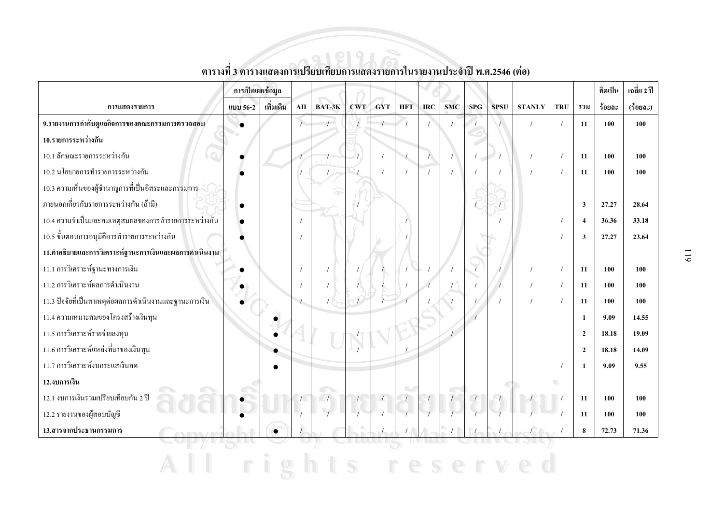|                                                         | การเปิดเผยข้อมูล |           |                  |            |            |          |            |            |            |            |             |               |     |                         | คิดเป็น | เฉลี่ย 2 ปี |
|---------------------------------------------------------|------------------|-----------|------------------|------------|------------|----------|------------|------------|------------|------------|-------------|---------------|-----|-------------------------|---------|-------------|
| การแสดงรายการ                                           | แบบ 56-2         | เพิ่มเติม | AH               | BAT-3K     | <b>CWT</b> | GYT      | <b>HFT</b> | <b>IRC</b> | <b>SMC</b> | <b>SPG</b> | <b>SPSU</b> | <b>STANLY</b> | TRU | รวม                     | ร้อยละ  | $(3$ อยละ)  |
| 9.รายงานการกำกับดูแลกิจการของคณะกรรมการตรวจสอบ          |                  |           | $\overline{1}$   |            |            |          |            |            |            |            |             |               |     | 11                      | 100     | 100         |
| 10.รายการระหว่างกัน                                     |                  |           |                  |            |            |          |            |            |            |            |             |               |     |                         |         |             |
| 10.1 ลักษณะรายการระหว่างกัน                             |                  |           |                  |            |            | $\prime$ | $\sqrt{ }$ |            |            | $\prime$   |             |               |     | 11                      | 100     | 100         |
| 10.2 นโยบายการทำรายการระหว่างกัน                        |                  |           |                  |            |            |          |            |            |            |            |             |               |     | 11                      | 100     | 100         |
| 10.3 ความเห็นของผู้ชำนาญการที่เป็นอิสระและกรรมการ       |                  |           |                  |            |            |          |            |            |            |            |             |               |     |                         |         |             |
| ิภายนอกเกี่ยวกับรายการระหว่างกัน (ถ้ามี)                |                  |           |                  |            |            |          |            |            |            |            |             |               |     | $\overline{\mathbf{3}}$ | 27.27   | 28.64       |
| 10.4 ความจำเป็นและสมเหตุสมผลของการทำรายการระหว่างกัน    |                  |           |                  |            |            |          |            |            |            |            |             |               |     | $\overline{4}$          | 36.36   | 33.18       |
| 10.5 ขั้นตอนการอนุมัติการทำรายการระหว่างกัน             |                  |           |                  |            |            |          |            |            |            |            |             |               |     | $\overline{\mathbf{3}}$ | 27.27   | 23.64       |
| 11.คำอธิบายและการวิเคราะห์ฐานะการเงินและผลการดำเนินงาน  |                  |           |                  |            |            |          |            |            |            |            |             |               |     |                         |         |             |
| 11.1 การวิเคราะห์ฐานะทางการเงิน                         |                  |           |                  |            |            |          |            |            |            |            |             |               |     | 11                      | 100     | 100         |
| 11.2 การวิเคราะห์ผลการดำเนินงาน                         |                  |           |                  |            |            |          |            |            |            |            |             |               |     | 11                      | 100     | 100         |
| 11.3 ปัจจัยที่เป็นสาเหตุต่อผลการคำเนินงานและฐานะการเงิน |                  |           | $\left  \right $ |            |            |          |            |            |            |            |             |               |     | 11                      | 100     | 100         |
| 11.4 ความเหมาะสมของโครงสร้างเงินทุน                     |                  |           |                  |            |            |          |            |            |            |            |             |               |     | $\mathbf{1}$            | 9.09    | 14.55       |
| 11.5 การวิเคราะห์รายจ่ายลงทุน                           |                  |           |                  |            |            |          |            |            |            |            |             |               |     | $\overline{2}$          | 18.18   | 19.09       |
| 11.6 การวิเคราะห์แหล่งที่มาของเงินทุน                   |                  |           |                  |            |            |          |            |            |            |            |             |               |     | $\overline{2}$          | 18.18   | 14.09       |
| 11.7 การวิเคราะห์งบกระแสเงินสด                          |                  |           |                  |            |            |          |            |            |            |            |             |               |     | 1                       | 9.09    | 9.55        |
| 12.งบการเงิน                                            |                  |           |                  |            |            |          |            |            |            |            |             |               | m.  |                         |         |             |
| 12.1 งบการเงินรวมเปรียบเทียบกัน 2 ปี                    |                  |           |                  | $\sqrt{2}$ |            |          |            |            | $\sqrt{2}$ |            |             |               |     | 11                      | 100     | 100         |
| 12.2 รายงานของผู้สอบบัญชี                               |                  |           |                  |            |            |          |            |            |            |            |             |               |     | 11                      | 100     | 100         |
| 13.สารจากประธานกรรมการ                                  |                  | $\bullet$ |                  |            |            |          |            |            |            |            |             |               |     | 8                       | 72.73   | 71.36       |
|                                                         |                  |           |                  |            |            |          |            |            |            |            |             |               |     |                         |         |             |
|                                                         |                  |           |                  |            |            |          |            |            |            |            |             |               |     |                         |         |             |

# ์<br>ตารางที่ 3 ตารางแสดงการเปรียบเทียบการแสดงรายการในรายงานประจำปี พ.ศ.2546 (ต่อ)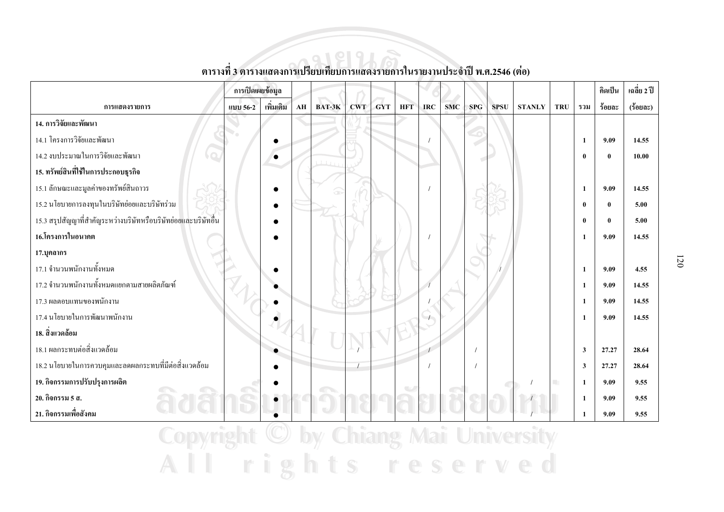|                                                                | การเปิดเผยข้อมูล |           |    |        |            |            |            |            |            |     |             |               |            |              | <u>คิดเป็น</u> | เฉลี่ย 2 ปี   |
|----------------------------------------------------------------|------------------|-----------|----|--------|------------|------------|------------|------------|------------|-----|-------------|---------------|------------|--------------|----------------|---------------|
| การแสดงรายการ                                                  | แบบ 56-2         | เพิ่มเติม | AH | BAT-3K | <b>CWT</b> | <b>GYT</b> | <b>HFT</b> | <b>IRC</b> | <b>SMC</b> | SPG | <b>SPSU</b> | <b>STANLY</b> | <b>TRU</b> | รวม          | ร้อยละ         | $(3$ oua $z)$ |
| 14. การวิจัยและพัฒนา                                           |                  |           |    |        |            |            |            |            |            |     |             |               |            |              |                |               |
| 14.1 โครงการวิจัยและพัฒนา                                      |                  |           |    |        |            |            |            |            |            |     |             |               |            | 1            | 9.09           | 14.55         |
| 14.2 งบประมาณในการวิจัยและพัฒนา                                |                  | $\bullet$ |    |        |            |            |            |            |            |     |             |               |            | $\mathbf{0}$ | $\bf{0}$       | 10.00         |
| 15. ทรัพย์สินที่ใช้ในการประกอบธุรกิจ                           |                  |           |    |        |            |            |            |            |            |     |             |               |            |              |                |               |
| 15.1 ลักษณะและมูลค่าของทรัพย์สินถาวร                           |                  |           |    |        |            |            |            |            |            |     |             |               |            | 1            | 9.09           | 14.55         |
| 15.2 นโยบายการลงทุนในบริษัทย่อยและบริษัทร่วม                   |                  |           |    |        |            |            |            |            |            |     |             |               |            | $\bf{0}$     | $\bf{0}$       | 5.00          |
| 15.3 สรุปสัญญาที่สำคัญระหว่างบริษัทหรือบริษัทย่อยและบริษัทอื่น |                  |           |    |        |            |            |            |            |            |     |             |               |            | $\mathbf{0}$ | $\bf{0}$       | 5.00          |
| 16.โครงการในอนาคต                                              |                  |           |    |        |            |            |            |            |            |     |             |               |            | 1            | 9.09           | 14.55         |
| 17.บุคลากร                                                     |                  |           |    |        |            |            |            |            |            |     |             |               |            |              |                |               |
| 17.1 จำนวนพนักงานทั้งหมด                                       |                  |           |    |        |            |            |            |            |            |     |             |               |            | 1            | 9.09           | 4.55          |
| 17.2 จำนวนพนักงานทั้งหมดแยกตามสายผลิตภัณฑ์                     |                  |           |    |        |            |            |            |            |            |     |             |               |            | 1            | 9.09           | 14.55         |
| 17.3 ผลตอบแทนของพนักงาน                                        |                  |           |    |        |            |            |            |            |            |     |             |               |            | 1            | 9.09           | 14.55         |
| 17.4 นโยบายในการพัฒนาพนักงาน                                   |                  |           |    |        |            |            |            |            |            |     |             |               |            | 1            | 9.09           | 14.55         |
| 18. สิ่งแวดล้อม                                                |                  |           |    |        |            |            |            |            |            |     |             |               |            |              |                |               |
| 18.1 ผลกระทบต่อสิ่งแวดล้อม                                     |                  |           |    |        |            |            |            |            |            |     |             |               |            | $\mathbf{3}$ | 27.27          | 28.64         |
| 18.2 นโยบายในการควบคุมและลดผลกระทบที่มีต่อสิ่งแวดล้อม          |                  |           |    |        |            |            |            |            |            |     |             |               |            | 3            | 27.27          | 28.64         |
| 19. กิจกรรมการปรับปรุงการผลิต                                  |                  |           |    |        |            |            |            |            |            |     |             |               | m.         | $\mathbf{1}$ | 9.09           | 9.55          |
| 20. กิจกรรม 5 ส.                                               |                  |           |    |        |            |            |            |            |            |     |             |               |            | $\mathbf{1}$ | 9.09           | 9.55          |
| 21. กิจกรรมเพื่อสังคม                                          |                  |           |    |        |            |            |            |            |            |     |             |               |            | 1            | 9.09           | 9.55          |
| <b>No. 1 March 1984</b>                                        |                  |           |    |        |            |            |            |            |            |     |             |               |            |              |                |               |

### ตารางที่ 3 ตารางแสดงการเปรียบเทียบการแสดงรายการในรายงานประจำปี พ.ศ.2546 (ต่อ)

Copyright  $\cup$  by Chiang Mai University All rights reserved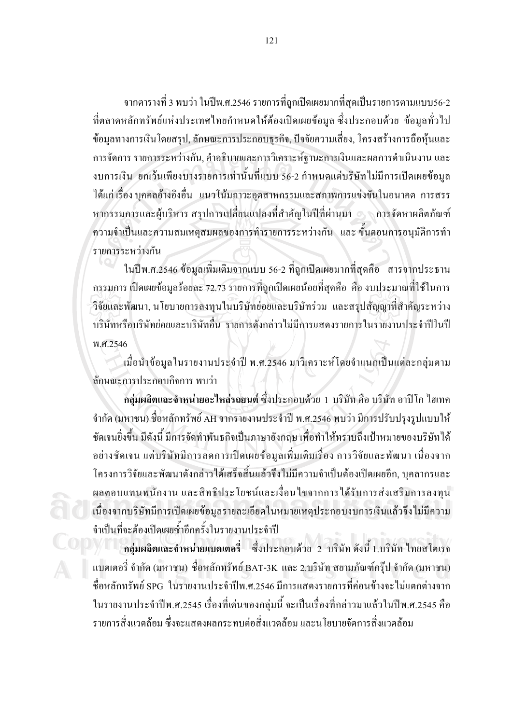ี จากตารางที่ 3 พบว่า ในปีพ.ศ.2546 รายการที่ถูกเปิดเผยมากที่สุดเป็นรายการตามแบบ56-2 ที่ตลาดหลักทรัพย์แห่งประเทศไทยกำหนดให้ต้องเปิดเผยข้อมูล ซึ่งประกอบด้วย ข้อมูลทั่วไป ข้อมูลทางการเงินโดยสรุป, ลักษณะการประกอบธุรกิจ, ปัจจัยความเสี่ยง, โครงสร้างการถือหุ้นและ ึการจัดการ รายการระหว่างกัน, คำอธิบายและการวิเคราะห์ฐานะการเงินและผลการดำเนินงาน และ ึ่งบการเงิน ยกเว้นเพียงบางรายการเท่านั้นที่แบบ 56-2 กำหนดแต่บริษัทไม่มีการเปิดเผยข้อมูล ใด้แก่ เรื่อง บุคคลอ้างอิงอื่น แนวโน้มภาวะอุตสาหกรรมและสภาพการแข่งขันในอนาคต การสรร หากรรมการและผู้บริหาร สรุปการเปลี่ยนแปลงที่สำคัญในปีที่ผ่านมา ๑ การจัดหาผลิตภัณฑ์ ี ความจำเป็นและความสมเหตุสมผลของการทำรายการระหว่างกัน และ ขั้นตอนการอนุมัติการทำ รายการระหว่างกัน

ในปีพ.ศ.2546 ข้อมูลเพิ่มเติมจากแบบ 56-2 ที่ถูกเปิดเผยมากที่สุดคือ สารจากประธาน ี กรรมการ เปิดเผยข้อมูลร้อยละ 72.73 รายการที่ถูกเปิดเผยน้อยที่สุดกือ คือ งบประมาณที่ใช้ในการ ้วิจัยและพัฒนา, นโยบายการลงทุนในบริษัทย่อยและบริษัทร่วม และสรุปสัญญาที่สำคัญระหว่าง ้บริษัทหรือบริษัทย่อยและบริษัทอื่น รายการดังกล่าวไม่มีการแสดงรายการในรายงานประจำปีในปี พ.ศ.2546

้ เมื่อนำข้อมูลในรายงานประจำปี พ.ศ.2546 มาวิเคราะห์โดยจำแนกเป็นแต่ละกลุ่มตาม ลักษณะการประกอบกิจการ พบว่า

ึกลุ่มผลิตและจำหน่ายอะไหล่รถยนต์ ซึ่งประกอบด้วย 1 บริษัท คือ บริษัท อาปิโก ไฮเทค ี จำกัด (มหาชน) ชื่อหลักทรัพย์ AH จากรายงานประจำปี พ.ศ.2546 พบว่า มีการปรับปรุงรูปแบบให้ ชัดเจนยิ่งขึ้น มีดังนี้ มีการจัดทำพันธกิจเป็นภาษาอังกฤษ เพื่อทำให้ทราบถึงเป้าหมายของบริษัทได้ ้อย่างชัดเจน แต่บริษัทมีการลดการเปิดเผยข้อมูลเพิ่มเติมเรื่อง การวิจัยและพัฒนา เนื่องจาก โครงการวิจัยและพัฒนาดังกล่าวได้เสร็จสิ้นแล้วจึงไม่มีความจำเป็นต้องเปิดเผยอีก, บุคลากรและ ผลตอบแทนพนักงาน และสิทธิประโยชน์และเงื่อนใขจากการใด้รับการส่งเสริมการลงทุน ้เนื่องจากบริษัทมีการเปิดเผยข้อมูลรายละเอียดในหมายเหตุประกอบงบการเงินแล้วจึงไม่มีความ จำเป็นที่จะต้องเปิดเผยซ้ำอีกครั้งในรายงานประจำปี

ึกสุ่มผลิตและจำหน่ายแบตเตอรี่ ซึ่งประกอบด้วย 2 บริษัท ดังนี้ 1.บริษัท ไทยสโตเรจ แบตเตอรี่ จำกัด (มหาชน) ชื่อหลักทรัพย์ BAT-3K และ 2.บริษัท สยามภัณฑ์กรุ๊ป จำกัด (มหาชน) ชื่อหลักทรัพย์ SPG ในรายงานประจำปีพ.ศ.2546 มีการแสดงรายการที่ค่อนข้างจะไม่แตกต่างจาก ในรายงานประจำปีพ.ศ.2545 เรื่องที่เค่นของกลุ่มนี้ จะเป็นเรื่องที่กล่าวมาแล้วในปีพ.ศ.2545 คือ ้ รายการสิ่งแวดล้อม ซึ่งจะแสดงผลกระทบต่อสิ่งแวดล้อม และนโยบายจัดการสิ่งแวดล้อม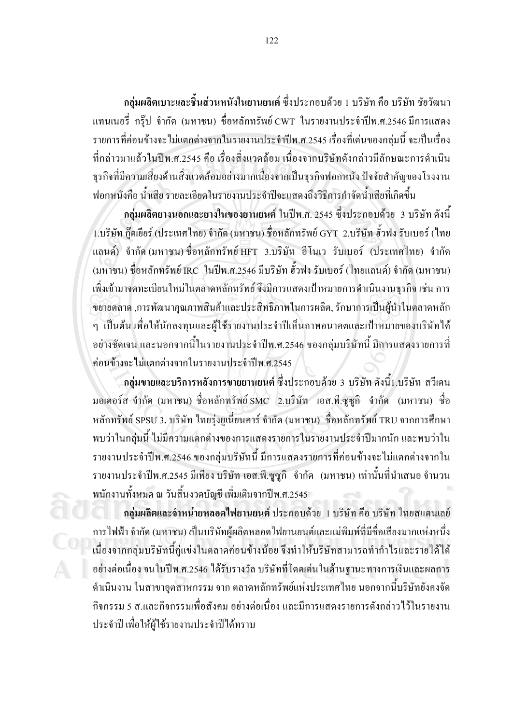ึกลุ่มผลิตเบาะและชิ้นส่วนหนังในยานยนต์ ซึ่งประกอบด้วย 1 บริษัท คือ บริษัท ชัยวัฒนา แทนเนอรี่ กรุ๊ป จำกัด (มหาชน) ชื่อหลักทรัพย์ CWT ในรายงานประจำปีพ.ศ.2546 มีการแสดง รายการที่ค่อนข้างจะไม่แตกต่างจากในรายงานประจำปีพ.ศ.2545 เรื่องที่เค่นของกลุ่มนี้ จะเป็นเรื่อง ที่กล่าวมาแล้วในปีพ.ศ.2545 คือ เรื่องสิ่งแวดล้อม เนื่องจากบริษัทดังกล่าวมีลักษณะการดำเนิน รุรกิจที่มีความเสี่ยงด้านสิ่งแวดล้อมอย่างมากเนื่องจากเป็นรุรกิจฟอกหนัง ปัจจัยสำคัญของโรงงาน ฟอกหนังคือ น้ำเสีย รายละเอียดในรายงานประจำปีจะแสดงถึงวิธีการกำจัดน้ำเสียที่เกิดขึ้น

กลุ่มผลิตยางนอกและยางในของยานยนต์ ในปีพ.ศ. 2545 ซึ่งประกอบด้วย 3 บริษัท ดังนี้ 1.บริษัท ก็คเยียร์ (ประเทศไทย) จำกัด (มหาชน) ชื่อหลักทรัพย์ GYT 2.บริษัท ฮั่วฟง รับเบอร์ (ไทย แลนด์) จำกัด(มหาชน)ชื่อหลักทรัพย์ HFT 3.บริษัท อีโนเว รับเบอร์ (ประเทศไทย) จำกัด (มหาชน) ชื่อหลักทรัพย์ IRC ในปีพ.ศ.2546 มีบริษัท ฮั้วฟง รับเบอร์ (ไทยแลนด์) จำกัด (มหาชน) ้เพิ่งเข้ามาจดทะเบียนใหม่ในตลาดหลักทรัพย์ จึงมีการแสดงเป้าหมายการดำเนินงานธุรกิจ เช่น การ ้ ขยายตลาด ,การพัฒนาคุณภาพสินค้าและประสิทธิภาพในการผลิต, รักษาการเป็นผู้นำในตลาดหลัก ๆ เป็นต้น เพื่อให้นักลงทุนและผู้ใช้รายงานประจำปีเห็นภาพอนาคตและเป้าหมายของบริษัทได้ ้อย่างชัดเจน และนอกจากนี้ในรายงานประจำปีพ.ศ.2546 ของกล่มบริษัทนี้ มีการแสดงรายการที่ ีค่อนข้างจะไม่แตกต่างจากในรายงานประจำปีพ.ศ.2545

ึกลุ่มขายและบริการหลังการขายยานยนต์ ซึ่งประกอบด้วย 3 บริษัท ดังนี้1.บริษัท สวีเดน มอเตอร์ส จำกัด (มหาชน) ชื่อหลักทรัพย์ SMC 2.บริษัท เอส.พี.ซูซูกิ จำกัด (มหาชน) ชื่อ หลักทรัพย์ SPSU 3. บริษัท ไทยร่งยูเนี่ยนคาร์ จำกัด (มหาชน) ชื่อหลักทรัพย์ TRU จากการศึกษา พบว่าในกลุ่มนี้ ไม่มีความแตกต่างของการแสดงรายการในรายงานประจำปีมากนัก และพบว่าใน รายงานประจำปีพ.ศ.2546 ของกล่มบริษัทนี้ มีการแสดงรายการที่ค่อนข้างจะไม่แตกต่างจากใน รายงานประจำปีพ.ศ.2545 มีเพียง บริษัท เอส.พี.ซูซูกิ จำกัด (มหาชน) เท่านั้นที่นำเสนอ จำนวน พนักงานทั้งหมด ณ วันสิ้นงวดบัญชี เพิ่มเติมจากปีพ.ศ.2545

ึกลุ่มผลิตและจำหน่ายหลอดไฟยานยนต์ ประกอบด้วย 1 บริษัท กือ บริษัท ไทยสแตนเลย์ ึการไฟฟ้า จำกัด (มหาชน) เป็นบริษัทผ้ผลิตหลอดไฟยานยนต์และแม่พิมพ์ที่มีชื่อเสียงมากแห่งหนึ่ง เนื่องจากกลุ่มบริษัทนี้คู่แข่งในตลาดค่อนข้างน้อย จึงทำให้บริษัทสามารถทำกำไรและรายได้ได้ ้อย่างต่อเนื่อง จนในปีพ.ศ.2546 ได้รับรางวัล บริษัทที่โดดเด่นในด้านฐานะทางการเงินและผลการ ี คำเนินงาน ในสาขาอตสาหกรรม จาก ตลาดหลักทรัพย์แห่งประเทศไทย นอกจากนี้บริษัทยังคงจัด ้กิจกรรม 5 ส.และกิจกรรมเพื่อสังคม อย่างต่อเนื่อง และมีการแสดงรายการดังกล่าวไว้ในรายงาน ประจำปี เพื่อให้ผู้ใช้รายงานประจำปีใด้ทราบ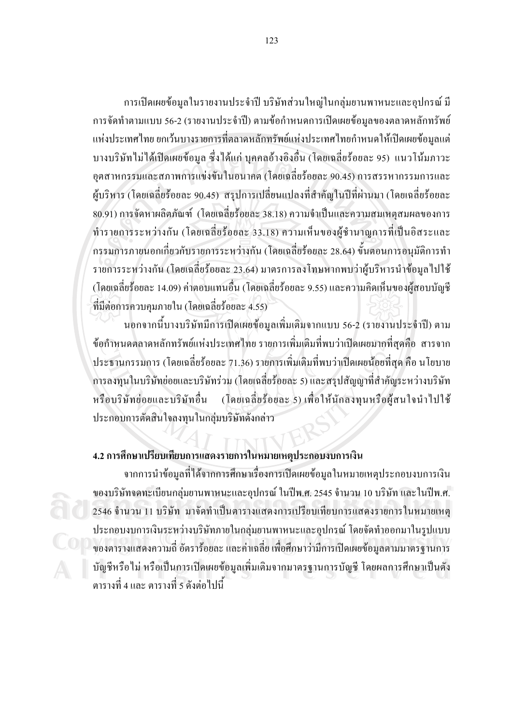ึการเปิดเผยข้อมูลในรายงานประจำปี บริษัทส่วนใหญ่ในกลุ่มยานพาหนะและอุปกรณ์ มี ึการจัดทำตามแบบ 56-2 (รายงานประจำปี) ตามข้อกำหนดการเปิดเผยข้อมูลของตลาดหลักทรัพย์ ้ แห่งประเทศไทย ยกเว้นบางรายการที่ตลาดหลักทรัพย์แห่งประเทศไทยกำหนดให้เปิดเผยข้อมูลแต่ ้บางบริษัทไม่ได้เปิดเผยข้อมูล ซึ่งได้แก่ บุคคลอ้างอิงอื่น (โดยเฉลี่ยร้อยละ 95) แนวโน้มภาวะ ้อุตสาหกรรมและสภาพการแข่งขันในอนาคต (โดยเฉลี่ยร้อยละ 90.45) การสรรหากรรมการและ ผู้บริหาร (โคยเฉลี่ยร้อยละ 90.45) สรุปการเปลี่ยนแปลงที่สำคัญในปีที่ผ่านมา (โคยเฉลี่ยร้อยละ 80.91) การจัดหาผลิตภัณฑ์ (โดยเฉลี่ยร้อยละ 38.18) ความจำเป็นและความสมเหตุสมผลของการ ี ทำรายการระหว่างกัน (โดยเฉลี่ยร้อยละ 33.18) ความเห็นของผู้ชำนาญการที่เป็นอิสระและ ึกรรมการภายนอกเกี่ยวกับรายการระหว่างกัน (โดยเฉลี่ยร้อยละ 28.64) ขั้นตอนการอนุมัติการทำ ้รายการระหว่างกัน (โดยเฉลี่ยร้อยละ 23.64) มาตรการลงโทษหากพบว่าผู้บริหารนำข้อมูล ไปใช้ (โดยเฉลี่ยร้อยละ 14.09) ค่าตอบแทนอื่น (โดยเฉลี่ยร้อยละ 9.55) และความคิดเห็นของผู้สอบบัญชี ที่มีต่อการควบคมภายใน (โดยเฉลี่ยร้อยละ 4.55)

้นอกจากนี้บางบริษัทมีการเปิดเผยข้อมูลเพิ่มเติมจากแบบ 56-2 (รายงานประจำปี) ตาม ข้อกำหนดตลาดหลักทรัพย์แห่งประเทศไทย รายการเพิ่มเติมที่พบว่าเปิดเผยมากที่สุดคือ สารจาก ี ประธานกรรมการ (โดยเฉลี่ยร้อยละ 71.36) รายการเพิ่มเติมที่พบว่าเปิดเผยน้อยที่สุด คือ นโยบาย ึการลงทุนในบริษัทย่อยและบริษัทร่วม (โดยเฉลี่ยร้อยละ 5) และสรุปสัญญาที่สำคัญระหว่างบริษัท หรือบริษัทย่อยและบริษัทอื่น (โดยเฉลี่ยร้อยละ 5) เพื่อให้นักลงทุนหรือผู้สนใจนำไปใช้ ประกอบการตัดสินใจลงทุนในกลุ่มบริษัทดังกล่าว

#### 4.2 การศึกษาเปรียบเทียบการแสดงรายการในหมายเหตุประกอบงบการเงิน

ิจากการนำข้อมูลที่ได้จากการศึกษาเรื่องการเปิดเผยข้อมูลในหมายเหตุประกอบงบการเงิน ของบริษัทจดทะเบียนกลุ่มยานพาหนะและอุปกรณ์ ในปีพ.ศ. 2545 จำนวน 10 บริษัท และในปีพ.ศ. 2546 จำนวน 11 บริษัท มาจัดทำเป็นตารางแสดงการเปรียบเทียบการแสดงรายการในหมายเหตุ ประกอบงบการเงินระหว่างบริษัทภายในกลุ่มยานพาหนะและอุปกรณ์ โดยจัดทำออกมาในรูปแบบ ี ของตารางแสดงความถี่ อัตราร้อยละ และค่าเฉลี่ย เพื่อศึกษาว่ามีการเปิดเผยข้อมูลตามมาตรฐานการ บัญชีหรือไม่ หรือเป็นการเปิดเผยข้อมูลเพิ่มเติมจากมาตรฐานการบัญชี โดยผลการศึกษาเป็นดัง ตารางที่ 4 และ ตารางที่ 5 ดังต่อไปนี้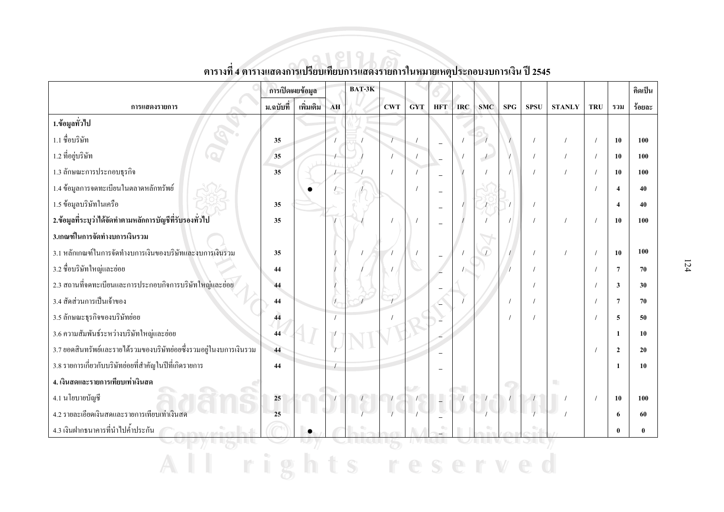|                                                                    | การเปิดเผยข้อมูล |           |    | $BAT-3K$ |     |            |                          |            |            |            |             |                  |            |                        | คิดเป็น |
|--------------------------------------------------------------------|------------------|-----------|----|----------|-----|------------|--------------------------|------------|------------|------------|-------------|------------------|------------|------------------------|---------|
| การแสดงรายการ                                                      | ม.ฉบับที่        | เพิ่มเติม | AH |          | CWT | <b>GYT</b> | <b>HFT</b>               | <b>IRC</b> | <b>SMC</b> | <b>SPG</b> | <b>SPSU</b> | <b>STANLY</b>    | <b>TRU</b> | รวม                    | ร้อยละ  |
| 1.ข้อมูลทั่วไป                                                     |                  |           |    |          |     |            |                          |            |            |            |             |                  |            |                        |         |
| 1.1 ชื่อบริษัท                                                     | 35               |           |    |          |     |            |                          |            |            |            |             |                  |            | 10                     | 100     |
| 1.2 ที่อยู่บริษัท                                                  | 35               |           |    |          |     |            | $\overline{\phantom{a}}$ |            |            |            |             |                  |            | 10                     | 100     |
| 1.3 ลักษณะการประกอบธุรกิจ                                          | 35               |           |    |          |     |            |                          |            |            |            |             |                  |            | 10                     | 100     |
| 1.4 ข้อมูลการจดทะเบียนในตลาดหลักทรัพย์                             |                  |           |    |          |     |            |                          |            |            |            |             |                  |            | $\boldsymbol{\Lambda}$ | 40      |
| 1.5 ข้อมูลบริษัทในเครือ                                            | 35               |           |    |          |     |            | $\overline{\phantom{a}}$ |            |            |            |             |                  |            | $\boldsymbol{\Lambda}$ | 40      |
| 2.ข้อมูลที่ระบุว่าได้จัดทำตามหลักการบัญชีที่รับรองทั่วไป           | 35               |           |    |          |     |            | $\overline{\phantom{0}}$ |            |            |            |             |                  |            | 10                     | 100     |
| 3.เกณฑ์ในการจัดทำงบการเงินรวม                                      |                  |           |    |          |     |            |                          |            |            |            |             |                  |            |                        |         |
| 3.1 หลักเกณฑ์ในการจัดทำงบการเงินของบริษัทและงบการเงินรวม           | 35               |           |    |          |     |            |                          |            |            |            |             |                  |            | 10                     | 100     |
| 3.2 ชื่อบริษัทใหญ่และย่อย                                          | 44               |           |    |          |     |            |                          |            |            |            |             |                  |            | 7                      | 70      |
| 2.3 สถานที่จดทะเบียนและการประกอบกิจการบริษัทใหญ่และย่อย            | 44               |           |    |          |     |            |                          |            |            |            |             |                  |            | 3                      | 30      |
| 3.4 สัดส่วนการเป็นเจ้าของ                                          | 44               |           |    |          |     |            |                          |            |            |            |             |                  |            | 7                      | 70      |
| 3.5 ลักษณะธุรกิจของบริษัทย่อย                                      | 44               |           |    |          |     |            |                          |            |            |            |             |                  |            | 5                      | 50      |
| 3.6 ความสัมพันธ์ระหว่างบริษัทใหญ่และย่อย                           | 44               |           |    |          |     |            |                          |            |            |            |             |                  |            | $\mathbf{1}$           | 10      |
| 3.7 ยอคสินทรัพย์และรายใค้รวมของบริษัทย่อยซึ่งรวมอยู่ในงบการเงินรวม | 44               |           |    |          |     |            |                          |            |            |            |             |                  |            | $\overline{2}$         | 20      |
| 3.8 รายการเกี่ยวกับบริษัทย่อยที่สำคัญในปีที่เกิดรายการ             | 44               |           |    |          |     |            |                          |            |            |            |             |                  |            | $\mathbf{1}$           | 10      |
| 4. เงินสดและรายการเทียบเท่าเงินสด                                  |                  |           |    |          |     |            |                          |            |            |            |             | <b>The State</b> |            |                        |         |
| 4.1 นโยบายบัญชี                                                    | 25               |           |    |          |     |            | $\overline{\phantom{a}}$ |            |            |            |             |                  |            | 10                     | 100     |
| 4.2 รายละเอียดเงินสดและรายการเทียบเท่าเงินสด                       | 25               |           |    |          |     |            |                          |            |            |            |             |                  |            | -6                     | 60      |
| 4.3 เงินฝากธนาคารที่นำไปค้ำประกัน                                  |                  |           |    |          |     |            |                          |            |            |            |             |                  |            | $\mathbf{0}$           |         |
|                                                                    |                  |           |    |          |     |            |                          |            |            |            |             |                  |            |                        |         |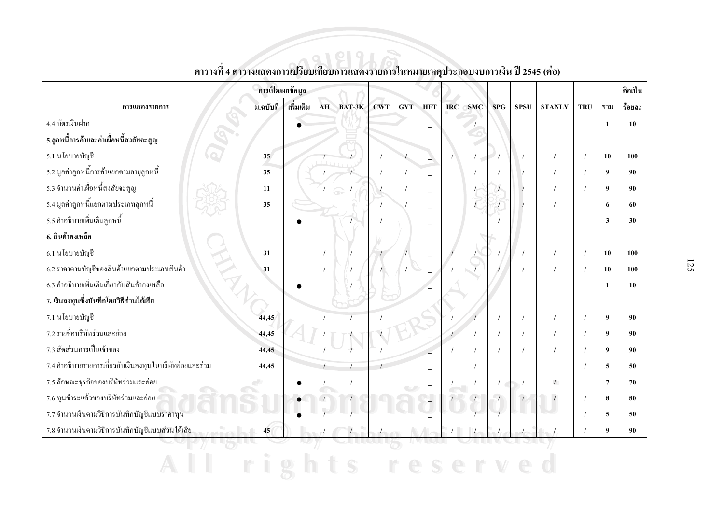|                                                         | การเปิดเผยข้อมูล |           |    |        |            |            |            |            |            |            |             |               |            |                  | ิคิดเป็น |
|---------------------------------------------------------|------------------|-----------|----|--------|------------|------------|------------|------------|------------|------------|-------------|---------------|------------|------------------|----------|
| การแสดงรายการ                                           | ิม.ฉบับที่       | เพิ่มเติม | AH | BAT-3K | <b>CWT</b> | <b>GYT</b> | <b>HFT</b> | <b>IRC</b> | <b>SMC</b> | <b>SPG</b> | <b>SPSU</b> | <b>STANLY</b> | <b>TRU</b> | รวม              | ร้อยละ   |
| 4.4 บัตรเงินฝาก                                         |                  | $\bullet$ |    |        |            |            |            |            |            |            |             |               |            | $\mathbf{1}$     | 10       |
| 5.ลูกหนี้การค้าและค่าเผื่อหนี้สงสัยจะสูญ                |                  |           |    |        |            |            |            |            |            |            |             |               |            |                  |          |
| 5.1 นโยบายบัญชี                                         | 35               |           |    |        |            |            |            |            |            |            |             |               |            | 10               | 100      |
| ่ 5.2 มูลค่าลูกหนี้การค้าแยกตามอายุลูกหนี้              | 35               |           |    |        |            |            |            |            |            |            |             |               |            | 9                | 90       |
| 5.3 จำนวนค่าเผื่อหนี้สงสัยจะสูญ                         | 11               |           |    |        |            |            |            |            |            |            |             |               |            | $\boldsymbol{Q}$ | 90       |
| ่ 5.4 มูลค่าลูกหนี้แยกตามประเภทลูกหนี้                  | 35               |           |    |        |            |            |            |            |            |            |             |               |            | 6                | 60       |
| 5.5 คำอธิบายเพิ่มเติมลูกหนี้                            |                  |           |    |        |            |            |            |            |            |            |             |               |            | 3                | 30       |
| 6. สินค้าคงเหลือ                                        |                  |           |    |        |            |            |            |            |            |            |             |               |            |                  |          |
| 6.1 นโยบายบัญชี                                         | 31               |           |    |        |            |            |            |            |            |            |             |               |            | 10               | 100      |
| 6.2 รากาตามบัญชีของสินค้าแยกตามประเภทสินค้า             | 31               |           |    |        |            |            |            |            |            |            |             |               |            | 10               | 100      |
| 6.3 คำอธิบายเพิ่มเติมเกี่ยวกับสินค้าคงเหลือ             |                  |           |    |        |            |            |            |            |            |            |             |               |            | $\mathbf{1}$     | 10       |
| 7. เงินลงทุนซึ่งบันทึกโดยวิธีส่วนใด้เสีย                |                  |           |    |        |            |            |            |            |            |            |             |               |            |                  |          |
| 7.1 นโยบายบัญชี                                         | 44,45            |           |    |        |            |            |            |            |            |            |             |               |            | 9                | 90       |
| 7.2 รายชื่อบริษัทร่วมและย่อย                            | 44,45            |           |    |        |            |            |            |            |            | $\prime$   |             |               |            | $\boldsymbol{9}$ | 90       |
| 7.3 สัดส่วนการเป็นเจ้าของ                               | 44,45            |           |    |        |            |            |            |            |            |            |             |               |            | $\boldsymbol{9}$ | 90       |
| 7.4 คำอธิบายรายการเกี่ยวกับเงินลงทุนในบริษัทย่อยและร่วม | 44,45            |           |    |        |            |            |            |            |            |            |             |               |            | 5                | 50       |
| 7.5 ลักษณะธุรกิจของบริษัทร่วมและย่อย                    |                  |           |    |        |            |            |            |            |            | $\sqrt{2}$ |             | $\sqrt{2}$    |            | $\overline{7}$   | 70       |
| 7.6 ทุนชำระแล้วของบริษัทร่วมและย่อย                     |                  |           |    |        |            |            |            | $\sqrt{2}$ |            |            |             |               |            | 8                | 80       |
| 7.7 จำนวนเงินตามวิธีการบันทึกบัญชีแบบราคาทุน            |                  |           |    |        |            |            |            |            |            |            |             |               |            | 5                | 50       |
| 7.8 จำนวนเงินตามวิธีการบันทึกบัญชีแบบส่วนใด้เสีย        | 45               |           |    |        |            |            |            |            |            |            |             |               |            | $\boldsymbol{9}$ | 90       |
|                                                         |                  |           |    |        |            |            |            |            |            |            |             |               |            |                  |          |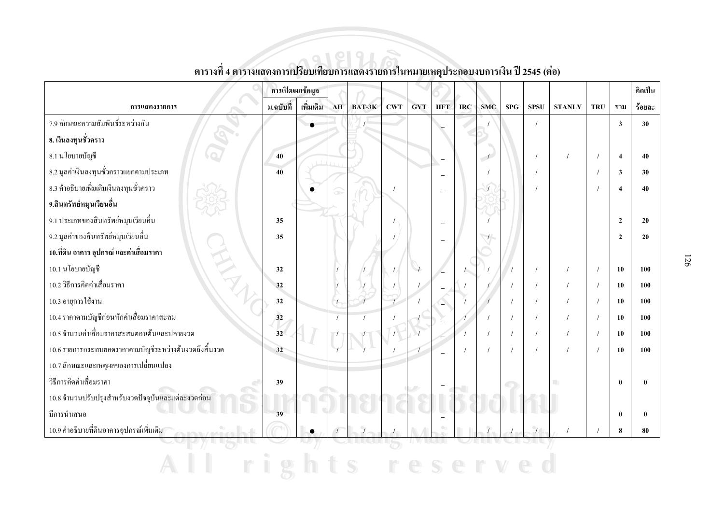|                                                        | การเปิดเผยข้อมูล |           |    |          |            |            |            |            |                          |             |             |               |            |                         | คิดเป็น |
|--------------------------------------------------------|------------------|-----------|----|----------|------------|------------|------------|------------|--------------------------|-------------|-------------|---------------|------------|-------------------------|---------|
| การแสดงรายการ                                          | ม.ฉบับที่        | เพิ่มเติม | AH | $BAT-3K$ | <b>CWT</b> | <b>GYT</b> | <b>HFT</b> | <b>IRC</b> | <b>SMC</b>               | ${\bf SPG}$ | <b>SPSU</b> | <b>STANLY</b> | <b>TRU</b> | รวม                     | ร้อยละ  |
| 7.9 ลักษณะความสัมพันธ์ระหว่างกัน                       |                  |           |    |          |            |            |            |            |                          |             |             |               |            | $\overline{\mathbf{3}}$ | 30      |
| 8. เงินลงทุนชั่วคราว                                   |                  |           |    |          |            |            |            |            |                          |             |             |               |            |                         |         |
| 8.1 นโยบายบัญชี                                        | 40               |           |    |          |            |            |            |            | $\overline{\phantom{a}}$ |             |             |               |            | $\overline{\bf{4}}$     | 40      |
| 8.2 มูลค่าเงินลงทุนชั่วคราวแยกตามประเภท                | 40               |           |    |          |            |            |            |            |                          |             |             |               |            | $\overline{\mathbf{3}}$ | 30      |
| 8.3 คำอธิบายเพิ่มเติมเงินลงทุนชั่วคราว                 |                  |           |    |          |            |            |            |            |                          |             |             |               |            | $\boldsymbol{\Lambda}$  | 40      |
| 9.สินทรัพย์หมุนเวียนอื่น                               |                  |           |    |          |            |            |            |            |                          |             |             |               |            |                         |         |
| 9.1 ประเภทของสินทรัพย์หมุนเวียนอื่น                    | 35               |           |    |          |            |            |            |            |                          |             |             |               |            | $\overline{2}$          | 20      |
| 9.2 มูลค่าของสินทรัพย์หมุนเวียนอื่น                    | 35               |           |    |          |            |            |            |            |                          |             |             |               |            | $\mathbf{2}$            | 20      |
| 10.ที่ดิน อาคาร อุปกรณ์ และค่าเสื่อมราคา               |                  |           |    |          |            |            |            |            |                          |             |             |               |            |                         |         |
| 10.1 นโยบายบัญชี                                       | 32               |           |    |          |            |            |            |            |                          |             |             |               |            | 10                      | 100     |
| 10.2 วิธีการคิดค่าเสื่อมรากา                           | 32               |           |    |          |            |            |            |            |                          |             |             |               |            | 10                      | 100     |
| 10.3 อายุการใช้งาน                                     | 32               |           |    |          |            |            |            |            |                          |             |             |               |            | 10                      | 100     |
| 10.4 ราคาตามบัญชีก่อนหักค่าเสื่อมราคาสะสม              | 32               |           |    |          |            |            |            |            |                          |             |             |               |            | 10                      | 100     |
| 10.5 จำนวนค่าเสื่อมราคาสะสมตอนต้นและปลายงวด            | 32               |           |    |          |            |            |            |            |                          |             |             |               |            | 10                      | 100     |
| 10.6 รายการกระทบยอดรากาตามบัญชีระหว่างต้นงวดถึงสิ้นงวด | 32               |           |    |          |            |            |            |            |                          |             |             |               |            | 10                      | 100     |
| 10.7 ลักษณะและเหตุผลของการเปลี่ยนแปลง                  |                  |           |    |          |            |            |            |            |                          |             |             |               |            |                         |         |
| วิธีการคิดค่าเสื่อมราคา                                | 39               |           |    |          |            |            |            |            |                          |             |             |               |            | $\theta$                |         |
| 10.8 จำนวนปรับปรุงสำหรับงวดปัจจุบันและแต่ละงวดก่อน     |                  |           |    |          |            |            |            |            |                          |             |             |               |            |                         |         |
| มีการนำเสนอ                                            | 39               |           |    |          |            |            |            |            |                          |             |             |               |            | $\mathbf{0}$            |         |
| 10.9 คำอธิบายที่ดินอาคารอุปกรณ์เพิ่มเติม               |                  |           |    |          |            |            | $\bullet$  |            |                          |             |             |               |            | 8                       | 80      |
|                                                        |                  |           |    |          |            |            |            |            |                          |             |             |               |            |                         |         |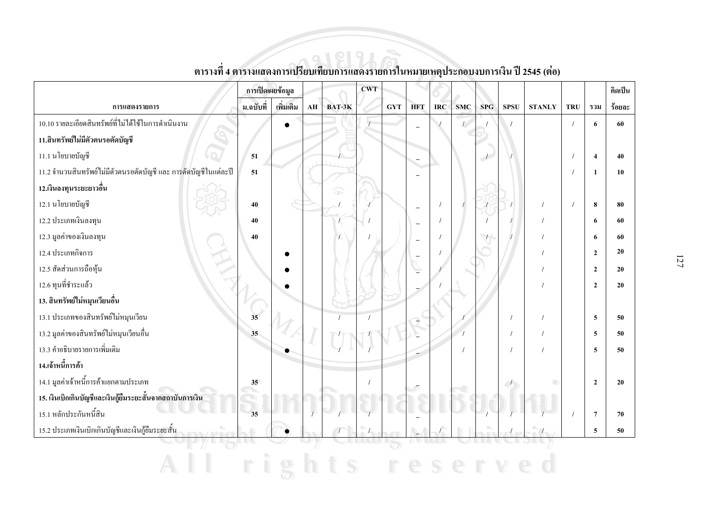|                                                                  | การเปิดเผยข้อมูล |           |    |        | <b>CWT</b> |            |                          |            |            |                |             |               |            |                        | คิดเป็น |
|------------------------------------------------------------------|------------------|-----------|----|--------|------------|------------|--------------------------|------------|------------|----------------|-------------|---------------|------------|------------------------|---------|
| การแสดงรายการ                                                    | ม.ฉบับที่        | เพิ่มเติม | AH | BAT-3K |            | <b>GYT</b> | <b>HFT</b>               | <b>IRC</b> | <b>SMC</b> | SPG            | <b>SPSU</b> | <b>STANLY</b> | <b>TRU</b> | รวม                    | ร้อยละ  |
| 10.10 รายละเอียดสินทรัพย์ที่ไม่ได้ใช้ในการคำเนินงาน              |                  | $\bullet$ |    |        |            |            | $\overline{\phantom{0}}$ |            | $\sqrt{2}$ |                |             |               |            | 6                      | 60      |
| 11.สินทรัพย์ใม่มีตัวตนรอตัดบัญชี                                 |                  |           |    |        |            |            |                          |            |            |                |             |               |            |                        |         |
| 11.1 นโยบายบัญชี                                                 | 51               |           |    |        |            |            | $\overline{\phantom{0}}$ |            |            | $\overline{D}$ |             |               |            | $\boldsymbol{\Lambda}$ | 40      |
| 11.2 จำนวนสินทรัพย์ไม่มีตัวตนรอตัดบัญชี และ การตัดบัญชีในแต่ละปี | 51               |           |    |        |            |            | $\equiv$                 |            |            |                |             |               |            | 1                      | 10      |
| 12.เงินลงทุนระยะยาวอื่น                                          |                  |           |    | æ      |            |            |                          |            |            |                |             |               |            |                        |         |
| 12.1 นโยบายบัญชี                                                 | 40               |           |    |        |            |            | $\overline{\phantom{a}}$ | $\prime$   |            |                |             |               |            | 8                      | 80      |
| 12.2 ประเภทเงินลงทุน                                             | 40               |           |    |        |            |            | $\overline{\phantom{0}}$ | $\prime$   |            |                |             |               |            | 6                      | 60      |
| 12.3 มูลค่าของเงินลงทุน                                          | 40               |           |    |        |            |            | $\overline{\phantom{0}}$ | $\prime$   |            |                |             |               |            | 6                      | 60      |
| 12.4 ประเภทกิจการ                                                |                  |           |    |        |            |            |                          |            |            |                |             |               |            | $\overline{2}$         | 20      |
| 12.5 สัดส่วนการถือหุ้น                                           |                  |           |    |        |            |            |                          |            |            |                |             |               |            | $\overline{2}$         | 20      |
| 12.6 ทุนที่ชำระแล้ว                                              |                  |           |    |        |            |            |                          |            |            |                |             |               |            | $\overline{2}$         | 20      |
| 13. สินทรัพย์ใม่หมุนเวียนอื่น                                    |                  |           |    |        |            |            |                          |            |            |                |             |               |            |                        |         |
| 13.1 ประเภทของสินทรัพย์ใม่หมุนเวียน                              | 35               |           |    |        |            |            |                          |            |            |                |             |               |            | 5                      | 50      |
| 13.2 มูลค่าของสินทรัพย์ใม่หมุนเวียนอื่น                          | 35               |           |    |        |            |            |                          |            |            |                |             |               |            | 5                      | 50      |
| 13.3 คำอธิบายรายการเพิ่มเติม                                     |                  |           |    |        |            |            |                          |            |            |                |             |               |            | 5                      | 50      |
| 14.เจ้าหนี้การค้า                                                |                  |           |    |        |            |            |                          |            |            |                |             |               |            |                        |         |
| 14.1 มูลค่าเจ้าหนี้การค้าแยกตามประเภท                            | 35 <sup>5</sup>  |           |    |        |            |            |                          |            |            |                | $\sqrt{2}$  | П             |            | $\overline{2}$         | 20      |
| 15. เงินเบิกเกินบัญชีและเงินกู้ยืมระยะสั้นจากสถาบันการเงิน       |                  |           |    |        |            |            |                          |            |            |                |             |               |            |                        |         |
| 15.1 หลักประกันหนี้สิน                                           | 35               |           |    |        |            |            |                          |            |            |                |             |               |            | $7\phantom{.0}$        | 70      |
| 15.2 ประเภทเงินเบิกเกินบัญชีและเงินกู้ขึ้มระยะสั้น               |                  |           |    |        |            |            |                          |            |            |                |             |               |            | 5                      | 50      |
|                                                                  |                  |           |    |        |            |            |                          |            |            |                |             |               |            |                        |         |
|                                                                  |                  |           |    |        |            |            |                          |            |            |                |             |               |            |                        |         |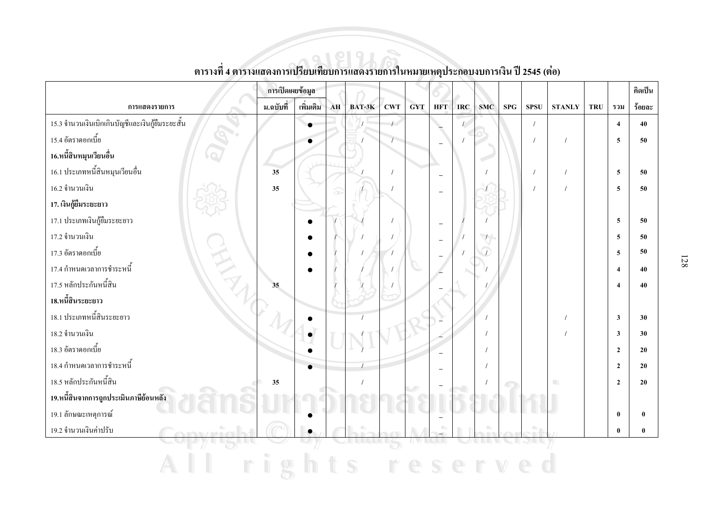|                                                  | การเปิดเผยข้อมูล |           |            |                |            |            |                          |            |            |            |             |                 |            |                         | คิดเป็น      |
|--------------------------------------------------|------------------|-----------|------------|----------------|------------|------------|--------------------------|------------|------------|------------|-------------|-----------------|------------|-------------------------|--------------|
| การแสดงรายการ                                    | ม.ฉบับที่        | เพิ่มเติม | ${\bf AH}$ | BAT-3K         | <b>CWT</b> | <b>GYT</b> | <b>HFT</b>               | <b>IRC</b> | <b>SMC</b> | <b>SPG</b> | <b>SPSU</b> | $\bold{STANLY}$ | <b>TRU</b> | รวม                     | ร้อยละ       |
| 15.3 จำนวนเงินเบิกเกินบัญชีและเงินกู้ยืมระยะสั้น |                  |           |            | $\overline{1}$ | $\sqrt{ }$ |            |                          | $\sqrt{2}$ |            |            | $\prime$    |                 |            | $\overline{4}$          | 40           |
| 15.4 อัตราคอกเบี้ย                               |                  |           |            |                |            |            |                          |            |            |            |             | $\prime$        |            | 5                       | 50           |
| 16.หนี้สินหมุนเวียนอื่น                          |                  |           |            |                |            |            |                          |            |            |            |             |                 |            |                         |              |
| 16.1 ประเภทหนี้สินหมุนเวียนอื่น                  | 35               |           |            |                | $\prime$   |            | $\overline{\phantom{a}}$ |            |            |            | $\sqrt{2}$  | $\prime$        |            | 5                       | 50           |
| 16.2 จำนวนเงิน                                   | 35               |           | æ          |                |            |            | $\equiv$                 |            |            |            |             | $\prime$        |            | 5                       | 50           |
| 17. เงินกู้ยืมระยะยาว                            |                  |           |            |                |            |            |                          |            |            |            |             |                 |            |                         |              |
| 17.1 ประเภทเงินกู้ยืมระยะยาว                     |                  |           |            |                |            |            | $\overline{\phantom{0}}$ |            |            |            |             |                 |            | 5                       | 50           |
| 17.2 จำนวนเงิน                                   |                  |           |            |                |            |            | $\equiv$                 |            |            |            |             |                 |            | 5                       | 50           |
| 17.3 อัตราคอกเบี้ย                               |                  |           |            |                |            |            |                          |            |            |            |             |                 |            | 5                       | 50           |
| HATH.<br>17.4 กำหนดเวลาการชำระหนี้               |                  |           |            |                |            |            |                          |            |            |            |             |                 |            | $\overline{4}$          | 40           |
| 17.5 หลักประกันหนี้สิน                           | 35               |           |            |                |            |            |                          |            |            |            |             |                 |            | $\boldsymbol{\Lambda}$  | 40           |
| 18.หนี้สินระยะยาว                                |                  |           |            |                |            |            |                          |            |            |            |             |                 |            |                         |              |
| 18.1 ประเภทหนี้สินระยะยาว                        |                  |           |            |                |            |            |                          |            |            |            |             |                 |            | $\overline{\mathbf{3}}$ | 30           |
| 18.2 จำนวนเงิน                                   |                  |           |            |                |            |            |                          |            |            |            |             |                 |            | $\overline{\mathbf{3}}$ | 30           |
| 18.3 อัตราคอกเบี้ย                               |                  |           |            |                |            |            |                          |            |            |            |             |                 |            | $\overline{2}$          | 20           |
| 18.4 กำหนดเวลาการชำระหนี้                        |                  |           |            |                |            |            |                          |            |            |            |             |                 |            | $\overline{2}$          | 20           |
| 18.5 หลักประกันหนี้สิน                           | 35               |           |            |                |            |            |                          |            |            |            |             |                 |            | $\overline{2}$          | 20           |
| 19.หนี้สินจากการถูกประเมินภาษีย้อนหลัง           |                  |           |            |                |            |            |                          |            |            |            |             |                 |            |                         |              |
| 19.1 ลักษณะเหตุการณ์                             |                  |           |            |                |            |            |                          |            |            |            |             |                 |            | $\bf{0}$                | $\mathbf{0}$ |
| 19.2 จำนวนเงินค่าปรับ<br><b>LOWER / MADE</b>     |                  | $\bullet$ |            |                |            |            |                          |            |            |            |             |                 |            | $\mathbf{0}$            |              |
|                                                  |                  |           |            |                |            | II V Z     |                          |            |            |            |             |                 |            |                         |              |
|                                                  |                  |           |            |                |            |            |                          |            |            |            |             |                 |            |                         |              |

ตารางที่ 4 ตารางแสดงการเปรียบเทียบการแสดงรายการในหมายเหตุประกอบงบการเงิน ปี 2545 (ต่อ)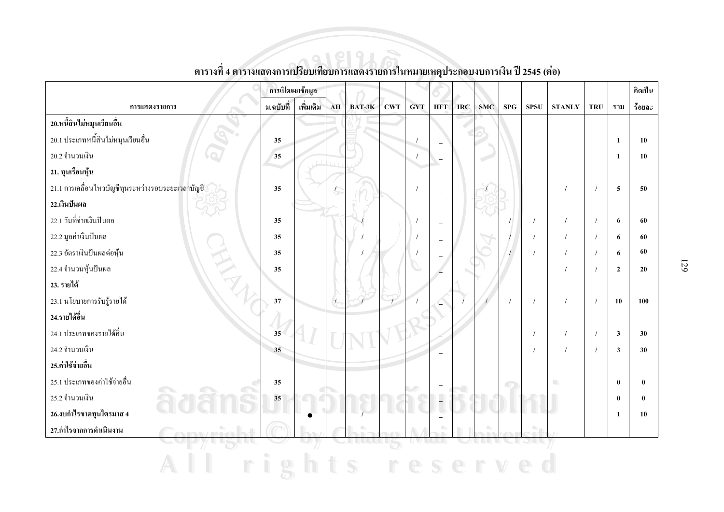|                                                   | การเปิดเผยข้อมูล |            |               |        |            |            |                          |            |            |            |             |               |            |                | คิดเป็น      |
|---------------------------------------------------|------------------|------------|---------------|--------|------------|------------|--------------------------|------------|------------|------------|-------------|---------------|------------|----------------|--------------|
| การแสดงรายการ                                     | ม.ฉบับที่        | เพิ่มเติม  | ${\bf AH}$    | BAT-3K | <b>CWT</b> | <b>GYT</b> | <b>HFT</b>               | <b>IRC</b> | <b>SMC</b> | <b>SPG</b> | <b>SPSU</b> | <b>STANLY</b> | <b>TRU</b> | รวม            | ร้อยละ       |
| 20.หนี้สินไม่หมุนเวียนอื่น                        |                  |            |               |        |            |            |                          |            |            |            |             |               |            |                |              |
| 20.1 ประเภทหนี้สินไม่หมุนเวียนอื่น                | 35               |            |               |        |            | $\prime$   |                          |            |            |            |             |               |            | 1              | 10           |
| 20.2 จำนวนเงิน                                    | 35               |            |               |        |            | $\prime$   | $\qquad \qquad -$        |            |            |            |             |               |            | 1              | 10           |
| 21. ทุนเรือนหุ้น                                  |                  |            |               |        |            |            |                          |            |            |            |             |               |            |                |              |
| 21.1 การเคลื่อนใหวบัญชีทุนระหว่างรอบระยะเวลาบัญชี | 35               |            |               |        |            | $\prime$   | $\overline{\phantom{a}}$ |            |            |            |             |               |            | 5              | 50           |
| 22.เงินปันผล                                      |                  |            |               |        |            |            |                          |            |            |            |             |               |            |                |              |
| 22.1 วันที่จ่ายเงินปันผล                          | 35               |            |               |        |            |            | $\overline{\phantom{a}}$ |            |            |            |             |               |            | 6              | 60           |
| 22.2 มูลค่าเงินปันผล                              | 35               |            |               |        |            |            | $\overline{\phantom{a}}$ |            |            |            | $\prime$    | $\prime$      |            | 6              | 60           |
| HA<br>22.3 อัตราเงินปันผลต่อหุ้น                  | 35               |            |               |        |            |            |                          |            |            |            |             | $\prime$      |            | 6              | 60           |
| 22.4 จำนวนหุ้นปันผล                               | 35               |            |               |        |            |            |                          |            |            |            |             |               |            | $\overline{2}$ | 20           |
| 23. รายได้                                        |                  |            |               |        |            |            |                          |            |            |            |             |               |            |                |              |
| 23.1 นโยบายการรับรู้รายได้                        | 37               |            | $\mathcal{L}$ |        |            |            |                          |            |            |            |             |               |            | 10             | 100          |
| 24.รายได้อื่น                                     |                  |            |               |        |            |            |                          |            |            |            |             |               |            |                |              |
| 24.1 ประเภทของรายได้อื่น                          | 35               |            |               |        |            |            |                          |            |            |            |             | $\prime$      |            | $\mathbf{3}$   | 30           |
| 24.2 จำนวนเงิน                                    | 35               |            |               |        |            |            |                          |            |            |            |             | $\prime$      |            | $\mathbf{3}$   | 30           |
| 25.ค่าใช้จ่ายอื่น                                 |                  |            |               |        |            |            |                          |            |            |            |             |               |            |                |              |
| 25.1 ประเภทของค่าใช้จ่ายอื่น                      | 35               | $\sqrt{2}$ |               |        |            |            |                          |            |            | Œ          |             |               |            | $\mathbf{0}$   | $\mathbf{0}$ |
| 25.2 จำนวนเงิน                                    | 35               |            |               |        |            |            | $\overline{\phantom{a}}$ |            |            |            |             |               |            | $\bf{0}$       | $\mathbf{0}$ |
| 26.งบกำไรขาดทุนไตรมาส 4                           |                  |            |               |        |            |            | $\overline{\phantom{a}}$ |            |            |            |             |               |            | 1              | 10           |
| 27.กำไรจากการดำเนินงาน                            |                  |            |               |        |            |            | $\bullet$                |            |            |            | $\bullet$   |               |            |                |              |
|                                                   |                  |            |               |        | 75         |            |                          |            |            |            |             |               |            |                |              |
|                                                   |                  |            |               | S      |            |            |                          |            |            |            |             |               |            |                |              |

ตารางที่ 4 ตารางแสดงการเปรียบเทียบการแสดงรายการในหมายเหตุประกอบงบการเงิน ปี 2545 (ต่อ)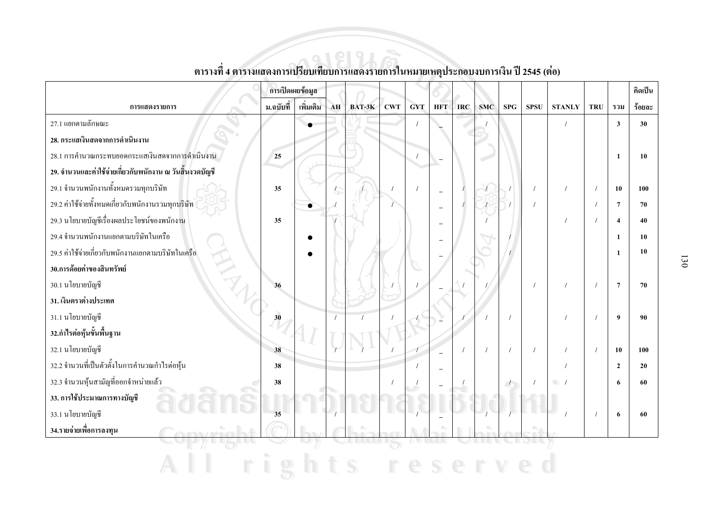|                                                            |           | การเปิดเผยข้อมูล |    |        |            |            |                          |            |            |                          |             |                          |            |                         | ลิดเป็น |
|------------------------------------------------------------|-----------|------------------|----|--------|------------|------------|--------------------------|------------|------------|--------------------------|-------------|--------------------------|------------|-------------------------|---------|
| การแสดงรายการ                                              | ม.ฉบับที่ | เพิ่มเติม        | AH | BAT-3K | <b>CWT</b> | <b>GYT</b> | <b>HFT</b>               | <b>IRC</b> | <b>SMC</b> | <b>SPG</b>               | <b>SPSU</b> | <b>STANLY</b>            | <b>TRU</b> | รวม                     | ร้อยละ  |
| 27.1 แยกตามลักษณะ                                          |           |                  |    |        |            | $\prime$   |                          |            |            |                          |             |                          |            | $\overline{\mathbf{3}}$ | 30      |
| 28. กระแสเงินสดจากการดำเนินงาน                             |           |                  |    |        |            |            |                          |            |            |                          |             |                          |            |                         |         |
| 28.1 การคำนวณกระทบยอดกระแสเงินสดจากการคำเนินงาน            | 25        |                  |    |        |            |            | $\overline{\phantom{0}}$ |            |            |                          |             |                          |            | $\mathbf{1}$            | 10      |
| ่ 29. จำนวนและค่าใช้จ่ายเกี่ยวกับพนักงาน ณ วันสิ้นงวดบัญชี |           |                  |    |        |            |            |                          |            |            |                          |             |                          |            |                         |         |
| 29.1 จำนวนพนักงานทั้งหมดรวมทุกบริษัท                       | 35        |                  |    |        |            |            | $\overline{\phantom{a}}$ |            |            |                          |             |                          |            | 10                      | 100     |
| 29.2 ค่าใช้จ่ายทั้งหมดเกี่ยวกับพนักงานรวมทุกบริษัท         |           |                  |    |        |            |            |                          |            |            |                          |             |                          |            | $\overline{7}$          | 70      |
| 29.3 นโยบายบัญชีเรื่องผลประโยชน์ของพนักงาน                 | 35        |                  |    |        |            |            |                          |            |            |                          |             |                          |            | $\boldsymbol{A}$        | 40      |
| 29.4 จำนวนพนักงานแยกตามบริษัทในเครือ                       |           |                  |    |        |            |            |                          |            |            |                          |             |                          |            | $\mathbf{1}$            | 10      |
| 29.5 ค่าใช้จ่ายเกี่ยวกับพนักงานแยกตามบริษัทในเครือ         |           |                  |    |        |            |            |                          |            |            |                          |             |                          |            | -1                      | 10      |
| 30.การด้อยค่าของสินทรัพย์                                  |           |                  |    |        |            |            |                          |            |            |                          |             |                          |            |                         |         |
| 30.1 นโยบายบัญชี                                           | 36        |                  |    |        |            |            |                          |            |            |                          |             |                          |            | $\overline{7}$          | 70      |
| 31. เงินตราต่างประเทศ                                      |           |                  |    |        |            |            |                          |            |            |                          |             |                          |            |                         |         |
| 31.1 นโยบายบัญชี                                           | 30        |                  |    |        |            |            |                          |            |            |                          |             |                          |            | 9                       | 90      |
| 32.กำไรต่อหุ้นขั้นพื้นฐาน                                  |           |                  |    |        |            |            |                          |            |            |                          |             |                          |            |                         |         |
| 32.1 นโยบายบัญชี                                           | 38        |                  |    |        |            |            |                          |            |            |                          |             |                          | $\prime$   | 10                      | 100     |
| 32.2 จำนวนที่เป็นตัวตั้งในการคำนวณกำไรต่อหุ้น              | 38        |                  |    |        |            |            |                          |            |            |                          |             |                          |            | $\overline{2}$          | 20      |
| 32.3 จำนวนหุ้นสามัญที่ออกจำหน่ายแล้ว                       | 38        |                  |    |        |            |            |                          |            |            | $\overline{\phantom{a}}$ |             | $\overline{\phantom{a}}$ |            | 6                       | 60      |
| 33. การใช้ประมาณการทางบัญชี                                |           |                  |    |        |            |            |                          |            |            |                          |             |                          |            |                         |         |
| 33.1 นโยบายบัญชี                                           | 35        |                  |    |        |            |            |                          |            |            |                          |             |                          |            | 6                       | 60      |
| 34.รายจ่ายเพื่อการลงทุน                                    |           |                  |    |        |            |            |                          |            |            |                          |             |                          |            |                         |         |
|                                                            |           |                  |    |        |            |            |                          |            |            |                          |             |                          |            |                         |         |
|                                                            |           |                  |    |        |            |            |                          |            |            |                          |             |                          |            |                         |         |

์<br>ตารางที่ 4 ตารางแสดงการเปรียบเทียบการแสดงรายการในหมายเหตุประกอบงบการเงิน ปี 2545 (ต่อ)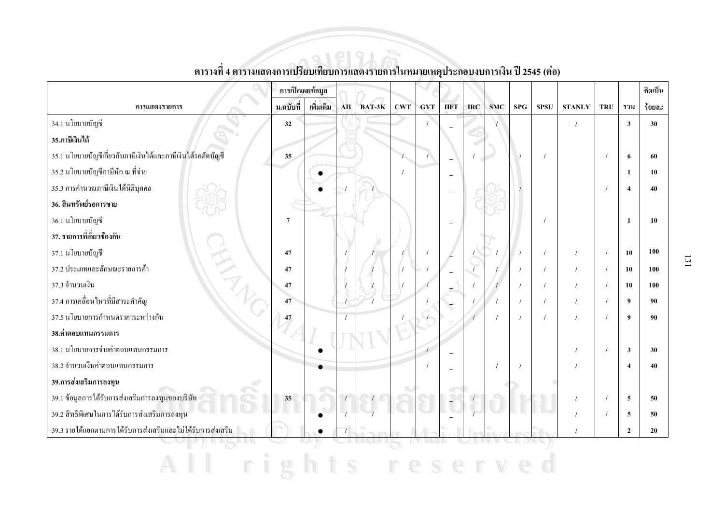|                                                              | การเปิดเผยข้อมูล |           |    |        |            |            |            |            |            |             |             |               |            |                  | คิดเป็น |
|--------------------------------------------------------------|------------------|-----------|----|--------|------------|------------|------------|------------|------------|-------------|-------------|---------------|------------|------------------|---------|
| การแสดงรายการ                                                | ม.ฉบับที่        | เพิ่มเติม | AH | BAT-3K | <b>CWT</b> | <b>GYT</b> | <b>HFT</b> | <b>IRC</b> | <b>SMC</b> | ${\bf SPG}$ | <b>SPSU</b> | <b>STANLY</b> | <b>TRU</b> | รวม              | ร้อยละ  |
| 34.1 นโยบายบัญชี                                             | 32               |           |    |        |            |            |            |            |            |             |             |               |            | $\mathbf{3}$     | 30      |
| 35.ภาษีเงินได้                                               |                  |           |    |        |            |            |            |            |            |             |             |               |            |                  |         |
| 35.1 นโยบายบัญชีเกี่ยวกับภาษีเงินใด้และภาษีเงินใด้รอตัดบัญชี | 35               |           |    |        |            |            | $\equiv$   |            |            |             |             |               |            | 6                | 60      |
| 35.2 นโยบายบัญชีภาษีหัก ณ ที่จ่าย                            |                  |           |    |        |            |            |            |            |            |             |             |               |            | 1                | 10      |
| 35.3 การคำนวณภาษีเงินได้นิติบุคคล                            |                  |           |    |        |            |            |            |            |            |             |             |               |            | $\boldsymbol{A}$ | 40      |
| 36. สินทรัพย์รอการขาย                                        |                  |           |    |        |            |            |            |            |            |             |             |               |            |                  |         |
| 36.1 นโยบายบัญชี                                             | $\overline{7}$   |           |    |        |            |            |            |            |            |             |             |               |            | 1                | 10      |
| 37. รายการที่เกี่ยวข้องกัน                                   |                  |           |    |        |            |            |            |            |            |             |             |               |            |                  |         |
| 37.1 นโยบายบัญชี                                             | 47               |           |    |        |            |            |            |            |            |             |             |               |            | 10               | 100     |
| HA.<br>37.2 ประเภทและลักษณะรายการค้า                         | 47               |           |    |        |            |            |            |            |            |             |             |               |            | 10               | 100     |
| 37.3 จำนวนเงิน                                               | 47               |           |    |        |            |            |            |            |            |             |             |               |            | 10               | 100     |
| 37.4 การเคลื่อนใหวที่มีสาระสำคัญ                             | 47               |           |    |        |            |            |            |            |            |             |             |               |            | $\boldsymbol{9}$ | 90      |
| 37.5 นโยบายการกำหนดราคาระหว่างกัน                            | 47               |           |    |        |            |            |            |            |            |             |             |               |            | $\boldsymbol{9}$ | 90      |
| 38.ค่าตอบแทนกรรมการ                                          |                  |           |    |        |            |            |            |            |            |             |             |               |            |                  |         |
| 38.1 นโยบายการจ่ายค่าตอบแทนกรรมการ                           |                  |           |    |        |            |            |            |            |            |             |             |               |            | 3                | 30      |
| 38.2 จำนวนเงินค่าตอบแทนกรรมการ                               |                  |           |    |        |            |            |            |            |            |             |             |               |            | $\boldsymbol{4}$ | 40      |
| 39.การส่งเสริมการลงทุน                                       |                  |           |    |        |            |            |            |            |            |             |             |               |            |                  |         |
| 39.1 ข้อมูลการใค้รับการส่งเสริมการลงทุนของบริษัท             | 35               |           |    |        |            |            |            |            |            |             |             |               |            | 5                | 50      |
| 39.2 สิทธิพิเศษในการใค้รับการส่งเสริมการลงทุน                |                  |           |    |        |            |            |            |            |            |             |             |               |            | 5                | 50      |
| 39.3 รายใด้แยกตามการใด้รับการส่งเสริมและใม่ได้รับการส่งเสริม |                  |           |    |        |            |            |            |            |            |             |             |               |            | $\mathbf{2}$     | 20      |
|                                                              |                  |           |    |        |            |            |            |            |            |             |             |               |            |                  |         |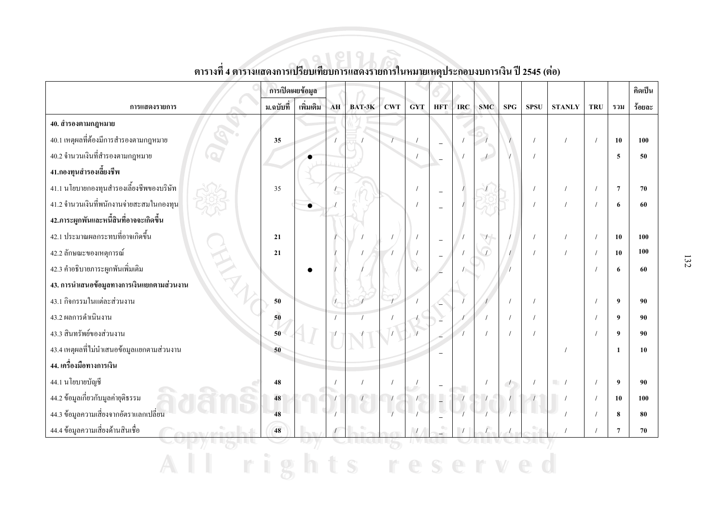|                                            | การเปิดเผยข้อมูล |           |               |        |                |            |                |            |                          |                          |             |               |            |                  | คิดเป็น |
|--------------------------------------------|------------------|-----------|---------------|--------|----------------|------------|----------------|------------|--------------------------|--------------------------|-------------|---------------|------------|------------------|---------|
| การแสดงรายการ                              | ม.ฉบับที่        | เพิ่มเติม | AH            | BAT-3K | <b>CWT</b>     | <b>GYT</b> | <b>HFT</b>     | <b>IRC</b> | <b>SMC</b>               | SPG                      | <b>SPSU</b> | <b>STANLY</b> | <b>TRU</b> | รวม              | ร้อยละ  |
| 40. สำรองตามกฎหมาย                         |                  |           |               |        |                |            |                |            |                          |                          |             |               |            |                  |         |
| 40.1 เหตุผลที่ต้องมีการสำรองตามกฎหมาย      | 35               |           |               |        | $\overline{1}$ | $\sqrt{2}$ |                |            |                          |                          | $\prime$    |               | $\prime$   | 10               | 100     |
| 40.2 จำนวนเงินที่สำรองตามกฎหมาย            |                  |           |               |        |                | $\prime$   | $\equiv$       |            | $\overline{\phantom{a}}$ |                          |             |               |            | 5                | 50      |
| 41.กองทุนสำรองเลี้ยงชีพ                    |                  |           |               |        |                |            |                |            |                          |                          |             |               |            |                  |         |
| 41.1 นโยบายกองทุนสำรองเลี้ยงชีพของบริษัท   | 35               |           |               |        |                | $\prime$   | $\equiv$       |            |                          |                          |             |               |            | $\overline{7}$   | 70      |
| 41.2 จำนวนเงินที่พนักงานจ่ายสะสมในกองทุน   |                  |           |               |        |                |            |                |            |                          |                          |             |               |            | 6                | 60      |
| 42.ภาระผูกพันและหนี้สินที่อาจจะเกิดขึ้น    |                  |           |               |        |                |            |                |            |                          |                          |             |               |            |                  |         |
| 42.1 ประมาณผลกระทบที่อาจเกิดขึ้น           | 21               |           |               |        |                |            | $\equiv$       |            |                          |                          |             |               |            | 10               | 100     |
| 42.2 ลักษณะของเหตุการณ์                    | 21               |           |               |        |                |            |                |            |                          |                          |             |               |            | 10               | 100     |
| 42.3 คำอธิบายภาระผูกพันเพิ่มเติม           |                  |           |               |        |                |            |                |            |                          |                          |             |               |            | 6                | 60      |
| 43. การนำเสนอข้อมูลทางการเงินแยกตามส่วนงาน |                  |           |               |        |                |            |                |            |                          |                          |             |               |            |                  |         |
| 43.1 กิจกรรมในแต่ละส่วนงาน                 | 50               |           | $\mathcal{L}$ |        |                |            |                |            |                          |                          |             |               |            | 9                | 90      |
| 43.2 ผลการคำเนินงาน                        | 50               |           |               |        |                |            |                |            |                          | $\sqrt{ }$               |             |               |            | $\boldsymbol{9}$ | 90      |
| 43.3 สินทรัพย์ของส่วนงาน                   | 50               |           |               |        |                |            |                |            |                          | $\sqrt{ }$               |             |               |            | 9                | 90      |
| 43.4 เหตุผลที่ไม่นำเสนอข้อมูลแยกตามส่วนงาน | 50               |           |               |        |                |            |                |            |                          |                          |             |               |            | $\mathbf{1}$     | 10      |
| 44. เครื่องมือทางการเงิน                   |                  |           |               |        |                |            |                |            |                          |                          |             |               |            |                  |         |
| 44.1 นโยบายบัญชี                           | 48               |           |               |        | $\overline{1}$ |            |                |            | $\sqrt{ }$               | $\overline{\phantom{a}}$ |             | $\Box$        |            | 9                | 90      |
| 44.2 ข้อมูลเกี่ยวกับมูลค่ายุติธรรม         | 48               |           |               |        |                |            | $\overline{a}$ |            |                          |                          |             |               |            | 10               | 100     |
| 44.3 ข้อมูลความเสี่ยงจากอัตราแลกเปลี่ยน    | 48               |           |               |        |                |            |                |            |                          |                          |             |               |            | 8                | 80      |
| 44.4 ข้อมูลความเสี่ยงด้านสินเชื้อ          | 48               |           |               |        |                |            |                |            |                          |                          |             |               |            | $\overline{7}$   | 70      |
|                                            |                  |           |               |        |                |            |                |            |                          |                          |             |               |            |                  |         |
|                                            |                  |           |               |        |                |            |                |            |                          |                          |             |               |            |                  |         |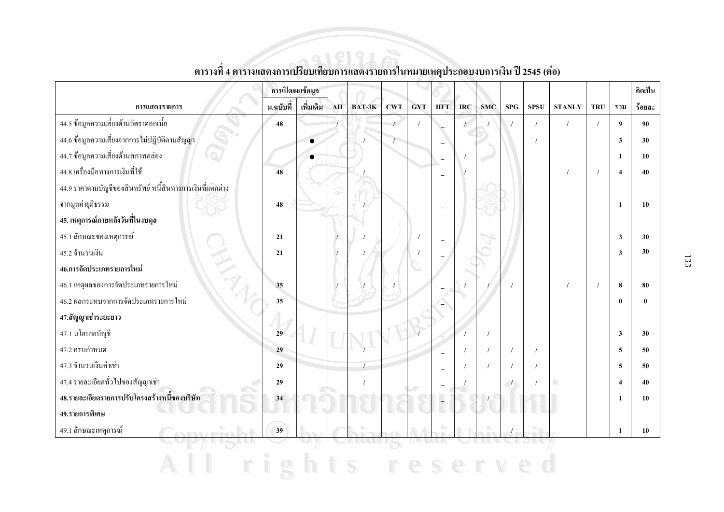|                                                           | การเปิดเผยข้อมูล |           |            |        |     |            |                          |            |            |                          |             |                  |            |                         | คิดเป็น |
|-----------------------------------------------------------|------------------|-----------|------------|--------|-----|------------|--------------------------|------------|------------|--------------------------|-------------|------------------|------------|-------------------------|---------|
| การแสดงรายการ                                             | ม.ฉบับที่        | เพิ่มเติม | ${\bf AH}$ | BAT-3K | CWT | <b>GYT</b> | <b>HFT</b>               | <b>IRC</b> | <b>SMC</b> | <b>SPG</b>               | <b>SPSU</b> | <b>STANLY</b>    | <b>TRU</b> | รวม                     | ร้อยละ  |
| 44.5 ข้อมูลความเสี่ยงด้านอัตราคอกเบี้ย                    | 48               |           |            |        |     |            |                          |            |            |                          |             |                  |            | 9                       | 90      |
| 44.6 ข้อมูลความเสี่ยงจากการ ไม่ปฏิบัติตามสัญญา            |                  | $\bullet$ |            |        |     |            | $\equiv$                 |            |            |                          |             |                  |            | 3                       | 30      |
| 44.7 ข้อมูลความเสี่ยงด้านสภาพคล่อง                        |                  |           |            |        |     |            | $\overline{\phantom{0}}$ |            |            |                          |             |                  |            | 1                       | 10      |
| 44.8 เครื่องมือทางการเงินที่ใช้                           | 48               |           |            |        |     |            | $\overline{\phantom{a}}$ |            |            |                          |             |                  |            | $\overline{4}$          | 40      |
| 44.9 รากาตามบัญชีของสินทรัพย์ หนี้สินทางการเงินที่แตกต่าง |                  |           |            |        |     |            |                          |            |            |                          |             |                  |            |                         |         |
| จากมูลค่ายุติธรรม                                         | 48               |           |            |        |     |            |                          |            |            |                          |             |                  |            | 1                       | 10      |
| 45. เหตุการณ์ภายหลังวันที่ในงบดุล                         |                  |           |            |        |     |            |                          |            |            |                          |             |                  |            |                         |         |
| 45.1 ลักษณะของเหตุการณ์                                   | 21               |           |            |        |     |            |                          |            |            |                          |             |                  |            | $\overline{\mathbf{3}}$ | 30      |
| 45.2 จำนวนเงิน                                            | 21               |           |            |        |     |            |                          |            |            |                          |             |                  |            | 3                       | 30      |
| EN A<br>46.การจัดประเภทรายการใหม่                         |                  |           |            |        |     |            |                          |            |            |                          |             |                  |            |                         |         |
| 46.1 เหตุผลของการจัดประเภทรายการใหม่                      | 35               |           |            |        |     |            |                          |            |            |                          |             |                  | $\prime$   | 8                       | 80      |
| 46.2 ผลกระทบจากการจัดประเภทรายการใหม่                     | 35               |           |            |        |     |            |                          |            |            |                          |             |                  |            | $\mathbf{0}$            |         |
| 47.สัญญาเช่าระยะยาว                                       |                  |           |            |        |     |            |                          |            |            |                          |             |                  |            |                         |         |
| 47.1 นโยบายบัญชี                                          | 29               |           |            |        |     |            |                          |            |            |                          |             |                  |            | $\overline{\mathbf{3}}$ | 30      |
| 47.2 ครบกำหนด                                             | 29               |           |            |        |     |            |                          |            |            | $\prime$                 |             |                  |            | 5                       | 50      |
| 47.3 จำนวนเงินค่าเช่า                                     | 29               |           |            |        |     |            |                          |            |            |                          |             |                  |            | 5                       | 50      |
| 47.4 รายละเอียดทั่วไปของสัญญาเช่า                         | 29               |           |            |        |     |            |                          |            |            | $\overline{\phantom{a}}$ |             | <b>The State</b> |            | $\boldsymbol{\Lambda}$  | 40      |
| 48.รายละเอียดรายการปรับโครงสร้างหนี้ของบริษัท             | 34               |           |            |        |     |            | $\overline{a}$           |            |            |                          |             |                  |            | $\mathbf{1}$            | 10      |
| 49.รายการพิเศษ                                            |                  |           |            |        |     |            |                          |            |            |                          |             |                  |            |                         |         |
| 49.1 ลักษณะเหตุการณ์                                      | 39               |           |            |        |     |            |                          |            |            |                          |             |                  |            | 1                       | 10      |
|                                                           |                  |           |            |        |     |            |                          |            |            |                          |             |                  |            |                         |         |
|                                                           |                  |           |            |        |     |            |                          |            |            |                          |             |                  |            |                         |         |

ี<br>ตารางที่ 4 ตารางแสดงการเปรียบเทียบการแสดงรายการในหมายเหตุประกอบงบการเงิน ปี 2545 (ต่อ)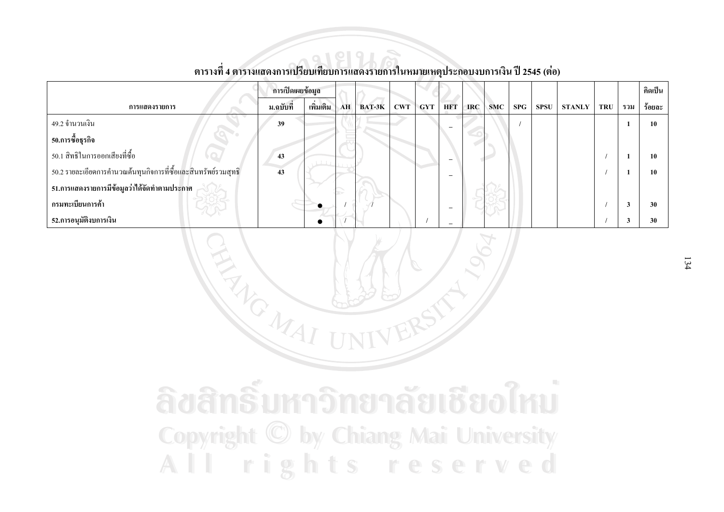|                                                                | การเปิดเผยข้อมูล |           |    |          |            |            |            |            |            |     |      |               |            |              | คิดเป็น |
|----------------------------------------------------------------|------------------|-----------|----|----------|------------|------------|------------|------------|------------|-----|------|---------------|------------|--------------|---------|
| การแสดงรายการ                                                  | ม.ฉบับที่        | เพิ่มเติม | AH | $BAT-3K$ | <b>CWT</b> | <b>GYT</b> | <b>HFT</b> | <b>IRC</b> | <b>SMC</b> | SPG | SPSU | <b>STANLY</b> | <b>TRU</b> | รวม          | ร้อยละ  |
| 49.2 จำนวนเงิน                                                 | 39               |           |    |          |            |            |            |            |            |     |      |               |            |              | 10      |
| 50.การซื้อธุรกิจ                                               |                  |           |    |          |            |            |            |            |            |     |      |               |            |              |         |
| 50.1 สิทธิในการออกเสียงที่ซื้อ                                 | 43               |           |    |          |            |            |            |            |            |     |      |               |            |              | 10      |
| 50.2 รายละเอียดการคำนวณต้นทุนกิจการที่ซื้อและสินทรัพย์รวมสุทธิ | 43               |           |    |          |            |            |            |            |            |     |      |               |            |              | 10      |
| 51.การแสดงรายการมีข้อมูลว่าได้จัดทำตามประกาศ                   |                  |           | b. |          |            |            |            |            |            |     |      |               |            |              |         |
| กรมทะเบียนการค้า                                               |                  |           |    |          |            |            |            |            |            |     |      |               |            | $\mathbf{3}$ | 30      |
| 52.การอนุมัติงบการเงิน                                         |                  |           |    |          |            |            |            |            |            |     |      |               |            |              | 30      |

REACTION

### ีตารางที่ 4 ตารางแสดงการเปรียบเทียบการแสดงรายการในหมายเหตุประกอบงบการเงิน ปี 2545 (ต่อ)

ลิขสิทธิ์มหาวิทยาลัยเชียงใหม **Copyright © by Chiang Mai University** All rights reserved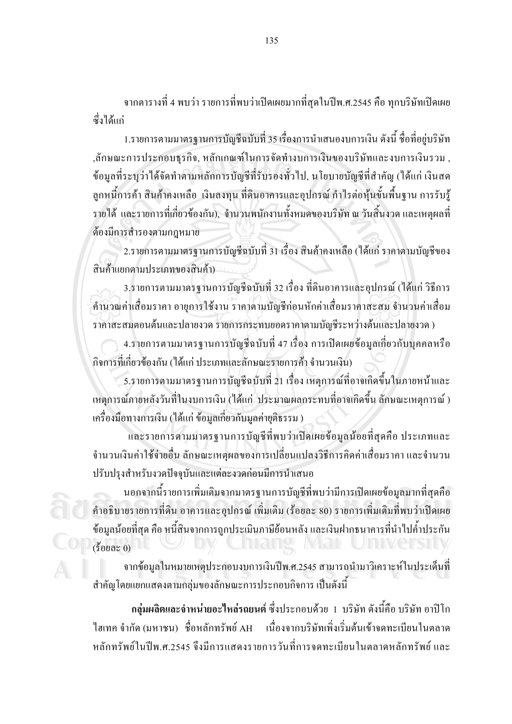ิจากตารางที่ 4 พบว่า รายการที่พบว่าเปิดเผยมากที่สุดในปีพ.ศ.2545 คือ ทุกบริษัทเปิดเผย สั่งใด้แก่

1.รายการตามมาตรฐานการบัญชีฉบับที่ 35 เรื่องการนำเสนองบการเงิน ดังนี้ ชื่อที่อยู่บริษัท ,ลักษณะการประกอบธุรกิจ, หลักเกณฑ์ในการจัดทำงบการเงินของบริษัทและงบการเงินรวม , ข้อมูลที่ระบุว่าใด้จัดทำตามหลักการบัญชีที่รับรองทั่วไป, นโยบายบัญชีที่สำคัญ (ได้แก่ เงินสด ี่ ลูกหนี้การค้า สินค้าคงเหลือ เงินลงทุน ที่ดินอาคารและอุปกรณ์ กำไรต่อหุ้นขั้นพื้นฐาน การรับรู้ ้รายได้ และรายการที่เกี่ยวข้องกัน), จำนวนพนักงานทั้งหมดของบริษัท ณ วันสิ้นงวด และเหตุผลที่ ด้องมีการสำรองตามกฎหมาย

่ 2.รายการตามมาตรฐานการบัญชีฉบับที่ 31 เรื่อง สินค้าคงเหลือ (ได้แก่ ราคาตามบัญชีของ สินค้าแยกตามประเภทของสินค้า)

3.รายการตามมาตรฐานการบัญชีฉบับที่ 32 เรื่อง ที่ดินอาคารและอุปกรณ์ (ได้แก่ วิธีการ ้คำนวณค่าเสื่อมราคา อายุการใช้งาน ราคาตามบัญชีก่อนหักค่าเสื่อมราคาสะสม จำนวนค่าเสื่อม ราคาสะสมตอนต้นและปลายงวด รายการกระทบยอดราคาตามบัญชีระหว่างต้นและปลายงวด)

4.รายการตามมาตรฐานการบัญชีฉบับที่ 47 เรื่อง การเปิดเผยข้อมูลเกี่ยวกับบุคคลหรือ ้กิจการที่เกี่ยวข้องกัน (ได้แก่ ประเภทและลักษณะรายการค้า จำนวนเงิน)

5.รายการตามมาตรฐานการบัญชีฉบับที่ 21 เรื่อง เหตุการณ์ที่อาจเกิดขึ้นในภายหน้าและ เหตุการณ์ภายหลังวันที่ในงบการเงิน (ได้แก่ ประมาณผลกระทบที่อาจเกิดขึ้น ลักษณะเหตุการณ์ ) เครื่องมือทางการเงิน (ได้แก่ ข้อมูลเกี่ยวกับมูลค่ายุติธรรม )

และรายการตามมาตรฐานการบัญชีที่พบว่าเปิดเผยข้อมูลน้อยที่สุดคือ ประเภทและ ้จำนวนเงินค่าใช้จ่ายอื่น ลักษณะเหตุผลของการเปลี่ยนแปลงวิธีการคิดค่าเสื่อมราคา และจำนวน ปรับปรุงสำหรับงวดปัจจุบันและแต่ละงวดก่อนมีการนำเสนอ

้ นอกจากนี้รายการเพิ่มเติมจากมาตรฐานการบัญชีที่พบว่ามีการเปิดเผยข้อมูลมากที่สุดคือ ้คำอธิบายรายการที่ดิน อาคารและอุปกรณ์ เพิ่มเติม (ร้อยละ 80) รายการเพิ่มเติมที่พบว่าเปิดเผย ข้อมูลน้อยที่สุด คือ หนี้สินจากการถูกประเมินภาษีย้อนหลัง และเงินฝากูธนาคารที่นำไปค้ำประกัน  $(3$ อยละ  $0)$ 

ิจากข้อมูลในหมายเหตุประกอบงบการเงินปีพ.ศ.2545 สามารถนำมาวิเคราะห์ในประเด็นที่ ี สำคัญโดยแยกแสดงตามกลุ่มของลักษณะการประกอบกิจการ เป็นดังนี้

ึกลุ่มผลิตและจำหน่ายอะไหล่รถยนต์ ซึ่งประกอบด้วย 1 บริษัท ดังนี้คือ บริษัท อาปิโก เนื่องจากบริษัทเพิ่งเริ่มต้นเข้าจดทะเบียนในตลาด ไฮเทค จำกัด (มหาชน) ชื่อหลักทรัพย์ AH หลักทรัพย์ใบปีพ ศ 2545 จึงบีการแสดงรายการวับที่การจดทะเบียบใบตลาดหลักทรัพย์ และ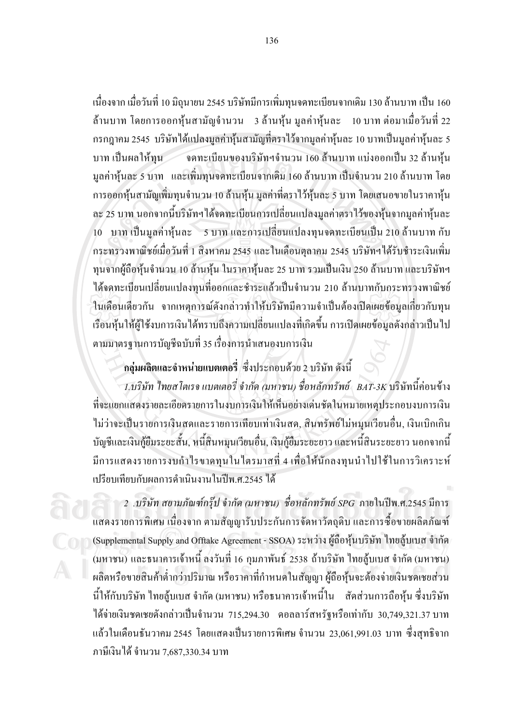้ เนื่องจาก เมื่อวันที่ 10 มิถุนายน 2545 บริษัทมีการเพิ่มทุนจดทะเบียนจากเดิม 130 ล้านบาท เป็น 160 ้ ล้านบาท โดยการออกหุ้นสามัญจำนวน 3 ล้านหุ้น มูลค่าหุ้นละ 10 บาท ต่อมาเมื่อวันที่ 22 ี กรกฎาคม 2545 บริษัทได้แปลงมูลค่าหุ้นสามัญที่ตราไว้จากมูลค่าหุ้นละ 10 บาทเป็นมูลค่าหุ้นละ 5 ้จดทะเบียนของบริษัทฯจำนวน 160 ล้านบาท แบ่งออกเป็น 32 ล้านหุ้น บาท เป็นผลให้ทน ้มูลค่าหุ้นละ 5 บาท และเพิ่มทุนจดทะเบียนจากเดิม 160 ล้านบาท เป็นจำนวน 210 ล้านบาท โดย ี การออกหุ้นสามัญเพิ่มทุนจำนวน 10 ล้านหุ้น มูลค่าที่ตราไว้หุ้นละ 5 บาท โดยเสนอขายในราคาหุ้น ละ 25 บาท นอกจากนี้บริษัทฯ ใค้จดทะเบียนการเปลี่ยนแปลงมูลค่าตราไว้ของหุ้นจากมูลค่าหุ้นละ 10 บาท เป็นมูลค่าหุ้นละ 5 บาท และการเปลี่ยนแปลงทุนจดทะเบียนเป็น 210 ล้านบาท กับ ้กระทรวงพาณิชย์เมื่อวันที่ 1 สิงหาคม 2545 และในเคือนตุลาคม 2545 บริษัทฯได้รับชำระเงินเพิ่ม ทุนจากผู้ถือหุ้นจำนวน 10 ล้านหุ้น ในราคาหุ้นละ 25 บาท รวมเป็นเงิน 250 ล้านบาท และบริษัทฯ ใค้จดทะเบียนเปลี่ยนแปลงทนที่ออกและชำระแล้วเป็นจำนวน 210 ล้านบาทกับกระทรวงพาณิชย์ ในเดือนเดียวกัน จากเหตุการณ์ดังกล่าวทำให้บริษัทมีความจำเป็นต้องเปิดเผยข้อมูลเกี่ยวกับทุน ้เรือนหุ้นให้ผู้ใช้งบการเงินได้ทราบถึงความเปลี่ยนแปลงที่เกิดขึ้น การเปิดเผยข้อมูลดังกล่าวเป็นไป ้ตามมาตรฐานการบัญชีฉบับที่ 35 เรื่องการนำเสนองบการเงิน

#### ึกลุ่มผลิตและจำหน่ายแบตเตอรี่ ซึ่งประกอบด้วย 2 บริษัท ดังนี้

1.บริษัท ไทยสโตเรจ แบตเตอรี่ จำกัด (มหาชน) ชื่อหลักทรัพย์ \_BAT-3K บริษัทนี้ค่อนข้าง ที่จะแยกแสคงรายละเอียดรายการในงบการเงินให้เห็นอย่างเด่นชัดในหมายเหตุประกอบงบการเงิน ไม่ว่าจะเป็นรายการเงินสดและรายการเทียบเท่าเงินสด, สินทรัพย์ไม่หมุนเวียนอื่น, เงินเบิกเกิน บัญชีและเงินกู้ยืมระยะสั้น, หนี้สินหมุนเวียนอื่น, เงินกู้ยืมระยะยาว และหนี้สินระยะยาว นอกจากนี้ มีการแสดงรายการงบกำไรขาดทุนในใตรมาสที่ 4 เพื่อให้นักลงทุนนำไปใช้ในการวิเคราะห์ เปรียบเทียบกับผลการดำเนินงานในปีพ.ศ.2545 ใต้

2 .บริษัท สยามภัณฑ์กรุ๊ป จำกัด (มหาชน) ชื่อหลักทรัพย์ sPG ภายในปีพ.ศ.2545 มีการ ้แสคงรายการพิเศษ เนื่องจาก ตามสัญญารับประกันการจัดหาวัตถุดิบ และการซื้อขายผลิตภัณฑ์ (Supplemental Supply and Offtake Agreement - SSOA) ระหว่าง ผู้ถือหุ้นบริษัท ไทยสู้บเบส จำกัด (มหาชน) และธนาคารเจ้าหนี้ ลงวันที่ 16 กุมภาพันธ์ 2538 ถ้าบริษัท ไทยสู้บเบส จำกัด (มหาชน) ผลิตหรือขายสินค้าต่ำกว่าปริมาณ หรือราคาที่กำหนดในสัญญา ผู้ถือหุ้นจะต้องจ่ายเงินชดเชยส่วน นี้ให้กับบริษัท ไทยสู้บเบส จำกัด (มหาชน) หรือธนาคารเจ้าหนี้ใน สัดส่วนการถือหุ้น ซึ่งบริษัท ได้ง่ายเงินชดเชยดังกล่าวเป็นจำนวน 715,294.30 คอลลาร์สหรัฐหรือเท่ากับ 30,749,321.37 บาท แล้วในเดือนธันวาคม 2545 โดยแสดงเป็นรายการพิเศษ จำนวน 23,061,991.03 บาท ซึ่งสุทธิจาก ภาษีเงินได้ จำนวน 7,687,330.34 บาท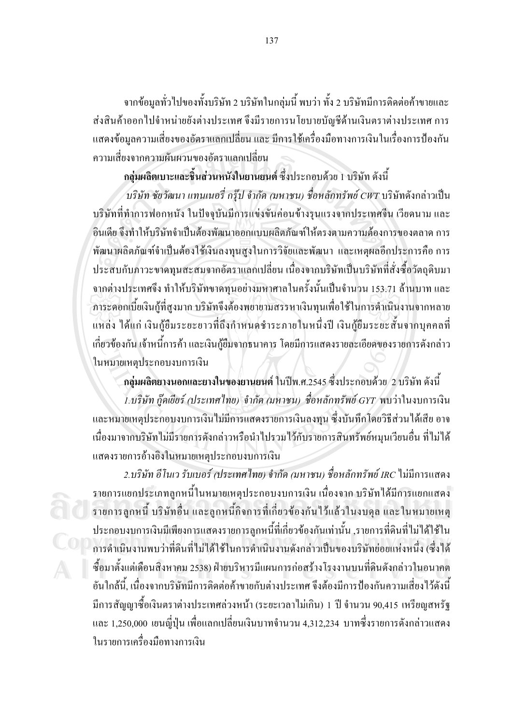จากข้อมูลทั่วไปของทั้งบริษัท 2 บริษัทในกลุ่มนี้ พบว่า ทั้ง 2 บริษัทมีการติดต่อค้าขายและ ้ส่งสินค้าออกไปจำหน่ายยังต่างประเทศ จึงมีรายการนโยบายบัญชีด้านเงินตราต่างประเทศ การ ้ แสดงข้อมูลความเสี่ยงของอัตราแลกเปลี่ยน และ มีการใช้เครื่องมือทางการเงินในเรื่องการป้องกัน ิดวามเสี่ยงจากความผับผวบของอัตราแลกเปลี่ยบ

ึกลุ่มผลิตเบาะและชิ้นส่วนหนังในยานยนต์ ซึ่งประกอบด้วย 1 บริษัท ดังนี้

้บริษัท ชัยวัฒนา แทนเนอรี่ กรุ๊ป จำกัด (มหาชน) ชื่อหลักทรัพย์ CWT บริษัทดังกล่าวเป็น ึบริษัทที่ทำการฟอกหนัง ในปัจจุบันมีการแข่งขันค่อนข้างรุนแรงจากประเทศจีน เวียดนาม และ อิบเดีย จึงทำให้บริษัทจำเป็นต้องพัฒนาออกแบบผลิตภัณฑ์ให้ตรงตามความต้องการของตลาด การ พัฒนาผลิตภัณฑ์จำเป็นต้องใช้เงินลงทุนสูงในการวิจัยและพัฒนา และเหตุผลอีกประการคือ การ ประสบกับภาวะขาดทนสะสมจากอัตราแลกเปลี่ยน เนื่องจากบริษัทเป็นบริษัทที่สั่งซื้อวัตถดิบมา ิจากต่างประเทศจึง ทำให้บริษัทขาดทุนอย่างมหาศาลในครั้งนั้นเป็นจำนวน 153.71 ล้านบาท และ ิ ภาระดอกเบี้ยเงินกู้ที่สูงมาก บริษัทจึงต้องพยายามสรรหาเงินทุนเพื่อใช้ในการดำเนินงานจากหลาย แหล่ง ได้แก่ เงินกู้ขึมระยะยาวที่ถึงกำหนดชำระภายในหนึ่งปี เงินกู้ขึมระยะสั้นจากบุคคลที่ เกี่ยวข้องกัน เจ้าหนี้การค้า และเงินกู้ยืมจากธนาคาร โดยมีการแสดงรายละเอียดของรายการดังกล่าว ในหมายเหตุประกอบงบการเงิน

ี กลุ่มผลิตยางนอกและยางในของยานยนต์ ในปีพ.ศ.2545 ซึ่งประกอบด้วย 2 บริษัท ดังนี้

1.บริษัท กู๊คเยียร์ (ประเทศไทย) จำกัด (มหาชน) ชื่อหลักทรัพย์ GYT พบว่าในงบการเงิน และหมายเหตุประกอบงบการเงินไม่มีการแสดงรายการเงินลงทุน ซึ่งบันทึกโดยวิธีส่วนได้เสีย อาจ ้เนื่องมาจากบริษัทไม่มีรายการคังกล่าวหรือนำไปรวมไว้กับรายการสินทรัพย์หมนเวียนอื่น ที่ไม่ได้ แสคงรายการอ้างอิงในหมายเหตประกอบงบการเงิน

2.บริษัท อีโนเว รับเบอร์ (ประเทศไทย) จำกัด (มหาชน) ชื่อหลักทรัพย์ IRC ไม่มีการแสดง รายการแยกประเภทลูกหนี้ในหมายเหตุประกอบงบการเงิน เนื่องจาก บริษัทได้มีการแยกแสดง ้ รายการลูกหนี้ บริษัทอื่น และลูกหนี้กิจการที่เกี่ยวข้องกันไว้แล้วในงบคุล และในหมายเหตุ ้ ประกอบงบการเงินมีเพียงการแสดงรายการลูกหนี้ที่เกี่ยวข้องกันเท่านั้น ,รายการที่ดินที่ไม่ได้ใช้ใน ิการคำเนินงานพบว่าที่ดินที่ไม่ได้ใช้ในการคำเนินงานดังกล่าวเป็นของบริษัทย่อยแห่งหนึ่ง (ซึ่งได้ ซื้อมาตั้งแต่เดือนสิงหาคม 2538) ฝ่ายบริหารมีแผนการก่อสร้างโรงงานบนที่ดินดังกล่าวในอนาคต ้อันใกล้นี้, เนื่องจากบริษัทมีการติดต่อค้าขายกับต่างประเทศ จึงต้องมีการป้องกันความเสี่ยงไว้ดังนี้ มีการสัญญาซื้อเงินตราต่างประเทศล่วงหน้า (ระยะเวลาไม่เกิน) 1 ปี จำนวน 90,415 เหรียญสหรัฐ และ 1,250,000 เยนญี่ปุ่น เพื่อแลกเปลี่ยนเงินบาทจำนวน 4,312,234 บาทซึ่งรายการดังกล่าวแสดง ในรายการเครื่องมือทางการเงิน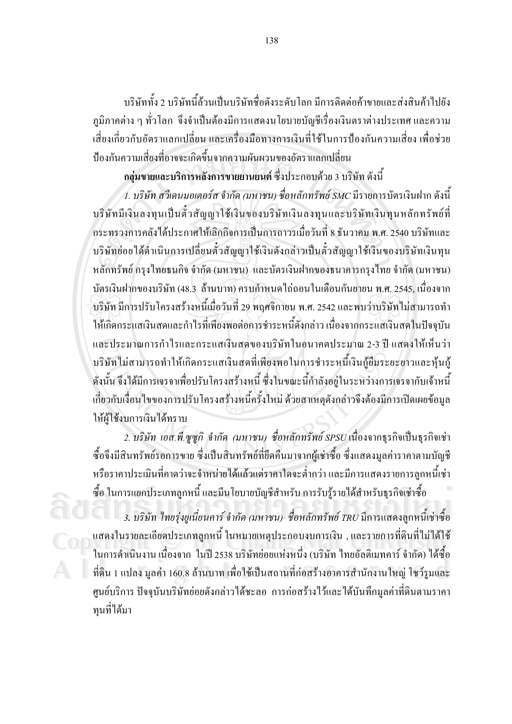ำเรินัททั้ง 2 บริษัทนี้ล้วนเป็นบริษัทชื่อดังระดับโลก มีการติดต่อค้าขายและส่งสินค้าไปยัง ภูมิภาคต่าง ๆ ทั่วโลก จึงจำเป็นต้องมีการแสดงนโยบายบัญชีเรื่องเงินตราต่างประเทศ และความ ้เสี่ยงเกี่ยวกับอัตราแลกเปลี่ยน และเครื่องมือทางการเงินที่ใช้ในการป้องกันความเสี่ยง เพื่อช่วย ป้องกันความเสี่ยงที่อาจจะเกิดขึ้นจากความผันผวนของอัตราแลกเปลี่ยน

ึกลุ่มขายและบริการหลังการขายยานยนต์ ซึ่งประกอบด้วย 3 บริษัท ดังนี้

1. บริษัท สวีเคนมอเตอร์ส จำกัด (มหาชน) ชื่อหลักทรัพย์ SMC มีรายการบัตรเงินฝาก ดังนี้ บริษัทมีเงินลงทุนเป็นตั๋วสัญญาใช้เงินของบริษัทเงินลงทุนและบริษัทเงินทุนหลักทรัพย์ที่ ้กระทรวงการคลังได้ประกาศให้เลิกกิจการเป็นการถาวรเมื่อวันที่ 8 ธันวาคม พ.ศ. 2540 บริษัทและ บริษัทย่อยใด้ดำเนินการเปลี่ยนตั๋วสัญญาใช้เงินดังกล่าวเป็นตั๋วสัญญาใช้เงินของบริษัทเงินทุน หลักทรัพย์ กรุงไทยธนกิจ จำกัด (มหาชน) และบัตรเงินฝากของธนาคารกรุงไทย จำกัด (มหาชน) ูบัตรเงินฝากของบริษัท (48.3 ล้านบาท) ครบกำหนดไถ่ถอนในเดือนกันยายน พ.ศ. 2545, เนื่องจาก ึบริษัท มีการปรับโครงสร้างหนี้เมื่อวันที่ 29 พฤศจิกายน พ.ศ. 2542 และพบว่าบริษัทไม่สามารถทำ ให้เกิดกระแสเงินสดและกำไรที่เพียงพอต่อการชำระหนี้ดังกล่าว เนื่องจากกระแสเงินสดในปัจจุบัน และประมาณการกำไรและกระแสเงินสดของบริษัทในอนาคตประมาณ 2-3 ปี แสดงให้เห็นว่า ึบริษัทใม่สามารถทำให้เกิดกระแสเงินสดที่เพียงพอในการชำระหนี้เงินก้ยืมระยะยาวและห้นก้ ี่ ดังนั้น จึงได้มีการเจรจาเพื่อปรับโครงสร้างหนี้ ซึ่งในขณะนี้กำลังอยู่ในระหว่างการเจรจากับเจ้าหนี้ เกี่ยวกับเงื่อนไขของการปรับโครงสร้างหนี้ครั้งใหม่ ด้วยสาเหตุดังกล่าวจึงต้องมีการเปิดเผยข้อมูล ให้ผู้ใช้งบการเงินได้ทราบ

2. บริษัท เอส.พี.ซูซูกิ จำกัด *(มหาชน) ชื่อหลักทรัพย์ SPSU* เนื่องจากธุรกิจเป็นธุรกิจเช่า ซื้อจึงมีสินทรัพย์รอการขาย ซึ่งเป็นสินทรัพย์ที่ยึดคืนมาจากผู้เช่าซื้อ ซึ่งแสดงมูลค่าราคาตามบัญชี หรือราคาประเมินที่คาดว่าจะจำหน่ายได้แล้วแต่ราคาใดจะต่ำกว่า และมีการแสดงรายการลูกหนี้เช่า ซื้อ ในการแยกประเภทลูกหนี้ และมีนโยบายบัญชีสำหรับ การรับรู้รายได้สำหรับธุรกิจเช่าซื้อ

3. บริษัท ไทยรุ่งยูเนี่ยนคาร์ จำกัด (มหาชน) ชื่อหลักทรัพย์ TRU มีการแสดงลูกหนี้เช่าซื้อ แสดงในรายละเอียดประเภทลูกหนี้ ในหมายเหตุประกอบงบการเงิน , และรายการที่ดินที่ไม่ได้ใช้ ในการคำเนินงาน เนื่องจาก ในปี 2538 บริษัทย่อยแห่งหนึ่ง (บริษัท ไทยอัลติเมทคาร์ จำกัด) ได้ซื้อ ที่ดิน 1 แปลง มูลค่า 160.8 ล้านบาท เพื่อใช้เป็นสถานที่ก่อสร้างอาคารสำนักงานใหญ่ โชว์รูมและ ้ศูนย์บริการ ปัจจุบันบริษัทย่อยดังกล่าวได้ชะลอ การก่อสร้างไว้และได้บันทึกมูลค่าที่ดินตามราคา ทนที่ได้มา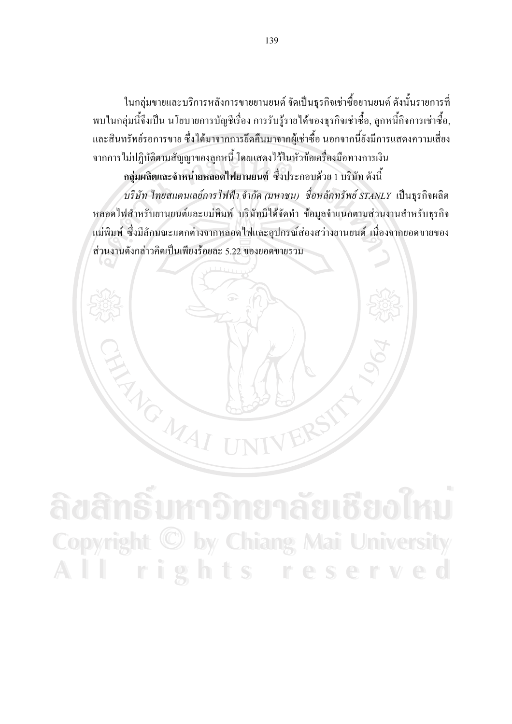ในกลุ่มขายและบริการหลังการขายยานยนต์ จัดเป็นธุรกิจเช่าซื้อยานยนต์ ดังนั้นรายการที่ ี พบในกลุ่มนี้จึงเป็น นโยบายการบัญชีเรื่อง การรับรู้รายได้ของธุรกิจเช่าซื้อ, ลูกหนี้กิจการเช่าซื้อ, และสินทรัพย์รอการขาย ซึ่งได้มาจากการยึดคืนมาจากผู้เช่าซื้อ นอกจากนี้ยังมีการแสดงความเสี่ยง ้จากการไม่ปฏิบัติตามสัญญาของลูกหนี้ โดยแสดงไว้ในหัวข้อเครื่องมือทางการเงิน

ึกลุ่มผลิตและจำหน่ายหลอดไฟยานยนต์ ซึ่งประกอบด้วย 1 บริษัท ดังนี้ บริษัท ไทยสแตนเลย์การ ไฟฟ้า จำกัด (มหาชน) ชื่อหลักทรัพย์ STANLY เป็นธุรกิจผลิต หลอดไฟสำหรับยานยนต์และแม่พิมพ์ บริษัทมิได้จัดทำ ข้อมูลจำแนกตามส่วนงานสำหรับธุรกิจ แม่พิมพ์ ซึ่งมีลักษณะแตกต่างจากหลอดไฟและอุปกรณ์ส่องสว่างยานยนต์ เนื่องจากยอดขายของ ส่วนงานดังกล่าวคิดเป็นเพียงร้อยละ 5.22 ของยอดขายรวม

<u> เหาวิทยาลัยเชียงไห</u> Copyright © by Chiang Mai University rights reserved AII

ENGINAL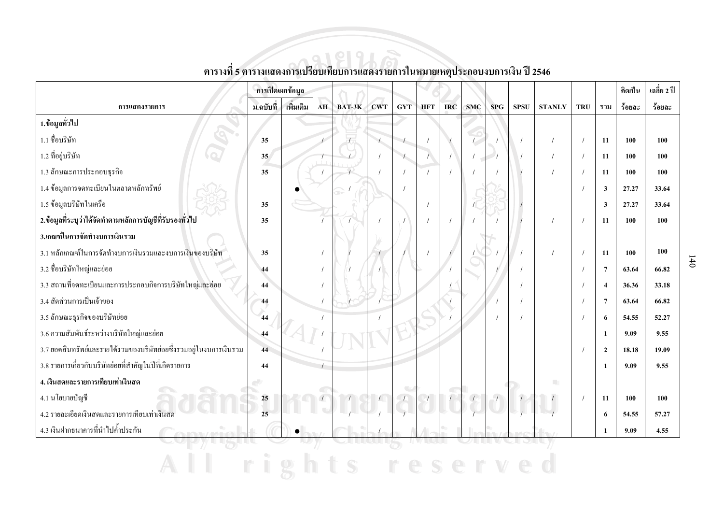|                                                                    | ิการเปิดเผยข้อมูล |           |            |        |            |                                                                                                                                                                                                                                                                                                                                                  |            |            |            |     |             |               |            |                         | คิดเป็น | เฉลี่ย 2 ปี |
|--------------------------------------------------------------------|-------------------|-----------|------------|--------|------------|--------------------------------------------------------------------------------------------------------------------------------------------------------------------------------------------------------------------------------------------------------------------------------------------------------------------------------------------------|------------|------------|------------|-----|-------------|---------------|------------|-------------------------|---------|-------------|
| การแสดงรายการ                                                      | ม.ฉบับที่         | เพิ่มเติม | AH         | BAT-3K | <b>CWT</b> | <b>GYT</b>                                                                                                                                                                                                                                                                                                                                       | <b>HFT</b> | <b>IRC</b> | <b>SMC</b> | SPG | <b>SPSU</b> | <b>STANLY</b> | <b>TRU</b> | รวม                     | ร้อยละ  | ร้อยละ      |
| 1.ข้อมูลทั่วไป                                                     |                   |           |            |        |            |                                                                                                                                                                                                                                                                                                                                                  |            |            |            |     |             |               |            |                         |         |             |
| 1.1 ชื่อบริษัท                                                     | 35                |           |            |        |            |                                                                                                                                                                                                                                                                                                                                                  |            |            |            |     |             |               |            | <b>11</b>               | 100     | 100         |
| 1.2 ที่อยู่บริษัท                                                  | 35 <sub>1</sub>   |           |            |        |            | $\begin{picture}(120,17)(-10,17) \put(0,0){\line(1,0){10}} \put(10,0){\line(1,0){10}} \put(10,0){\line(1,0){10}} \put(10,0){\line(1,0){10}} \put(10,0){\line(1,0){10}} \put(10,0){\line(1,0){10}} \put(10,0){\line(1,0){10}} \put(10,0){\line(1,0){10}} \put(10,0){\line(1,0){10}} \put(10,0){\line(1,0){10}} \put(10,0){\line(1,0){10}} \put(1$ | $\prime$   |            |            |     |             |               | $\prime$   | 11                      | 100     | 100         |
| 1.3 ลักษณะการประกอบธุรกิจ                                          | 35                |           |            |        |            |                                                                                                                                                                                                                                                                                                                                                  |            |            |            |     |             |               | $\prime$   | 11                      | 100     | 100         |
| 1.4 ข้อมูลการจดทะเบียนในตลาดหลักทรัพย์                             |                   |           |            |        |            |                                                                                                                                                                                                                                                                                                                                                  |            |            |            |     |             |               |            | $\overline{\mathbf{3}}$ | 27.27   | 33.64       |
| 1.5 ข้อมูลบริษัทในเครือ                                            | 35                |           |            |        |            |                                                                                                                                                                                                                                                                                                                                                  |            |            |            |     |             |               |            | 3                       | 27.27   | 33.64       |
| 2.ข้อมูลที่ระบุว่าได้จัดทำตามหลักการบัญชีที่รับรองทั่วไป           | 35                |           |            |        |            |                                                                                                                                                                                                                                                                                                                                                  |            |            |            |     |             |               | $\sqrt{ }$ | 11                      | 100     | 100         |
| 3.เกณฑ์ในการจัดทำงบการเงินรวม                                      |                   |           |            |        |            |                                                                                                                                                                                                                                                                                                                                                  |            |            |            |     |             |               |            |                         |         |             |
| 3.1 หลักเกณฑ์ในการจัดทำงบการเงินรวมและงบการเงินของบริษัท           | 35                |           |            |        |            |                                                                                                                                                                                                                                                                                                                                                  |            |            |            |     |             |               |            | 11                      | 100     | 100         |
| 3.2 ชื่อบริษัทใหญ่และย่อย                                          | 44                |           |            |        |            |                                                                                                                                                                                                                                                                                                                                                  |            |            |            |     |             |               |            | $\overline{7}$          | 63.64   | 66.82       |
| 3.3 สถานที่จดทะเบียนและการประกอบกิจการบริษัทใหญ่และย่อย            | 44                |           |            |        |            |                                                                                                                                                                                                                                                                                                                                                  |            |            |            |     |             |               |            | $\boldsymbol{\Lambda}$  | 36.36   | 33.18       |
| 3.4 สัดส่วนการเป็นเจ้าของ                                          | 44                |           |            |        |            |                                                                                                                                                                                                                                                                                                                                                  |            |            |            |     |             |               |            | 7                       | 63.64   | 66.82       |
| 3.5 ลักษณะธุรกิจของบริษัทย่อย                                      | 44                |           |            |        |            |                                                                                                                                                                                                                                                                                                                                                  |            |            |            |     |             |               |            | 6                       | 54.55   | 52.27       |
| 3.6 ความสัมพันธ์ระหว่างบริษัทใหญ่และย่อย                           | 44                |           |            |        |            |                                                                                                                                                                                                                                                                                                                                                  |            |            |            |     |             |               |            | -1                      | 9.09    | 9.55        |
| 3.7 ยอดสินทรัพย์และรายใด้รวมของบริษัทย่อยซึ่งรวมอยู่ในงบการเงินรวม | 44                |           |            |        |            |                                                                                                                                                                                                                                                                                                                                                  |            |            |            |     |             |               |            | $\overline{2}$          | 18.18   | 19.09       |
| 3.8 รายการเกี่ยวกับบริษัทย่อยที่สำคัญในปีที่เกิดรายการ             | 44                |           | $\sqrt{ }$ |        |            |                                                                                                                                                                                                                                                                                                                                                  |            |            |            |     |             |               |            | -1                      | 9.09    | 9.55        |
| 4. เงินสดและรายการเทียบเท่าเงินสด                                  |                   |           |            |        |            |                                                                                                                                                                                                                                                                                                                                                  |            |            |            |     |             | n.            |            |                         |         |             |
| 4.1 นโยบายบัญชี                                                    | 25                |           | $\sqrt{2}$ |        |            |                                                                                                                                                                                                                                                                                                                                                  |            |            |            |     |             |               | $\prime$   | 11                      | 100     | 100         |
| 4.2 รายละเอียดเงินสดและรายการเทียบเท่าเงินสด                       | $\overline{25}$   |           |            |        |            |                                                                                                                                                                                                                                                                                                                                                  |            |            |            |     |             |               |            | 6                       | 54.55   | 57,27       |
| 4.3 เงินฝากธนาคารที่นำไปค้ำประกัน                                  |                   |           |            |        |            |                                                                                                                                                                                                                                                                                                                                                  |            |            |            |     |             |               |            |                         | 9.09    | 4.55        |
|                                                                    |                   |           |            |        |            |                                                                                                                                                                                                                                                                                                                                                  |            |            |            |     |             |               |            |                         |         |             |

All rights reserved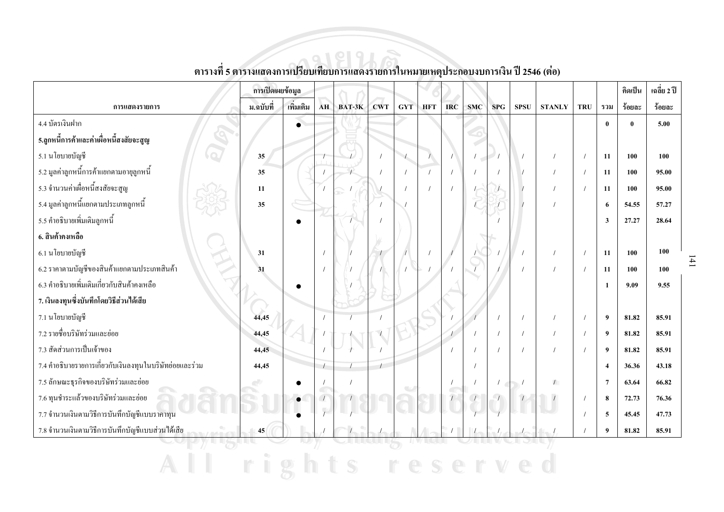|                                                         | การเปิดเผยข้อมูล |           |                                       |        |            |            |            |            |     |            |             |               |            |              | คิดเป็น  | เฉลี่ย 2 ปี |
|---------------------------------------------------------|------------------|-----------|---------------------------------------|--------|------------|------------|------------|------------|-----|------------|-------------|---------------|------------|--------------|----------|-------------|
| การแสดงรายการ                                           | ม.ฉบับที่        | เพิ่มเติม | <b>AH</b>                             | BAT-3K | <b>CWT</b> | <b>GYT</b> | <b>HFT</b> | <b>IRC</b> | SMC | <b>SPG</b> | <b>SPSU</b> | <b>STANLY</b> | <b>TRU</b> | รวม          | ร้อยละ   | ร้อยละ      |
| 4.4 บัตรเงินฝาก                                         |                  | $\bullet$ |                                       |        |            |            |            |            |     |            |             |               |            | $\mathbf{0}$ | $\theta$ | 5.00        |
| 5.ลูกหนี้การค้าและค่าเผื่อหนี้สงสัยจะสูญ                |                  |           |                                       |        |            |            |            |            |     |            |             |               |            |              |          |             |
| 5.1 นโยบายบัญชี                                         | 35               |           |                                       |        |            |            |            |            | C   |            |             |               |            | 11           | 100      | 100         |
| 5.2 มูลค่าลูกหนี้การค้าแยกตามอายุลูกหนี้                | 35               |           |                                       |        |            |            |            |            |     |            |             |               | $\prime$   | 11           | 100      | 95.00       |
| 5.3 จำนวนค่าเผื่อหนี้สงสัยจะสูญ                         | 11               |           |                                       |        |            |            |            |            |     |            |             |               |            | 11           | 100      | 95.00       |
| 5.4 มูลค่าลูกหนี้แยกตามประเภทลูกหนี้                    | 35               |           |                                       |        |            |            |            |            |     |            |             |               |            | 6            | 54.55    | 57.27       |
| 5.5 คำอธิบายเพิ่มเติมลูกหนี้                            |                  | $\bullet$ |                                       |        |            |            |            |            |     |            |             |               |            | 3            | 27,27    | 28.64       |
| 6. สินค้าคงเหลือ                                        |                  |           |                                       |        |            |            |            |            |     |            |             |               |            |              |          |             |
| 6.1 นโยบายบัญชี                                         | 31               |           |                                       |        |            |            |            |            |     |            |             |               | $\prime$   | 11           | 100      | 100         |
| 6.2 ราคาตามบัญชีของสินค้าแยกตามประเภทสินค้า             | 31               |           |                                       |        |            |            |            |            |     |            |             |               |            | 11           | 100      | 100         |
| 6.3 คำอธิบายเพิ่มเติมเกี่ยวกับสินค้าคงเหลือ             |                  | $\bullet$ |                                       |        |            |            |            |            |     |            |             |               |            | $\mathbf{1}$ | 9.09     | 9.55        |
| 7. เงินลงทุนซึ่งบันทึกโดยวิธีส่วนได้เสีย                |                  |           |                                       |        |            |            |            |            |     |            |             |               |            |              |          |             |
| 7.1 นโยบายบัญชี                                         | 44,45            |           |                                       |        |            |            |            |            |     |            | $\prime$    |               |            | 9            | 81.82    | 85.91       |
| 7.2 รายชื่อบริษัทร่วมและย่อย                            | 44,45            |           |                                       |        |            |            |            |            |     |            | $\sqrt{ }$  |               |            | 9            | 81.82    | 85.91       |
| 7.3 สัดส่วนการเป็นเจ้าของ                               | 44,45            |           |                                       |        |            |            |            |            |     |            | $\prime$    |               |            | 9            | 81.82    | 85.91       |
| 7.4 คำอธิบายรายการเกี่ยวกับเงินลงทุนในบริษัทย่อยและร่วม | 44,45            |           | $\prime$                              |        |            |            |            |            |     |            |             |               |            | 4            | 36.36    | 43.18       |
| 7.5 ลักษณะธุรกิจของบริษัทร่วมและย่อย                    |                  | $\bullet$ |                                       |        |            |            |            |            |     |            |             | $\sqrt{2}$    |            | 7            | 63.64    | 66.82       |
| 7.6 ทุนชำระแล้วของบริษัทร่วมและย่อย                     |                  | $\bullet$ | $\subset$<br>$\overline{\phantom{a}}$ |        |            |            |            |            |     |            |             |               |            | 8            | 72.73    | 76.36       |
| 7.7 จำนวนเงินตามวิธีการบันทึกบัญชีแบบรากาทุน            |                  |           |                                       |        |            |            |            |            |     |            |             |               |            | 5            | 45.45    | 47.73       |
| 7.8 จำนวนเงินตามวิธีการบันทึกบัญชีแบบส่วนใด้เสีย        | 45               |           |                                       |        |            |            |            |            |     |            |             |               |            | 9            | 81.82    | 85.91       |
|                                                         |                  |           |                                       |        |            |            |            |            |     |            |             |               |            |              |          |             |

All rights reserved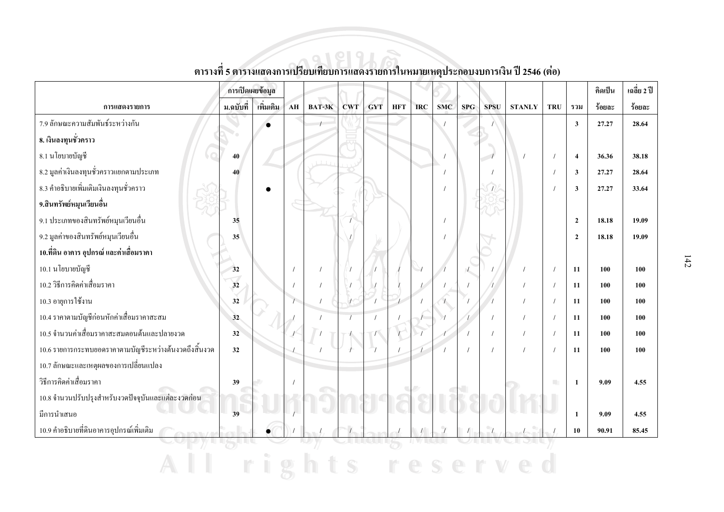|                                                        | การเปิดเผยข้อมูล |            |           |        |            |            |            |            |            |            |             |               |            |                | คิดเป็น | เฉลี่ย 2 ปี |
|--------------------------------------------------------|------------------|------------|-----------|--------|------------|------------|------------|------------|------------|------------|-------------|---------------|------------|----------------|---------|-------------|
| การแสดงรายการ                                          | ม.ฉบับที่        | ้เพิ่มเติม | <b>AH</b> | BAT-3K | <b>CWT</b> | <b>GYT</b> | <b>HFT</b> | <b>IRC</b> | <b>SMC</b> | <b>SPG</b> | <b>SPSU</b> | <b>STANLY</b> | <b>TRU</b> | รวม            | ร้อยละ  | ร้อยละ      |
| 7.9 ลักษณะความสัมพันธ์ระหว่างกัน                       |                  |            |           |        |            |            |            |            |            |            |             |               |            | $\mathbf{3}$   | 27.27   | 28.64       |
| 8. เงินลงทุนชั่วคราว                                   |                  |            |           |        |            |            |            |            |            |            |             |               |            |                |         |             |
| 8.1 นโยบายบัญชี                                        | 40               |            |           |        |            |            |            |            |            |            |             |               |            | $\overline{4}$ | 36.36   | 38.18       |
| 8.2 มูลค่าเงินลงทุนชั่วคราวแยกตามประเภท                | 40               |            |           |        |            |            |            |            |            |            |             |               |            | 3              | 27,27   | 28.64       |
| 8.3 คำอธิบายเพิ่มเติมเงินลงทุนชั่วคราว                 |                  |            |           |        |            |            |            |            |            |            |             |               |            | 3              | 27,27   | 33.64       |
| 9.สินทรัพย์หมุนเวียนอื่น                               |                  |            |           |        |            |            |            |            |            |            |             |               |            |                |         |             |
| 9.1 ประเภทของสินทรัพย์หมุนเวียนอื่น                    | 35               |            |           |        |            |            |            |            |            |            |             |               |            | $\overline{2}$ | 18.18   | 19.09       |
| 9.2 มูลค่าของสินทรัพย์หมุนเวียนอื่น                    | 35               |            |           |        |            |            |            |            |            |            |             |               |            | $\overline{2}$ | 18.18   | 19.09       |
| 10.ที่ดิน อาคาร อุปกรณ์ และค่าเสื่อมราคา               |                  |            |           |        |            |            |            |            |            |            |             |               |            |                |         |             |
| 10.1 นโยบายบัญชี                                       | 32               |            |           |        |            |            |            |            |            |            |             |               | $\prime$   | 11             | 100     | 100         |
| 10.2 วิธีการคิดค่าเสื่อมราคา                           | 32               |            |           |        |            |            |            |            |            |            |             |               |            | 11             | 100     | 100         |
| 10.3 อายุการใช้งาน                                     | 32               |            |           |        |            |            |            |            |            |            |             |               |            | 11             | 100     | 100         |
| 10.4 ราคาตามบัญชีก่อนหักค่าเสื่อมราคาสะสม              | 32               |            |           |        |            |            |            |            |            |            |             |               | $\prime$   | 11             | 100     | 100         |
| 10.5 จำนวนค่าเสื่อมราคาสะสมตอนต้นและปลายงวด            | 32               |            |           |        |            |            |            |            |            |            |             |               | $\prime$   | 11             | 100     | 100         |
| 10.6 รายการกระทบยอดราคาตามบัญชีระหว่างต้นงวดถึงสิ้นงวด | 32               |            |           |        |            |            |            |            |            |            |             |               | $\prime$   | 11             | 100     | 100         |
| 10.7 ลักษณะและเหตุผลของการเปลี่ยนแปลง                  |                  |            |           |        |            |            |            |            |            |            |             |               |            |                |         |             |
| วิธีการคิดค่าเสื่อมราคา                                | 39               |            |           |        |            |            |            |            |            |            |             |               | m.         | 1              | 9.09    | 4.55        |
| 10.8 จำนวนปรับปรุงสำหรับงวดปัจจุบันและแต่ละงวดก่อน     |                  |            |           |        |            |            |            |            |            |            |             |               |            |                |         |             |
| มีการนำเสนอ                                            | 39               |            |           |        |            |            |            |            |            |            |             |               |            | 1              | 9.09    | 4.55        |
| 10.9 คำอธิบายที่ดินอาคารอุปกรณ์เพิ่มเติม               |                  |            |           |        |            |            |            |            |            |            | $\bullet$   |               |            | 10             | 90.91   | 85.45       |
|                                                        |                  |            |           |        |            |            |            |            |            |            |             |               |            |                |         |             |

All rights reserved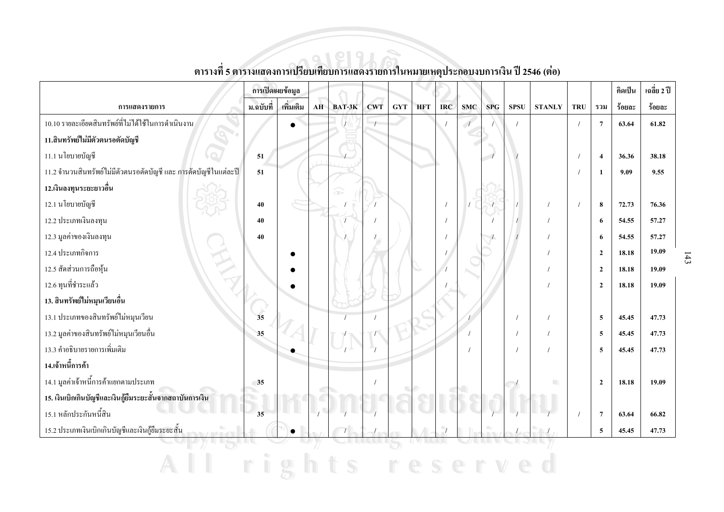|                                                                  | การเปิดเผยข้อมูล      |           |    |        |            |            |            |            |            |            |             |               |            |                  | คิดเป็น | เฉลี่ย 2 ปี |
|------------------------------------------------------------------|-----------------------|-----------|----|--------|------------|------------|------------|------------|------------|------------|-------------|---------------|------------|------------------|---------|-------------|
| การแสดงรายการ                                                    | ม.ฉบับที่             | เพิ่มเติม | AH | BAT-3K | <b>CWT</b> | <b>GYT</b> | <b>HFT</b> | <b>IRC</b> | <b>SMC</b> | <b>SPG</b> | <b>SPSU</b> | <b>STANLY</b> | <b>TRU</b> | รวม              | ร้อยละ  | ร้อยละ      |
| 10.10 รายละเอียดสินทรัพย์ที่ไม่ได้ใช้ในการคำเนินงาน              |                       | $\bullet$ |    |        |            |            |            |            |            |            |             |               |            | $\overline{7}$   | 63.64   | 61.82       |
| 11.สินทรัพย์ใม่มีตัวตนรอตัดบัญชี                                 |                       |           |    |        |            |            |            |            |            |            |             |               |            |                  |         |             |
| 11.1 นโยบายบัญชี                                                 | 51                    |           |    |        |            |            |            |            |            |            |             |               |            | $\boldsymbol{4}$ | 36.36   | 38.18       |
| 11.2 จำนวนสินทรัพย์ไม่มีตัวตนรอตัดบัญชี และ การตัดบัญชีในแต่ละปี | 51                    |           |    |        |            |            |            |            |            |            |             |               |            | $\mathbf{1}$     | 9.09    | 9.55        |
| 12.เงินลงทุนระยะยาวอื่น                                          |                       |           |    | œ      |            |            |            |            |            |            |             |               |            |                  |         |             |
| 12.1 นโยบายบัญชี                                                 | 40                    |           |    |        |            |            |            |            |            |            |             |               |            | 8                | 72.73   | 76.36       |
| 12.2 ประเภทเงินลงทุน                                             | 40                    |           |    |        |            |            |            |            |            |            |             |               |            | 6                | 54.55   | 57.27       |
| 12.3 มูลค่าของเงินลงทุน                                          | 40                    |           |    |        |            |            |            |            |            |            |             |               |            | 6                | 54.55   | 57.27       |
| 12.4 ประเภทกิจการ                                                |                       | c         |    |        |            |            |            |            |            |            |             |               |            | $\overline{2}$   | 18.18   | 19.09       |
| 12.5 สัดส่วนการถือหุ้น                                           |                       |           |    |        |            |            |            |            |            |            |             |               |            | $\overline{2}$   | 18.18   | 19.09       |
| 12.6 ทุนที่ชำระแล้ว                                              |                       |           |    |        |            |            |            |            |            |            |             |               |            | $\overline{2}$   | 18.18   | 19.09       |
| 13. สินทรัพย์ใม่หมุนเวียนอื่น                                    |                       |           |    |        |            |            |            |            |            |            |             |               |            |                  |         |             |
| 13.1 ประเภทของสินทรัพย์ใม่หมุนเวียน                              | $\overrightarrow{35}$ |           |    |        |            |            |            |            |            |            |             |               |            | 5                | 45.45   | 47.73       |
| 13.2 มูลค่าของสินทรัพย์ใม่หมุนเวียนอื่น                          | 35                    |           |    |        |            |            |            |            |            |            |             |               |            | 5                | 45.45   | 47.73       |
| 13.3 คำอธิบายรายการเพิ่มเติม                                     |                       |           |    |        |            |            |            |            |            |            |             |               |            | 5                | 45.45   | 47.73       |
| 14.เจ้าหนี้การค้า                                                |                       |           |    |        |            |            |            |            |            |            |             |               |            |                  |         |             |
| 14.1 มูลค่าเจ้าหนี้การค้าแยกตามประเภท                            | 35                    |           |    |        |            |            |            |            |            |            |             | m.            |            | $\overline{2}$   | 18.18   | 19.09       |
| 15. เงินเบิกเกินบัญชีและเงินกู้ยืมระยะสั้นจากสถาบันการเงิน       |                       |           |    |        |            |            |            |            |            |            |             |               |            |                  |         |             |
| 15.1 หลักประกันหนี้สิน                                           | 35                    |           |    |        |            |            |            |            |            |            |             |               |            | $7\phantom{.0}$  | 63.64   | 66.82       |
| 15.2 ประเภทเงินเบิกเกินบัญชีและเงินกู้ยืมระยะสั้น                |                       |           |    |        |            |            |            |            |            |            |             |               |            | 5                | 45.45   | 47.73       |
|                                                                  |                       |           |    |        |            |            |            |            |            |            |             |               |            |                  |         |             |

All rights reserved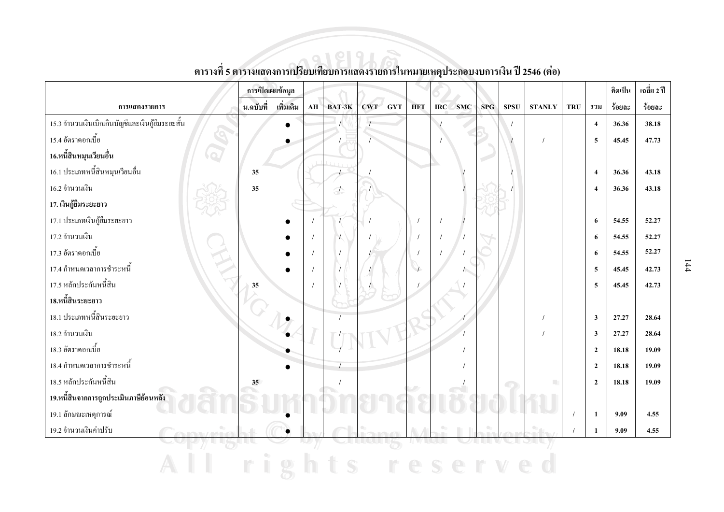|                                                  | การเปิดเผยข้อมูล |           |            |        |            |            |            |            |            |     |             |               |            |                         | คิดเป็น | เฉลี่ย 2 ปี |
|--------------------------------------------------|------------------|-----------|------------|--------|------------|------------|------------|------------|------------|-----|-------------|---------------|------------|-------------------------|---------|-------------|
| การแสดงรายการ                                    | ม.ฉบับที่        | เพิ่มเติม | ${\bf AH}$ | BAT-3K | <b>CWT</b> | <b>GYT</b> | <b>HFT</b> | <b>IRC</b> | <b>SMC</b> | SPG | <b>SPSU</b> | <b>STANLY</b> | <b>TRU</b> | รวม                     | ร้อยละ  | ร้อยละ      |
| 15.3 จำนวนเงินเบิกเกินบัญชีและเงินกู้ยืมระยะสั้น |                  | $\bullet$ |            |        |            |            |            |            |            |     |             |               |            | $\overline{4}$          | 36.36   | 38.18       |
| 15.4 อัตราคอกเบี้ย                               |                  |           |            |        |            |            |            |            |            |     |             | $\prime$      |            | 5                       | 45.45   | 47.73       |
| 16.หนี้สินหมุนเวียนอื่น                          |                  |           |            |        |            |            |            |            |            |     |             |               |            |                         |         |             |
| 16.1 ประเภทหนี้สินหมุนเวียนอื่น                  | 35               |           |            |        |            |            |            |            |            |     |             |               |            | $\overline{4}$          | 36.36   | 43.18       |
| 16.2 จำนวนเงิน                                   | 35               |           |            | L      | $\sqrt{ }$ |            |            |            |            |     |             |               |            | $\overline{4}$          | 36.36   | 43.18       |
| 17. เงินกู้ยืมระยะยาว                            |                  |           |            |        |            |            |            |            |            |     |             |               |            |                         |         |             |
| 17.1 ประเภทเงินกู้ยืมระยะยาว                     |                  |           |            |        |            |            |            |            |            |     |             |               |            | 6                       | 54.55   | 52.27       |
| 17.2 จำนวนเงิน                                   |                  |           |            |        |            |            |            |            |            |     |             |               |            | 6                       | 54.55   | 52.27       |
| 17.3 อัตราคอกเบี้ย                               |                  |           |            |        |            |            |            |            |            |     |             |               |            | 6                       | 54.55   | 52.27       |
| 17.4 กำหนดเวลาการชำระหนี้                        |                  |           |            |        |            |            |            |            |            |     |             |               |            | 5                       | 45.45   | 42.73       |
| 17.5 หลักประกันหนี้สิน                           | 35               |           |            |        |            |            |            |            |            |     |             |               |            | 5                       | 45.45   | 42.73       |
| 18.หนี้สินระยะยาว                                |                  |           |            |        |            |            |            |            |            |     |             |               |            |                         |         |             |
| 18.1 ประเภทหนี้สินระยะยาว                        |                  |           |            |        |            |            |            |            |            |     |             |               |            | $\overline{\mathbf{3}}$ | 27.27   | 28.64       |
| 18.2 จำนวนเงิน                                   |                  |           |            |        |            |            |            |            |            |     |             |               |            | $\overline{\mathbf{3}}$ | 27.27   | 28.64       |
| 18.3 อัตราคอกเบี้ย                               |                  |           |            |        |            |            |            |            |            |     |             |               |            | $\overline{2}$          | 18.18   | 19.09       |
| 18.4 กำหนดเวลาการชำระหนี้                        |                  | $\bullet$ |            |        |            |            |            |            |            |     |             |               |            | $\overline{2}$          | 18.18   | 19.09       |
| 18.5 หลักประกันหนี้สิน                           | 35 <sup>5</sup>  |           |            |        |            |            |            |            |            |     | $\bigcirc$  | n             |            | $\overline{2}$          | 18.18   | 19.09       |
| 19.หนี้สินจากการถูกประเมินภาษีย้อนหลัง           |                  |           |            |        |            |            |            |            |            |     |             |               |            |                         |         |             |
| 19.1 ลักษณะเหตุการณ์                             |                  |           |            |        |            |            |            |            |            |     |             |               |            | 1                       | 9.09    | 4.55        |
| 19.2 จำนวนเงินค่าปรับ                            |                  |           |            |        |            |            |            |            |            |     |             |               |            | 1                       | 9.09    | 4.55        |
|                                                  |                  |           |            |        |            |            |            |            |            |     |             |               |            |                         |         |             |
|                                                  |                  |           |            |        |            |            |            |            |            |     |             |               |            |                         |         |             |

ตารางที่ 5 ตารางแสดงการเปรียบเทียบการแสดงรายการในหมายเหตุประกอบงบการเงิน ปี 2546 (ต่อ)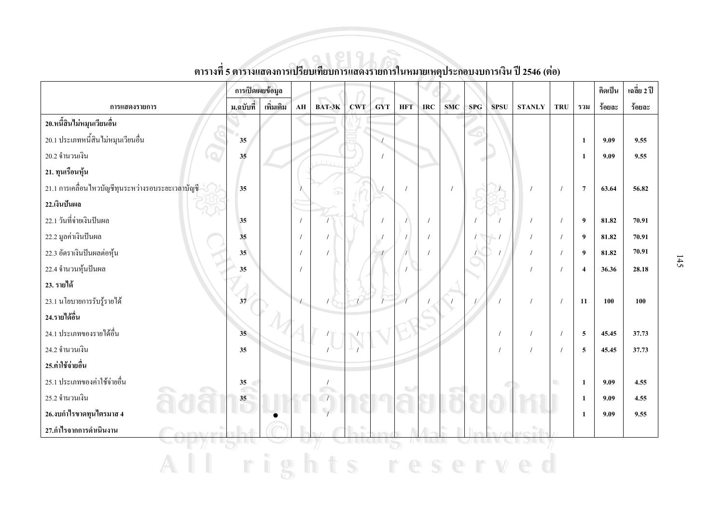|                                                   | การเปิดเผยข้อมูล              |           |                        |          |            |               |                          |            |            |            |              |               |                             |                | คิดเป็น | เฉลี่ย 2 ปี |
|---------------------------------------------------|-------------------------------|-----------|------------------------|----------|------------|---------------|--------------------------|------------|------------|------------|--------------|---------------|-----------------------------|----------------|---------|-------------|
| การแสดงรายการ                                     | ม.ฉบับที่                     | เพิ่มเติม | $\mathbf{A}\mathbf{H}$ | BAT-3K   | <b>CWT</b> | GYT           | <b>HFT</b>               | <b>IRC</b> | SMC        | <b>SPG</b> | <b>SPSU</b>  | <b>STANLY</b> | <b>TRU</b>                  | รวม            | ร้อยละ  | ร้อยละ      |
| 20.หนี้สินไม่หมุนเวียนอื่น                        |                               |           |                        |          |            |               |                          |            |            |            |              |               |                             |                |         |             |
| 20.1 ประเภทหนี้สินไม่หมุนเวียนอื่น                | 35                            |           |                        |          |            |               |                          |            |            |            |              |               |                             | $\mathbf{1}$   | 9.09    | 9.55        |
| 20.2 จำนวนเงิน                                    | 35                            |           |                        |          |            |               |                          |            |            |            |              |               |                             | 1              | 9.09    | 9.55        |
| 21. ทุนเรือนหุ้น                                  |                               |           |                        |          |            |               |                          |            |            |            |              |               |                             |                |         |             |
| 21.1 การเคลื่อนใหวบัญชีทุนระหว่างรอบระยะเวลาบัญชี | 35                            |           |                        | æ        |            |               |                          |            | $\prime$   |            |              | $\prime$      | $\prime$                    | $\overline{7}$ | 63.64   | 56.82       |
| 22.เงินปันผล                                      |                               |           |                        |          |            |               |                          |            |            |            |              |               |                             |                |         |             |
| 22.1 วันที่จ่ายเงินปันผล                          | 35                            |           | $\sqrt{ }$             | $\prime$ |            | $\prime$      |                          | $\sqrt{ }$ |            |            |              | $\prime$      | $\prime$                    | 9              | 81.82   | 70.91       |
| 22.2 มูลค่าเงินปันผล                              | 35                            |           | $\prime$               |          |            |               | $\prime$                 | $\sqrt{ }$ |            |            |              | $\prime$      | $\prime$                    | 9              | 81.82   | 70.91       |
| 22.3 อัตราเงินปันผลต่อหุ้น                        | 35                            |           | $\sqrt{ }$             | $\prime$ |            |               | $\overline{1}$           |            |            |            |              | $\prime$      | $\sqrt{ }$                  | 9              | 81.82   | 70.91       |
| 22.4 จำนวนหุ้นปันผล                               | 35                            |           |                        |          |            |               |                          |            |            |            |              |               |                             | $\overline{4}$ | 36.36   | 28.18       |
| 23. รายได้                                        |                               |           |                        |          |            |               |                          |            |            |            |              |               |                             |                |         |             |
| 23.1 นโยบายการรับรู้รายได้                        | 37                            |           | $\left  \right $       |          |            |               |                          |            |            |            |              | $\prime$      | $\sqrt{ }$                  | 11             | 100     | 100         |
| 24.รายได้อื่น                                     |                               |           |                        |          |            |               |                          |            |            |            |              |               |                             |                |         |             |
| 24.1 ประเภทของรายได้อื่น                          | 35 <sup>°</sup>               |           |                        |          |            |               |                          |            |            |            | $\prime$     | $\sqrt{ }$    | $\sqrt{ }$                  | $\sqrt{5}$     | 45.45   | 37.73       |
| 24.2 จำนวนเงิน                                    | 35                            |           |                        |          |            |               |                          |            |            |            |              |               |                             | 5              | 45.45   | 37.73       |
| 25.ค่าใช้จ่ายอื่น                                 |                               |           |                        |          |            |               |                          |            |            |            |              |               |                             |                |         |             |
| 25.1 ประเภทของค่าใช้จ่ายอื่น                      | 35<br>$\overline{\mathbb{C}}$ |           |                        |          |            |               | $\overline{\phantom{a}}$ |            |            |            | $\mathbb{C}$ |               | $\mathcal{L}_{\mathcal{A}}$ | $\mathbf{1}$   | 9.09    | 4.55        |
| C.<br>25.2 จำนวนเงิน                              | $35\phantom{a}$               |           |                        |          |            |               |                          |            | $\sqrt{2}$ |            |              |               |                             | $\mathbf{1}$   | 9.09    | 4.55        |
| 26.งบกำไรขาดทุนไตรมาส 4                           |                               |           |                        |          |            |               | - 7                      |            |            |            |              |               |                             | $\mathbf{1}$   | 9.09    | 9.55        |
| 27.กำไรจากการดำเนินงาน<br>0.1011/141              |                               |           |                        |          | $\bullet$  |               |                          |            |            |            |              |               |                             |                |         |             |
|                                                   |                               |           |                        |          |            | <b>ITALIS</b> |                          |            |            |            |              |               |                             |                |         |             |
|                                                   |                               |           |                        |          |            |               |                          |            |            |            |              |               |                             |                |         |             |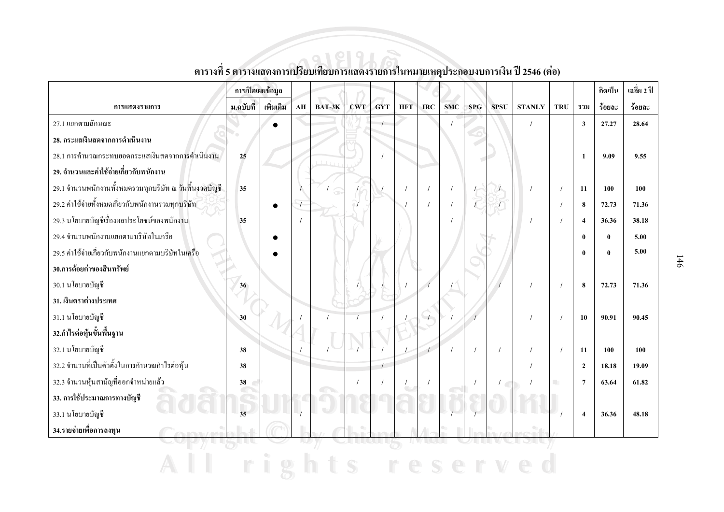|                                                        | การเปิดเผยข้อมูล |           |                        |        |            |            |            |            |            |            |                      |               |                          |                         | คิดเป็น  | เฉลี่ย 2 ปี |
|--------------------------------------------------------|------------------|-----------|------------------------|--------|------------|------------|------------|------------|------------|------------|----------------------|---------------|--------------------------|-------------------------|----------|-------------|
| การแสดงรายการ                                          | ม.ฉบับที่        | เพิ่มเติม | $\mathbf{A}\mathbf{H}$ | BAT-3K | <b>CWT</b> | <b>GYT</b> | <b>HFT</b> | <b>IRC</b> | <b>SMC</b> | <b>SPG</b> | <b>SPSU</b>          | <b>STANLY</b> | <b>TRU</b>               | รวม                     | ร้อยละ   | ร้อยละ      |
| 27.1 แยกตามลักษณะ                                      |                  | $\bullet$ |                        |        |            |            |            |            |            |            |                      |               |                          | $\overline{\mathbf{3}}$ | 27,27    | 28.64       |
| 28. กระแสเงินสดจากการดำเนินงาน                         |                  |           |                        |        |            |            |            |            |            |            |                      |               |                          |                         |          |             |
| 28.1 การคำนวณกระทบยอดกระแสเงินสดจากการดำเนินงาน        | 25               |           |                        |        |            |            |            |            |            |            |                      |               |                          | 1                       | 9.09     | 9.55        |
| 29. จำนวนและค่าใช้จ่ายเกี่ยวกับพนักงาน                 |                  |           |                        |        |            |            |            |            |            |            |                      |               |                          |                         |          |             |
| 29.1 จำนวนพนักงานทั้งหมดรวมทุกบริษัท ณ วันสิ้นงวดบัญชี | 35               |           |                        | 6      |            |            |            |            | $\prime$   |            |                      |               | $\sqrt{ }$               | 11                      | 100      | 100         |
| 29.2 ค่าใช้จ่ายทั้งหมดเกี่ยวกับพนักงานรวมทุกบริษัท     |                  |           | $\prime$               |        |            |            |            |            | $\prime$   | $\sqrt{2}$ | $\mathcal{L}$        |               |                          | 8                       | 72.73    | 71.36       |
| 29.3 นโยบายบัญชีเรื่องผลประโยชน์ของพนักงาน             | 35               |           |                        |        |            |            |            |            | $\prime$   |            |                      |               |                          | $\overline{4}$          | 36.36    | 38.18       |
| 29.4 จำนวนพนักงานแยกตามบริษัทในเครือ                   |                  |           |                        |        |            |            |            |            |            |            |                      |               |                          | $\mathbf{0}$            | $\bf{0}$ | 5.00        |
| 29.5 ค่าใช้จ่ายเกี่ยวกับพนักงานแยกตามบริษัทในเครือ     |                  |           |                        |        |            |            |            |            |            |            |                      |               |                          | $\mathbf{0}$            | $\bf{0}$ | 5.00        |
| 30.การด้อยค่าของสินทรัพย์                              |                  |           |                        |        |            |            |            |            |            |            |                      |               |                          |                         |          |             |
| 30.1 นโยบายบัญชี                                       | 36               |           |                        |        |            |            |            |            |            |            |                      |               |                          | 8                       | 72.73    | 71.36       |
| 31. เงินตราต่างประเทศ                                  |                  |           |                        |        |            |            |            |            |            |            |                      |               |                          |                         |          |             |
| 31.1 นโยบายบัญชี                                       | 30               |           |                        |        |            |            |            |            |            |            |                      |               | $\overline{\phantom{a}}$ | 10                      | 90.91    | 90.45       |
| 32.กำไรต่อหุ้นขั้นพื้นฐาน                              |                  |           |                        |        |            |            |            |            |            |            |                      |               |                          |                         |          |             |
| 32.1 นโยบายบัญชี                                       | 38               |           |                        |        |            |            |            |            |            | $\prime$   |                      |               | $\sqrt{ }$               | 11                      | 100      | 100         |
| 32.2 จำนวนที่เป็นตัวตั้งในการคำนวณกำไรต่อหุ้น          | 38               |           |                        |        |            |            |            |            |            |            |                      |               |                          | $\overline{2}$          | 18.18    | 19.09       |
| 32.3 จำนวนหุ้นสามัญที่ออกจำหน่ายแล้ว                   | 38               |           |                        |        |            |            |            |            |            | $\prime$   | $\frac{1}{\sqrt{2}}$ |               |                          | $\overline{7}$          | 63.64    | 61.82       |
| 33. การใช้ประมาณการทางบัญชี                            |                  |           |                        |        |            |            |            |            |            |            |                      |               |                          |                         |          |             |
| 33.1 นโยบายบัญชี                                       | $\overline{35}$  |           |                        |        |            |            |            |            |            |            |                      |               |                          | $\overline{4}$          | 36.36    | 48.18       |
| 34.รายจ่ายเพื่อการลงทุน                                |                  |           |                        |        |            |            |            |            |            |            |                      |               |                          |                         |          |             |
|                                                        |                  |           |                        |        |            |            |            |            |            |            |                      |               |                          |                         |          |             |
|                                                        |                  |           |                        |        |            |            |            |            |            |            |                      |               |                          |                         |          |             |

ตารางที่ 5 ตารางแสดงการเปรียบเทียบการแสดงรายการในหมายเหตุประกอบงบการเงิน ปี 2546 (ต่อ)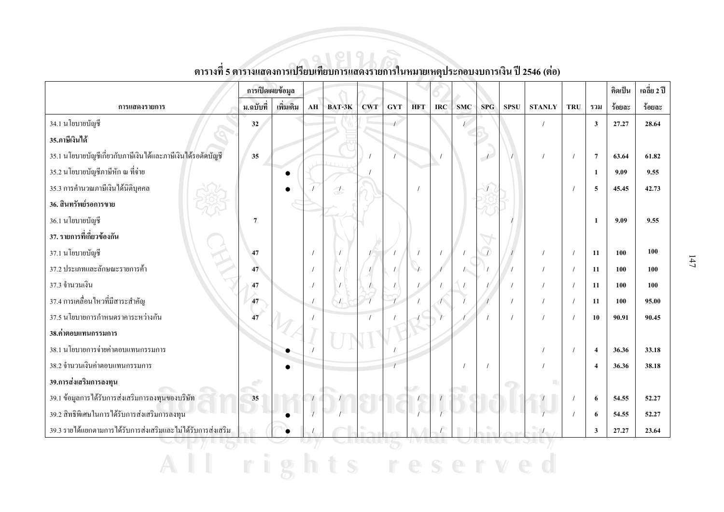|                                                              | การเปิดเผยข้อมูล |           |    |        |            |                |            |            |            |     |             |                          |            |                         | คิดเป็น | เฉลี่ย 2 ปี |
|--------------------------------------------------------------|------------------|-----------|----|--------|------------|----------------|------------|------------|------------|-----|-------------|--------------------------|------------|-------------------------|---------|-------------|
| การแสดงรายการ                                                | ม.ฉบับที่        | เพิ่มเติม | AH | BAT-3K | <b>CWT</b> | <b>GYT</b>     | <b>HFT</b> | <b>IRC</b> | <b>SMC</b> | SPG | <b>SPSU</b> | <b>STANLY</b>            | <b>TRU</b> | รวม                     | ร้อยละ  | ร้อยละ      |
| 34.1 นโยบายบัญชี                                             | 32               |           |    |        |            | $\overline{1}$ |            |            | $\sqrt{2}$ |     |             |                          |            | $\overline{\mathbf{3}}$ | 27.27   | 28.64       |
| 35.ภาษีเงินได้                                               |                  |           |    |        |            |                |            |            |            |     |             |                          |            |                         |         |             |
| 35.1 นโยบายบัญชีเกี่ยวกับภาษีเงินใด้และภาษีเงินใด้รอตัดบัญชี | 35               |           |    |        |            |                |            |            |            |     |             | $\prime$                 |            | $7\phantom{.0}$         | 63.64   | 61.82       |
| 35.2 นโยบายบัญชีภาษีหัก ณ ที่จ่าย                            |                  |           |    |        |            |                |            |            |            |     |             |                          |            | 1                       | 9.09    | 9.55        |
| 35.3 การคำนวณภาษีเงินได้นิติบุคคล                            |                  |           |    |        |            |                |            |            |            |     |             |                          |            | 5                       | 45.45   | 42.73       |
| 36. สินทรัพย์รอการขาย                                        |                  |           |    |        |            |                |            |            |            |     |             |                          |            |                         |         |             |
| 36.1 นโยบายบัญชี                                             | $\overline{7}$   |           |    |        |            |                |            |            |            |     |             |                          |            | $\mathbf{1}$            | 9.09    | 9.55        |
| 37. รายการที่เกี่ยวข้องกัน                                   |                  |           |    |        |            |                |            |            |            |     |             |                          |            |                         |         |             |
| 37.1 นโยบายบัญชี                                             | 47               |           |    |        |            |                |            |            |            |     |             |                          |            | 11                      | 100     | 100         |
| 37.2 ประเภทและลักษณะรายการค้า                                | 47               |           |    |        |            |                |            |            |            |     |             |                          |            | 11                      | 100     | 100         |
| 37.3 จำนวนเงิน                                               | 47               |           |    |        |            |                |            |            |            |     |             |                          |            | 11                      | 100     | 100         |
| 37.4 การเคลื่อนใหวที่มีสาระสำคัญ                             | 47               |           |    |        |            |                |            |            |            |     |             |                          |            | 11                      | 100     | 95.00       |
| 37.5 นโยบายการกำหนดราคาระหว่างกัน                            | 47               |           |    |        |            |                |            |            |            |     |             |                          |            | 10                      | 90.91   | 90.45       |
| 38.ค่าตอบแทนกรรมการ                                          |                  |           |    |        |            |                |            |            |            |     |             |                          |            |                         |         |             |
| 38.1 นโยบายการจ่ายค่าตอบแทนกรรมการ                           |                  |           |    |        |            |                |            |            |            |     |             |                          |            | $\overline{4}$          | 36.36   | 33.18       |
| 38.2 จำนวนเงินค่าตอบแทนกรรมการ                               |                  |           |    |        |            |                |            |            |            |     |             |                          |            | $\boldsymbol{\Lambda}$  | 36.36   | 38.18       |
| 39.การส่งเสริมการลงทุน                                       |                  |           |    |        |            |                |            |            |            |     |             |                          |            |                         |         |             |
| 39.1 ข้อมูลการใค้รับการส่งเสริมการลงทุนของบริษัท             | 35               |           |    |        |            |                |            |            |            |     |             |                          |            | 6                       | 54.55   | 52.27       |
| 39.2 สิทธิพิเศษในการได้รับการส่งเสริมการลงทุน                |                  |           |    |        |            |                |            |            |            |     |             |                          |            | 6                       | 54.55   | 52.27       |
| 39.3 รายใด้แยกตามการใด้รับการส่งเสริมและไม่ได้รับการส่งเสริม |                  |           |    |        |            |                |            |            |            |     |             | $\overline{\phantom{a}}$ |            | 3                       | 27.27   | 23.64       |
|                                                              |                  |           |    |        |            |                |            |            |            |     |             |                          |            |                         |         |             |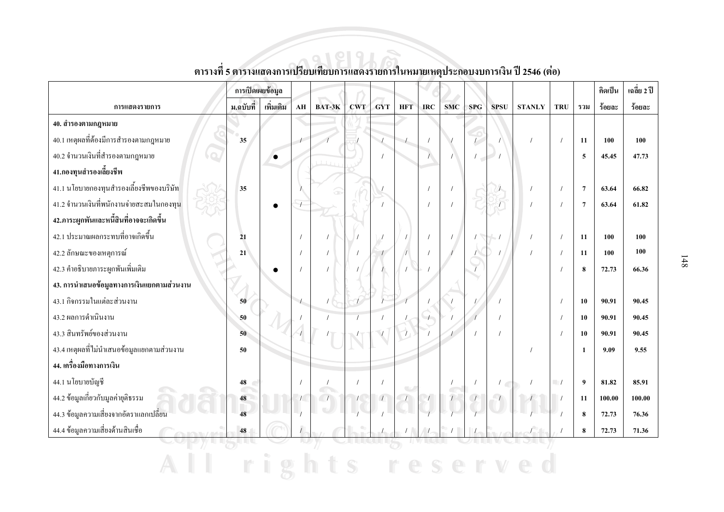|                                               | การเปิดเผยข้อมูล |           |                  |        |            |            |                          |            |            |                      |             |               |                          |                | คิดเป็น | เฉลี่ย 2 ปี |
|-----------------------------------------------|------------------|-----------|------------------|--------|------------|------------|--------------------------|------------|------------|----------------------|-------------|---------------|--------------------------|----------------|---------|-------------|
| การแสดงรายการ                                 | ม.ฉบับที่        | เพิ่มเติม | ${\bf AH}$       | BAT-3K | <b>CWT</b> | <b>GYT</b> | <b>HFT</b>               | <b>IRC</b> | <b>SMC</b> | <b>SPG</b>           | <b>SPSU</b> | <b>STANLY</b> | <b>TRU</b>               | รวม            | ร้อยละ  | ร้อยละ      |
| 40. สำรองตามกฎหมาย                            |                  |           |                  |        |            |            |                          |            |            |                      |             |               |                          |                |         |             |
| 40.1 เหตุผลที่ต้องมีการสำรองตามกฎหมาย         | 35               |           |                  |        |            |            |                          |            |            |                      |             |               |                          | 11             | 100     | 100         |
| 40.2 จำนวนเงินที่สำรองตามกฎหมาย<br>$\bigcirc$ |                  |           |                  |        |            |            |                          |            |            | $\sqrt{2}$<br>$\sim$ |             |               |                          | 5              | 45.45   | 47.73       |
| 41.กองทุนสำรองเลี้ยงชีพ                       |                  |           |                  |        |            |            |                          |            |            |                      |             |               |                          |                |         |             |
| 41.1 นโยบายกองทุนสำรองเลี้ยงชีพของบริษัท      | 35               |           |                  |        |            |            |                          |            |            |                      |             |               |                          | $\overline{7}$ | 63.64   | 66.82       |
| 41.2 จำนวนเงินที่พนักงานจ่ายสะสมในกองทุน      |                  | $\bullet$ |                  |        |            |            |                          |            |            |                      |             |               |                          | $\overline{7}$ | 63.64   | 61.82       |
| 42.ภาระผูกพันและหนี้สินที่อาจจะเกิดขึ้น       |                  |           |                  |        |            |            |                          |            |            |                      |             |               |                          |                |         |             |
| 42.1 ประมาณผลกระทบที่อาจเกิดขึ้น              | 21               |           |                  |        |            |            |                          |            |            |                      |             |               |                          | 11             | 100     | 100         |
| 42.2 ลักษณะของเหตุการณ์                       | 21               |           |                  |        |            |            |                          |            |            |                      |             |               |                          | 11             | 100     | 100         |
| 42.3 คำอธิบายภาระผูกพันเพิ่มเติม              |                  |           |                  |        |            |            |                          |            |            |                      |             |               |                          | 8              | 72.73   | 66.36       |
| 43. การนำเสนอข้อมูลทางการเงินแยกตามส่วนงาน    |                  |           |                  |        |            |            |                          |            |            |                      |             |               |                          |                |         |             |
| 43.1 กิจกรรมในแต่ละส่วนงาน                    | 50               |           | $\left  \right $ |        |            |            |                          |            |            |                      |             |               |                          | 10             | 90.91   | 90.45       |
| 43.2 ผลการดำเนินงาน                           | 50               |           |                  |        |            |            |                          |            |            |                      |             |               |                          | 10             | 90.91   | 90.45       |
| 43.3 สินทรัพย์ของส่วนงาน                      | 50               |           |                  |        |            |            |                          |            |            |                      |             |               |                          | 10             | 90.91   | 90.45       |
| 43.4 เหตุผลที่ไม่นำเสนอข้อมูลแยกตามส่วนงาน    | 50               |           |                  |        |            |            |                          |            |            |                      |             |               |                          | $\mathbf{1}$   | 9.09    | 9.55        |
| 44. เครื่องมือทางการเงิน                      |                  |           |                  |        |            |            |                          |            |            |                      |             |               |                          |                |         |             |
| 44.1 นโยบายบัญชี                              | 48               |           |                  |        |            |            |                          |            |            |                      |             |               | $\overline{\phantom{a}}$ | 9              | 81.82   | 85.91       |
| 44.2 ข้อมูลเกี่ยวกับมูลค่ายุติธรรม            | 48               |           | $\sqrt{ }$       |        |            |            | $\overline{\phantom{a}}$ |            |            |                      |             |               |                          | 11             | 100.00  | 100.00      |
| 44.3 ข้อมูลความเสี่ยงจากอัตราแลกเปลี่ยน       | 48               |           |                  |        |            |            |                          |            |            |                      |             |               |                          | 8              | 72.73   | 76.36       |
| 44.4 ข้อมูลความเสี่ยงด้านสินเชื้อ             | $\bf 48$         |           |                  |        |            |            |                          |            |            |                      |             |               |                          | $\pmb{8}$      | 72.73   | 71.36       |
|                                               |                  |           |                  |        |            |            |                          |            |            |                      |             |               |                          |                |         |             |

All rights reserved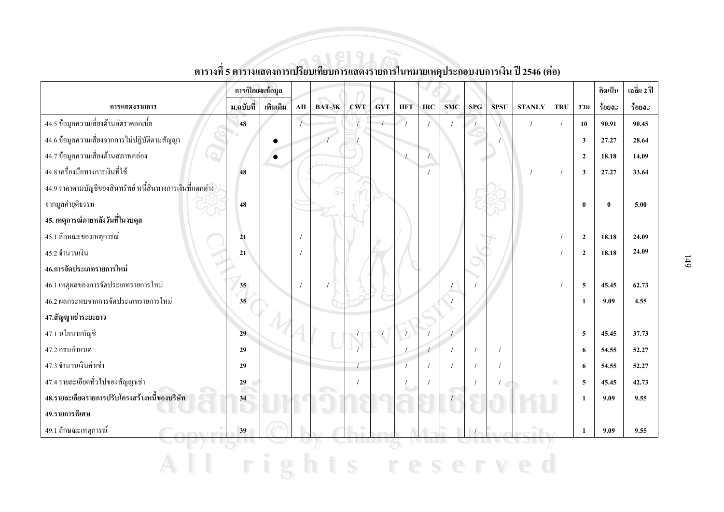|                                                               | การเปิดเผยข้อมูล |           |                |           |            |            |            |            |            |            |             |               |            |                         | คิดเป็น      | เฉลี่ย 2 ปี |
|---------------------------------------------------------------|------------------|-----------|----------------|-----------|------------|------------|------------|------------|------------|------------|-------------|---------------|------------|-------------------------|--------------|-------------|
| การแสดงรายการ                                                 | ม.ฉบับที่        | เพิ่มเติม | AH             | BAT-3K    | <b>CWT</b> | <b>GYT</b> | <b>HFT</b> | <b>IRC</b> | <b>SMC</b> | <b>SPG</b> | <b>SPSU</b> | <b>STANLY</b> | <b>TRU</b> | รวม                     | ร้อยละ       | ร้อยละ      |
| 44.5 ข้อมูลความเสี่ยงด้านอัตราดอกเบี้ย                        | 48               |           | $\overline{1}$ |           |            |            |            |            |            |            |             |               |            | 10                      | 90.91        | 90.45       |
| 44.6 ข้อมูลความเสี่ยงจากการไม่ปฏิบัติตามสัญญา                 |                  | $\bullet$ |                |           |            |            |            |            |            |            |             |               |            | 3                       | 27,27        | 28.64       |
| 44.7 ข้อมูลความเสี่ยงด้านสภาพคล่อง<br>$\overline{\mathbf{C}}$ |                  | $\bullet$ |                | $1 + 1 +$ |            |            |            |            |            |            |             |               |            | $\overline{2}$          | 18.18        | 14.09       |
| 44.8 เครื่องมือทางการเงินที่ใช้                               | 48               |           |                |           |            |            |            |            |            |            |             |               |            | $\overline{\mathbf{3}}$ | 27.27        | 33.64       |
| 44.9 รากาตามบัญชีของสินทรัพย์ หนี้สินทางการเงินที่แตกต่าง     |                  |           |                |           |            |            |            |            |            |            |             |               |            |                         |              |             |
| จากมูลค่ายุติธรรม                                             | 48               |           |                |           |            |            |            |            |            |            |             |               |            | $\mathbf{0}$            | $\mathbf{0}$ | 5.00        |
| 45. เหตุการณ์ภายหลังวันที่ในงบดุล                             |                  |           |                |           |            |            |            |            |            |            |             |               |            |                         |              |             |
| 45.1 ลักษณะของเหตุการณ์                                       | 21               |           |                |           |            |            |            |            |            |            |             |               |            | $\overline{2}$          | 18.18        | 24.09       |
| 45.2 จำนวนเงิน                                                | 21               |           |                |           |            |            |            |            |            |            |             |               |            | $\overline{2}$          | 18.18        | 24.09       |
| 46.การจัดประเภทรายการใหม่                                     |                  |           |                |           |            |            |            |            |            |            |             |               |            |                         |              |             |
| 46.1 เหตุผลของการจัดประเภทรายการใหม่                          | 35 <sub>o</sub>  |           |                |           |            |            |            |            |            |            |             |               |            | $\overline{5}$          | 45.45        | 62.73       |
| 46.2 ผลกระทบจากการจัดประเภทรายการใหม่                         | 35               |           |                |           |            |            |            |            |            |            |             |               |            | 1                       | 9.09         | 4.55        |
| 47.สัญญาเช่าระยะยาว                                           |                  |           |                |           |            |            |            |            |            |            |             |               |            |                         |              |             |
| 47.1 นโยบายบัญชี                                              | 29               |           |                |           |            |            |            |            |            |            |             |               |            | $\overline{5}$          | 45.45        | 37.73       |
| 47.2 ครบกำหนด                                                 | 29               |           |                |           |            |            |            |            |            |            |             |               |            | 6                       | 54.55        | 52,27       |
| 47.3 จำนวนเงินค่าเช่า                                         | 29               |           |                |           |            |            |            |            |            |            |             |               |            | 6                       | 54.55        | 52,27       |
| 47.4 รายละเอียดทั่วไปของสัญญาเช่า                             | 29               |           |                |           |            |            |            |            |            |            |             |               |            | 5                       | 45.45        | 42.73       |
| 48.รายละเอียดรายการปรับโครงสร้างหนึ่งองบริษัท                 | $\subset$<br>34  |           |                |           |            |            |            |            |            |            |             |               |            | 1                       | 9.09         | 9.55        |
| 49.รายการพิเศษ                                                |                  |           |                |           |            |            |            |            |            |            |             |               |            |                         |              |             |
| 49.1 ลักษณะเหตุการณ์                                          | 39               |           |                |           |            |            |            |            |            |            |             |               |            | $\mathbf{1}$            | 9.09         | 9.55        |
|                                                               |                  |           |                |           |            |            |            |            |            |            |             |               |            |                         |              |             |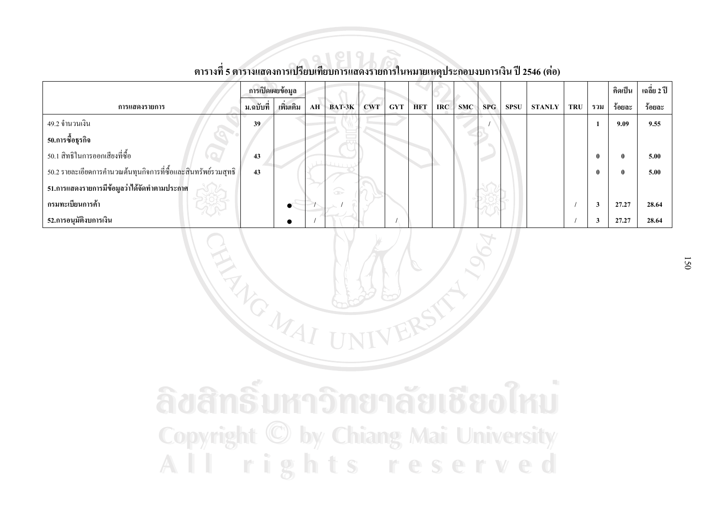|                                                                |           | การเปิดเผยข้อมูล |    |                    |     |            |            |      |            |     |             |               |            |              | คิดเป็น | เฉลี่ย 2 ปี |
|----------------------------------------------------------------|-----------|------------------|----|--------------------|-----|------------|------------|------|------------|-----|-------------|---------------|------------|--------------|---------|-------------|
| การแสดงรายการ                                                  | ม.ฉบับที่ | เพิ่มเติม        | AH | $BAT-3K$           | CWT | <b>GYT</b> | <b>HFT</b> | IRC- | <b>SMC</b> | SPG | <b>SPSU</b> | <b>STANLY</b> | <b>TRU</b> | รวม          | ร้อยละ  | ร้อยละ      |
| 49.2 จำนวนเงิน                                                 | 39        |                  |    |                    |     |            |            |      |            |     |             |               |            |              | 9.09    | 9.55        |
| 50.การซื้อธุรกิจ                                               |           |                  |    |                    |     |            |            |      |            |     |             |               |            |              |         |             |
| ่ 50.1 สิทธิในการออกเสียงที่ซื้อ                               | 43        |                  |    |                    |     |            |            |      |            |     |             |               |            | $\mathbf{0}$ |         | 5.00        |
| 50.2 รายละเอียดการคำนวณต้นทุนกิจการที่ซื้อและสินทรัพย์รวมสุทธิ | 43        |                  |    |                    |     |            |            |      |            |     |             |               |            | $\mathbf{0}$ |         | 5.00        |
| ่ 51.การแสดงรายการมีข้อมูลว่าได้จัดทำตามประกาศ                 |           |                  |    | $\widehat{\infty}$ |     |            |            |      |            |     |             |               |            |              |         |             |
| กรมทะเบียนการค้า                                               |           |                  |    |                    |     |            |            |      |            |     |             |               |            | 3            | 27.27   | 28.64       |
| 52.การอนุมัติงบการเงิน                                         |           |                  |    |                    |     |            |            |      |            |     |             |               |            | 3            | 27,27   | 28.64       |

NEW CMAI

### ์<br>ตารางที่ 5 ตารางแสดงการเปรียบเทียบการแสดงรายการในหมายเหตุประกอบงบการเงิน ปี 2546 (ต่อ)

ลิขสิทธิ์มหาวิทยาลัยเชียงใหม **Copyright © by Chiang Mai University** All rights reserved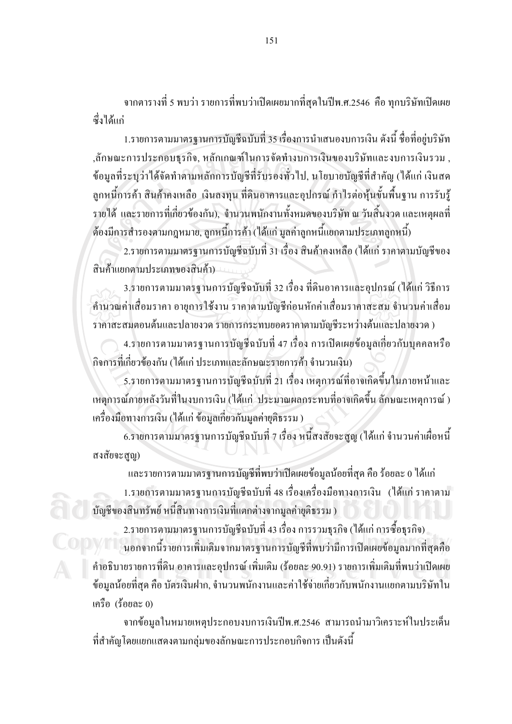ี จากตารางที่ 5 พบว่า รายการที่พบว่าเปิดเผยมากที่สุดในปีพ.ศ.2546 คือ ทุกบริษัทเปิดเผย สั่งใด้แก่

1.รายการตามมาตรฐานการบัญชีฉบับที่ 35 เรื่องการนำเสนองบการเงิน ดังนี้ ชื่อที่อยู่บริษัท ,ลักษณะการประกอบธุรกิจ, หลักเกณฑ์ในการจัดทำงบการเงินของบริษัทและงบการเงินรวม , ข้อมูลที่ระบุว่าใด้จัดทำตามหลักการบัญชีที่รับรองทั่วไป, นโยบายบัญชีที่สำคัญ (ได้แก่ เงินสด ้ลูกหนี้การค้า สินค้าคงเหลือ เงินลงทุน ที่ดินอาคารและอุปกรณ์ กำไรต่อหุ้นขั้นพื้นฐาน การรับรู้ รายได้ และรายการที่เกี่ยวข้องกัน), จำนวนพนักงานทั้งหมดของบริษัท ณ วันสิ้นงวด และเหตุผลที่ ้ต้องมีการสำรองตามกฎหมาย, ลูกหนี้การค้า (ได้แก่ มูลค่าลูกหนี้แยกตามประเภทลูกหนี้)

่ 2.รายการตามมาตรฐานการบัญชีฉบับที่ 31 เรื่อง สินค้าคงเหลือ (ได้แก่ ราคาตามบัญชีของ สินค้าแยกตามประเภทของสินค้า)

3.รายการตามมาตรฐานการบัญชีฉบับที่ 32 เรื่อง ที่ดินอาคารและอุปกรณ์ (ได้แก่ วิธีการ ้คำนวณค่าเสื่อมราคา อายุการใช้งาน ราคาตามบัญชีก่อนหักค่าเสื่อมราคาสะสม จำนวนค่าเสื่อม ราคาสะสมตอนต้นและปลายงวด รายการกระทบยอดราคาตามบัญชีระหว่างต้นและปลายงวด)

4.รายการตามมาตรฐานการบัญชีฉบับที่ 47 เรื่อง การเปิดเผยข้อมูลเกี่ยวกับบุคคลหรือ ี กิจการที่เกี่ยวข้องกัน (ได้แก่ ประเภทและลักษณะรายการค้า จำนวนเงิน)

5.รายการตามมาตรฐานการบัญชีฉบับที่ 21 เรื่อง เหตุการณ์ที่อาจเกิดขึ้นในภายหน้าและ เหตุการณ์ภายหลังวันที่ในงบการเงิน (ได้แก่ ประมาณผลกระทบที่อาจเกิดขึ้น ลักษณะเหตุการณ์ ) เครื่องมือทางการเงิน (ได้แก่ ข้อมูลเกี่ยวกับมูลค่ายุติธรรม )

6.รายการตามมาตรฐานการบัญชีฉบับที่ 7 เรื่อง หนี้สงสัยจะสูญ (ได้แก่ จำนวนค่าเผื่อหนี้ สงสัยจะสูญ)

และรายการตามมาตรฐานการบัญชีที่พบว่าเปิดเผยข้อมูลน้อยที่สุด คือ ร้อยละ 0 ได้แก่ 1.รายการตามมาตรฐานการบัญชีฉบับที่ 48 เรื่องเครื่องมือทางการเงิน (ได้แก่ ราคาตาม ้บัญชีของสินทรัพย์ หนี้สินทางการเงินที่แตกต่างจากมูลค่ายุติธรรม )

2.รายการตามมาตรฐานการบัญชีฉบับที่ 43 เรื่อง การรวมธุรกิจ (ได้แก่ การซื้อธุรกิจ) ้นอกจากนี้รายการเพิ่มเติมจากมาตรฐานการบัญชีที่พบว่ามีการเปิดเผยข้อมูลมากที่สุดคือ คำอธิบายรายการที่ดิน อาคารและอุปกรณ์ เพิ่มเติม (ร้อยละ 90.91) รายการเพิ่มเติมที่พบว่าเปิดเผย ข้อมูลน้อยที่สุด คือ บัตรเงินฝาก, จำนวนพนักงานและค่าใช้จ่ายเกี่ยวกับพนักงานแยกตามบริษัทใน เครือ (ร้อยละ 0)

ิจากข้อมูลในหมายเหตุประกอบงบการเงินปีพ.ศ.2546 สามารถนำมาวิเคราะห์ในประเด็น ที่สำคัญโดยแยกแสดงตามกลุ่มของลักษณะการประกอบกิจการ เป็นดังนี้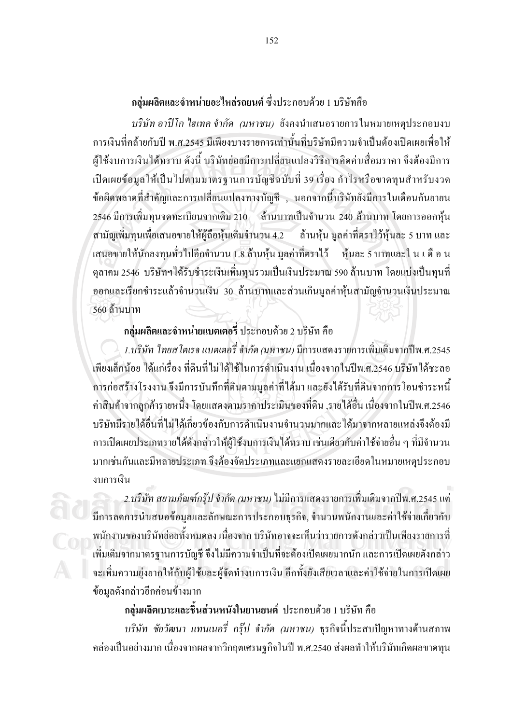#### ึกลุ่มผลิตและจำหน่ายอะไหล่รถยนต์ ซึ่งประกอบด้วย 1 บริษัทกือ

บริษัท อาปีโก ไฮเทค จำกัด (มหาชน) ยังคงนำเสนอรายการในหมายเหตุประกอบงบ ี<br>การเงินที่คล้ายกับปี พ.ศ.2545 มีเพียงบางรายการเท่านั้นที่บริษัทมีความจำเป็นต้องเปิดเผยเพื่อให้ ผู้ใช้งบการเงินได้ทราบ ดังนี้ บริษัทย่อยมีการเปลี่ยนแปลงวิธีการคิดค่าเสื่อมราคา จึงต้องมีการ ้เปิดเผยข้อมูลให้เป็นไปตามมาตรฐานการบัญชีฉบับที่ 39 เรื่อง กำไรหรือขาดทุนสำหรับงวด ข้อผิดพลาดที่สำคัญและการเปลี่ยนแปลงทางบัญชี , นอกจากนี้บริษัทยังมีการในเดือนกันยายน 2546 มีการเพิ่มทุนจดทะเบียนจากเดิม 210 ล้านบาทเป็นจำนวน 240 ล้านบาท โดยการออกหุ้น สามัญเพิ่มทุนเพื่อเสนอขายให้ผู้ถือหุ้นเดิมจำนวน 4.2 ล้านหุ้น มูลค่าที่ตราไว้หุ้นละ 5 บาท และ ้เสนอขายให้นักลงทุนทั่วไปอีกจำนวน 1.8 ล้านหุ้น มูลค่าที่ตราไว้ หุ้นละ 5 บาทและใ น เ ดื อ น ้ตุลาคม 2546 บริษัทฯ ได้รับชำระเงินเพิ่มทุนรวมเป็นเงินประมาณ 590 ล้านบาท โดยแบ่งเป็นทุนที่ ออกและเรียกชำระแล้วจำนวนเงิน 30 ล้านบาทและส่วนเกินมูลค่าหุ้นสามัญจำนวนเงินประมาณ 560 ถ้านบาท

#### ึกลุ่มผลิตและจำหน่ายแบตเตอรี่ ประกอบด้วย 2 บริษัท คือ

1.บริษัท ไทยสโตเรจ แบตเตอรี่ จำกัด (มหาชน) มีการแสดงรายการเพิ่มเติมจากปีพ.ศ.2545 เพียงเล็กน้อย ได้แก่เรื่อง ที่ดินที่ไม่ได้ใช้ในการดำเนินงาน เนื่องจากในปีพ.ศ.2546 บริษัทได้ชะลอ ึการก่อสร้างโรงงาน จึงมีการบันทึกที่ดินตามมูลค่าที่ได้มา และยังได้รับที่ดินจากการโอนชำระหนี้ ้ค่าสินค้าจากลูกค้ารายหนึ่ง โดยแสดงตามราคาประเมินของที่ดิน ,รายได้อื่น เนื่องจากในปีพ.ศ.2546 ำเริษัทมีรายได้อื่นที่ไม่ได้เกี่ยวข้องกับการดำเนินงานจำนวนมากและได้มาจากหลายแหล่งจึงต้องมี การเปิดเผยประเภทรายใด้ดังกล่าวให้ผู้ใช้งบการเงินได้ทราบ เช่นเดียวกับค่าใช้ง่ายอื่น ๆ ที่มีจำนวน มากเช่นกันและมีหลายประเภท จึงต้องจัดประเภทและแยกแสดงรายละเอียดในหมายเหตุประกอบ งบการเงิน

2.บริษัท สยามภัณฑ์กรุ๊ป จำกัด (มหาชน) ไม่มีการแสดงรายการเพิ่มเติมจากปีพ.ศ.2545 แต่ ี่มีการลดการนำเสนอข้อมูลและลักษณะการประกอบธุรกิจ, จำนวนพนักงานและค่าใช้จ่ายเกี่ยวกับ พนักงานของบริษัทย่อยทั้งหมดลง เนื่องจาก บริษัทอาจจะเห็นว่ารายการดังกล่าวเป็นเพียงรายการที่ ้เพิ่มเติมจากมาตรฐานการบัญชี จึงไม่มีความจำเป็นที่จะต้องเปิดเผยมากนัก และการเปิดเผยดังกล่าว จะเพิ่มความยุ่งยากให้กับผู้ใช้และผู้จัดทำงบการเงิน อีกทั้งยังเสียเวลาและค่าใช้จ่ายในการเปิดเผย ข้อมลดังกล่าวอีกค่อนข้างมาก

#### ึกล่มผลิตเบาะและชิ้นส่วนหนังในยานยนต์ ประกอบด้วย 1 บริษัท คือ

*บริษัท ชัยวัฒนา แทนเนอรี่ กรุ๊ป จำกัด (มหาชน)* ธุรกิจนี้ประสบปัญหาทางด้านสภาพ ี คล่องเป็นอย่างมาก เนื่องจากผลจากวิกฤตเศรษฐกิจในปี พ.ศ.2540 ส่งผลทำให้บริษัทเกิดผลขาดทน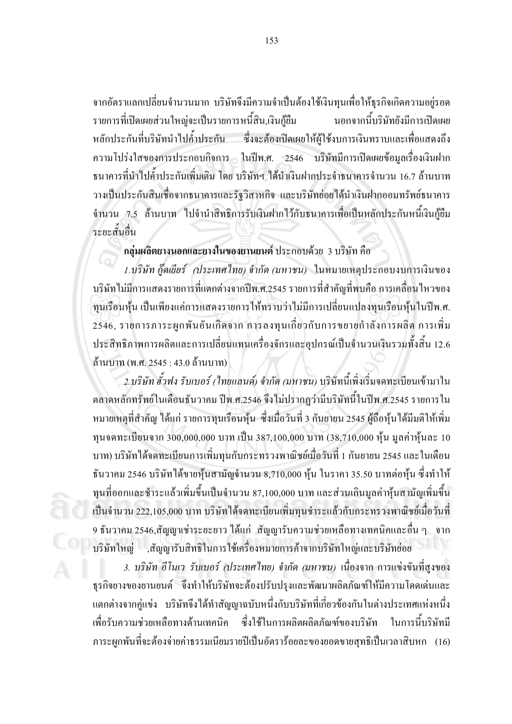ึ่งากอัตราแลกเปลี่ยนงำนวนมาก บริษัทจึงมีความงำเป็นต้องใช้เงินทุนเพื่อให้ธุรกิงเกิดความอยู่รอด รายการที่เปิดเผยส่วนใหญ่จะเป็นรายการหนี้สิน,เงินกู้ยืม ินอกจากนี้บริษัทยังมีการเปิดเผย หลักประกันที่บริษัทนำไปค้ำประกัน ซึ่งจะต้องเปิดเผยให้ผู้ใช้งบการเงินทราบและเพื่อแสดงถึง ีความโปร่งใสของการประกอบกิจการ ในปีพ.ศ. 2546 บริษัทมีการเปิดเผยข้อมูลเรื่องเงินฝาก ้ธนาคารที่นำไปค้ำประกันเพิ่มเติม โดย บริษัทฯ ได้นำเงินฝากประจำธนาคารจำนวน 16.7 ล้านบาท วางเป็นประกันสินเชื่อจากธนาคารและรัฐวิสาหกิจ และบริษัทย่อยได้นำเงินฝากออมทรัพย์ธนาคาร ้จำนวน 7.5 ล้านบาท ไปจำนำสิทธิการรับเงินฝากไว้กับธนาคารเพื่อเป็นหลักประกันหนี้เงินกู้ยืม ระยะสั้นอื่น

#### ึกลุ่มผลิตยางนอกและยางในของยานยนต์ ประกอบด้วย 3 บริษัท คือ

1.บริษัท กู๊คเยียร์ (ประเทศไทย) จำกัด (มหาชน) ในหมายเหตุประกอบงบการเงินของ ึบริษัทไม่มีการแสดงรายการที่แตกต่างจากปีพ.ศ.2545 รายการที่สำคัญที่พบคือ การเคลื่อนไหวของ ทนเรือนห้น เป็นเพียงแค่การแสดงรายการให้ทราบว่าไม่มีการเปลี่ยนแปลงทนเรือนห้นในปีพ.ศ. 2546, รายการภาระผูกพันอันเกิดจาก การลงทุนเกี่ยวกับการขยายกำลังการผลิต การเพิ่ม ประสิทธิภาพการผลิตและการเปลี่ยนแทนเครื่องจักรและอุปกรณ์เป็นจำนวนเงินรวมทั้งสิ้น 12.6 ล้านบาท (พ.ศ. 2545 : 43.0 ล้านบาท)

2.บริษัท ฮั่วฟง รับเบอร์ (ไทยแลนค์) จำกัด (มหาชน) บริษัทนี้เพิ่งเริ่มจดทะเบียนเข้ามาใน ตลาดหลักทรัพย์ในเดือนธันวาคม ปีพ.ศ.2546 จึงไม่ปรากฏว่ามีบริษัทนี้ในปีพ.ศ.2545 รายการใน หมายเหตุที่สำคัญ ได้แก่ รายการทุนเรือนหุ้น ซึ่งเมื่อวันที่ 3 กันยายน 2545 ผู้ถือหุ้น ได้มีมติให้เพิ่ม ทุนจดทะเบียนจาก 300,000,000 บาท เป็น 387,100,000 บาท (38,710,000 หุ้น มูลค่าหุ้นละ 10 ิบาท) บริษัทได้จดทะเบียนการเพิ่มทุนกับกระทรวงพาณิชย์เมื่อวันที่ 1 กันยายน 2545 และในเดือน ชั้นวาคม 2546 บริษัทได้ขายหุ้นสามัญจำนวน 8,710,000 หุ้น ในราคา 35.50 บาทต่อหุ้น ซึ่งทำให้ ทุนที่ออกและชำระแล้วเพิ่มขึ้นเป็นจำนวน 87,100,000 บาท และส่วนเกินมูลค่าหุ้นสามัญเพิ่มขึ้น ้เป็นจำนวน 222,105,000 บาท บริษัทได้จดทะเบียนเพิ่มทุนชำระแล้วกับกระทรวงพาณิชย์เมื่อวันที่ 9 ธันวาคม 2546,สัญญาเช่าระยะยาว ได้แก่ สัญญารับความช่วยเหลือทางเทคนิคและอื่น ๆ จาก บริษัทใหญ่ ,สัญญารับสิทธิในการใช้เครื่องหมายการค้าจากบริษัทใหญ่และบริษัทย่อย

3. บริษัท อีโนเว รับเบอร์ (ประเทศไทย) จำกัด (มหาชน) เนื่องจาก การแข่งขันที่สูงของ ธุรกิจยางของยานยนต์ <sup>6</sup> จึงทำให้บริษัทจะต้องปรับปรุงและพัฒนาผลิตภัณฑ์ให้มีความโดดเด่นและ แตกต่างจากคู่แข่ง บริษัทจึงได้ทำสัญญาฉบับหนึ่งกับบริษัทที่เกี่ยวข้องกันในต่างประเทศแห่งหนึ่ง ซึ่งใช้ในการผลิตผลิตภัณฑ์ของบริษัท ในการนี้บริษัทมี เพื่อรับความช่วยเหลือทางด้านเทคนิค ี ภาระผูกพันที่จะต้องจ่ายค่าธรรมเนียมรายปีเป็นอัตราร้อยละของยอดขายสุทธิเป็นเวลาสิบหก (16)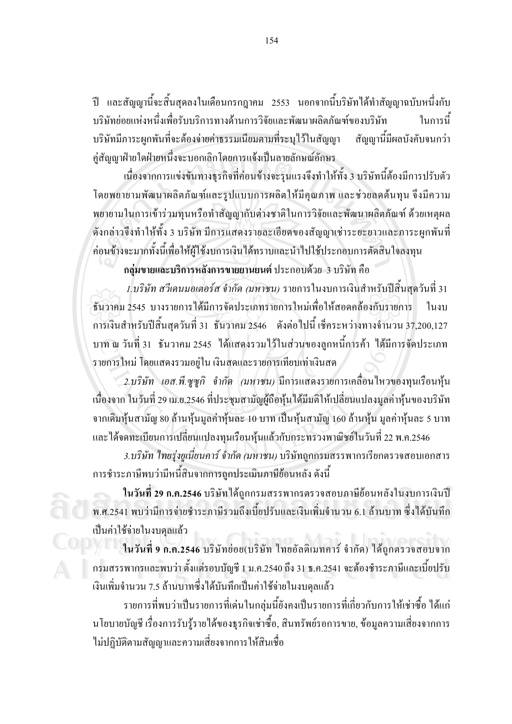ปี และสัญญานี้จะสิ้นสุดลงในเดือนกรกฎาคม 2553 นอกจากนี้บริษัทได้ทำสัญญาฉบับหนึ่งกับ ำเรินัทย่อยแห่งหนึ่งเพื่อรับบริการทางด้านการวิจัยและพัฒนาผลิตภัณฑ์ของบรินัท ใบการบี้ สัญญานี้มีผลบังคับจนกว่า บริษัทมีภาระผูกพันที่จะต้องจ่ายค่าธรรมเนียมตามที่ระบุไว้ในสัญญา คู่สัญญาฝ่ายใดฝ่ายหนึ่งจะบอกเลิกโดยการแจ้งเป็นลายลักษณ์อักษร

้เนื่องจากการแข่งขันทางธรกิจที่ค่อนข้างจะรนแรงจึงทำให้ทั้ง 3 บริษัทนี้ต้องมีการปรับตัว โดยพยายามพัฒนาผลิตภัณฑ์และรูปแบบการผลิตให้มีคุณภาพ และช่วยลดต้นทุน จึงมีความ พยายามในการเข้าร่วมทุนหรือทำสัญญากับต่างชาติในการวิจัยและพัฒนาผลิตภัณฑ์ ด้วยเหตุผล ้ดังกล่าวจึงทำให้ทั้ง 3 บริษัท มีการแสคงรายละเอียดของสัญญาเช่าระยะยาวและภาระผูกพันที่ ค่อนข้างจะมากทั้งนี้เพื่อให้ผู้ใช้งบการเงินได้ทราบและนำไปใช้ประกอบการตัดสินใจลงทุน

กล่มขายและบริการหลังการขายยานยนต์ ประกอบด้วย 3 บริษัท คือ 1.บริษัท สวีเคนมอเตอร์ส จำกัด (มหาชน) รายการในงบการเงินสำหรับปีสิ้นสดวันที่ 31 ้ธับวาคม 2545 บางรายการได้มีการจัดประเภทรายการใหม่เพื่อให้สอดคล้องกับรายการ ใบงบ ึการเงินสำหรับปีสิ้นสุดวันที่ 31 ธันวาคม 2546 ดังต่อไปนี้ เช็คระหว่างทางจำนวน 37,200,127 ีบาท ณ วันที่ 31 ธันวาคม 2545 ได้แสคงรวมไว้ในส่วนของลูกหนี้การค้า ใด้มีการจัดประเภท รายการใหม่ โดยแสดงรวมอยู่ใน เงินสดและรายการเทียบเท่าเงินสด

2.บริษัท เอส.พี.ซูซูกิ จำกัด (มหาชน) มีการแสดงรายการเคลื่อนไหวของทุนเรือนหุ้น ้เนื่องจาก ในวันที่ 29 เม.ย.2546 ที่ประชมสามัณผู้ถือหุ้น ได้มีมติให้เปลี่ยนแปลงมลค่าหุ้นของบริษัท ิจากเดิมหุ้นสามัญ 80 ถ้านหุ้นมูลค่าหุ้นละ 10 บาท เป็นหุ้นสามัญ 160 ถ้านหุ้น มูลค่าหุ้นละ 5 บาท และใด้จดทะเบียนการเปลี่ยนแปลงทุนเรือนหุ้นแล้วกับกระทรวงพาณิชย์ในวันที่ 22 พ.ค.2546

3.บริษัท ไทยรุ่งยูเนี่ยนคาร์ จำกัด (มหาชน) บริษัทถูกกรมสรรพากรเรียกตรวจสอบเอกสาร ึการชำระภาษีพบว่ามีหนี้สินจากการถูกประเมินภาษีย้อนหลัง ดังนี้

ในวันที่ 29 ก.ค.2546 บริษัทได้ถูกกรมสรรพากรตรวจสอบภาษีย้อนหลังในงบการเงินปี ี พ.ศ.2541 พบว่ามีการจ่ายชำระภาษีรวมถึงเบี้ยปรับและเงินเพิ่มจำนวน 6.1 ล้านบาท ซึ่งได้บันทึก เป็นค่าใช้จ่ายในงบดลแล้ว

ในวันที่ 9 ก.ค.2546 บริษัทย่อย(บริษัท ใทยอัลติเมทคาร์ จำกัด) ใค้ถูกตรวจสอบจาก ึกรมสรรพากรและพบว่า ตั้งแต่รอบบัญชี 1 ม.ค.2540 ถึง 31 ธ.ค.2541 จะต้องชำระภาษีและเบี้ยปรับ เงินเพิ่มจำนวน 7.5 ล้านบาทซึ่งได้บันทึกเป็นค่าใช้จ่ายในงบคุลแล้ว

้รายการที่พบว่าเป็นรายการที่เค่นในกลุ่มนี้ยังคงเป็นรายการที่เกี่ยวกับการให้เช่าซื้อ ได้แก่ ้นโยบายบัญชี เรื่องการรับรู้รายได้ของธุรกิจเช่าซื้อ, สินทรัพย์รอการขาย, ข้อมูลความเสี่ยงจากการ ใม่ปฏิบัติตามสัญญาและความเสี่ยงจากการให้สินเชื่อ